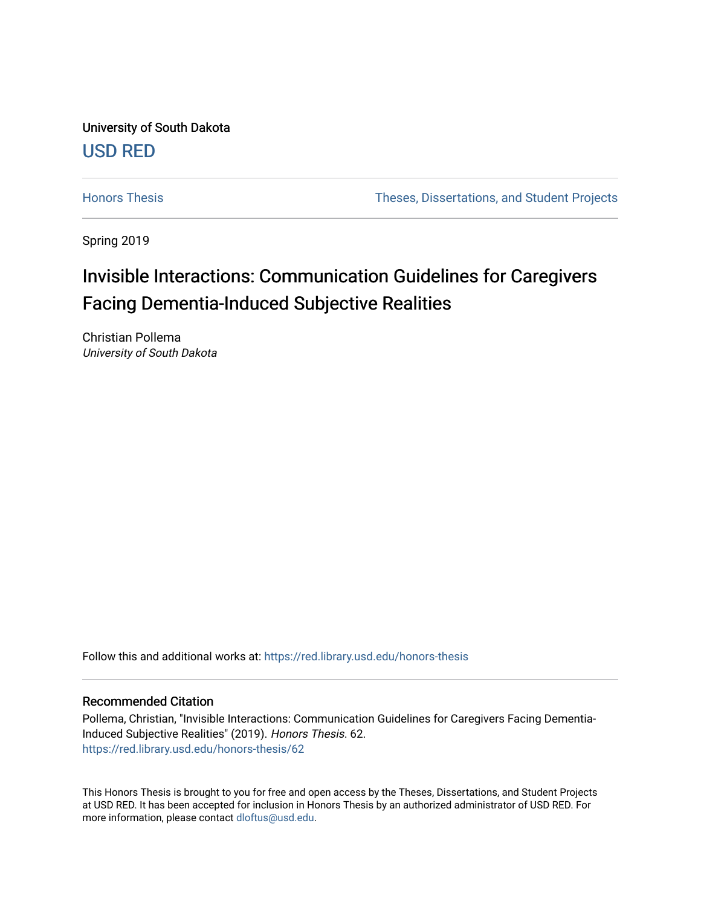University of South Dakota [USD RED](https://red.library.usd.edu/) 

[Honors Thesis](https://red.library.usd.edu/honors-thesis) Theses, Dissertations, and Student Projects

Spring 2019

# Invisible Interactions: Communication Guidelines for Caregivers Facing Dementia-Induced Subjective Realities

Christian Pollema University of South Dakota

Follow this and additional works at: [https://red.library.usd.edu/honors-thesis](https://red.library.usd.edu/honors-thesis?utm_source=red.library.usd.edu%2Fhonors-thesis%2F62&utm_medium=PDF&utm_campaign=PDFCoverPages) 

# Recommended Citation

Pollema, Christian, "Invisible Interactions: Communication Guidelines for Caregivers Facing Dementia-Induced Subjective Realities" (2019). Honors Thesis. 62. [https://red.library.usd.edu/honors-thesis/62](https://red.library.usd.edu/honors-thesis/62?utm_source=red.library.usd.edu%2Fhonors-thesis%2F62&utm_medium=PDF&utm_campaign=PDFCoverPages) 

This Honors Thesis is brought to you for free and open access by the Theses, Dissertations, and Student Projects at USD RED. It has been accepted for inclusion in Honors Thesis by an authorized administrator of USD RED. For more information, please contact [dloftus@usd.edu](mailto:dloftus@usd.edu).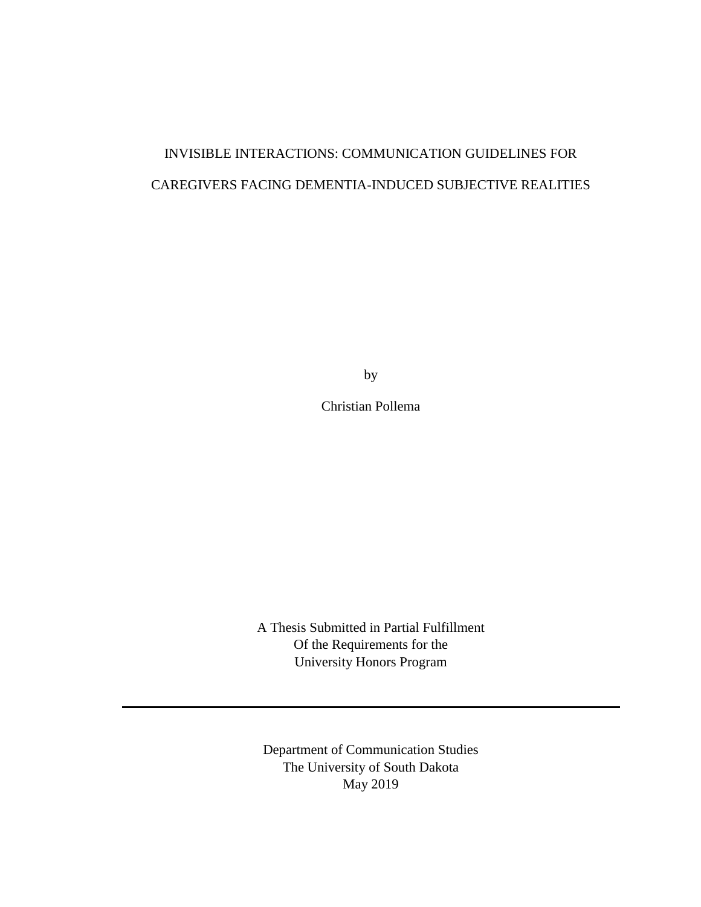# INVISIBLE INTERACTIONS: COMMUNICATION GUIDELINES FOR CAREGIVERS FACING DEMENTIA-INDUCED SUBJECTIVE REALITIES

by

Christian Pollema

A Thesis Submitted in Partial Fulfillment Of the Requirements for the University Honors Program

Department of Communication Studies The University of South Dakota May 2019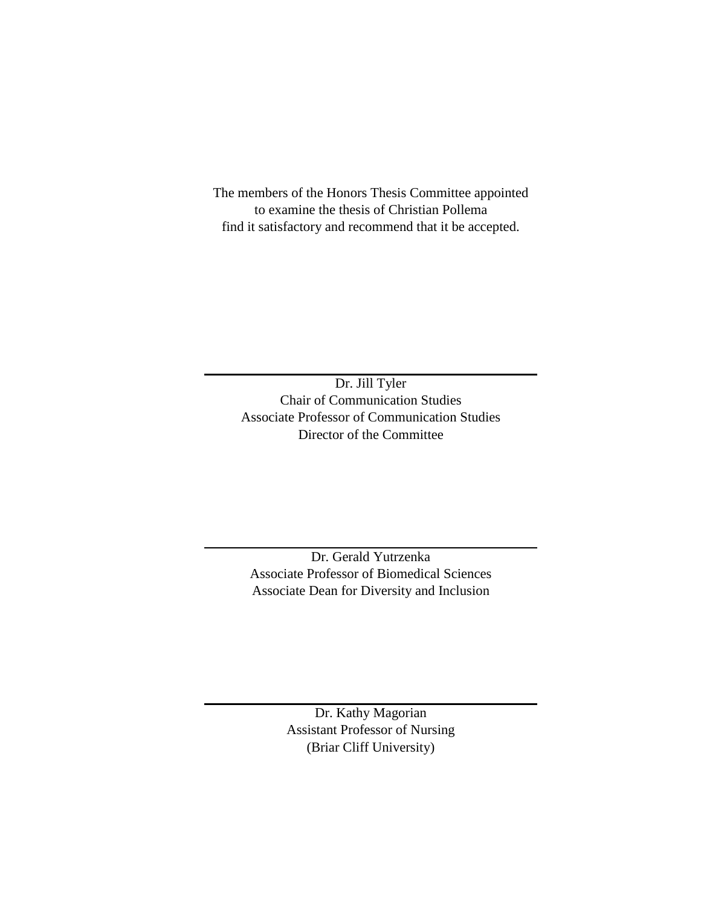The members of the Honors Thesis Committee appointed to examine the thesis of Christian Pollema find it satisfactory and recommend that it be accepted.

Dr. Jill Tyler Chair of Communication Studies Associate Professor of Communication Studies Director of the Committee

Dr. Gerald Yutrzenka Associate Professor of Biomedical Sciences Associate Dean for Diversity and Inclusion

> Dr. Kathy Magorian Assistant Professor of Nursing (Briar Cliff University)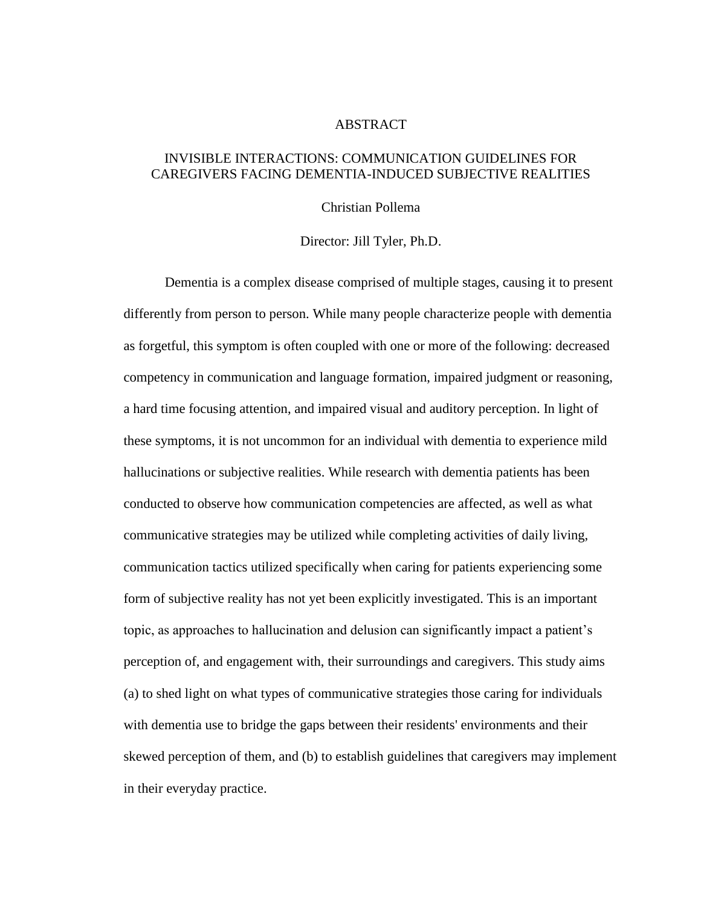# ABSTRACT

# INVISIBLE INTERACTIONS: COMMUNICATION GUIDELINES FOR CAREGIVERS FACING DEMENTIA-INDUCED SUBJECTIVE REALITIES

# Christian Pollema

#### Director: Jill Tyler, Ph.D.

Dementia is a complex disease comprised of multiple stages, causing it to present differently from person to person. While many people characterize people with dementia as forgetful, this symptom is often coupled with one or more of the following: decreased competency in communication and language formation, impaired judgment or reasoning, a hard time focusing attention, and impaired visual and auditory perception. In light of these symptoms, it is not uncommon for an individual with dementia to experience mild hallucinations or subjective realities. While research with dementia patients has been conducted to observe how communication competencies are affected, as well as what communicative strategies may be utilized while completing activities of daily living, communication tactics utilized specifically when caring for patients experiencing some form of subjective reality has not yet been explicitly investigated. This is an important topic, as approaches to hallucination and delusion can significantly impact a patient's perception of, and engagement with, their surroundings and caregivers. This study aims (a) to shed light on what types of communicative strategies those caring for individuals with dementia use to bridge the gaps between their residents' environments and their skewed perception of them, and (b) to establish guidelines that caregivers may implement in their everyday practice.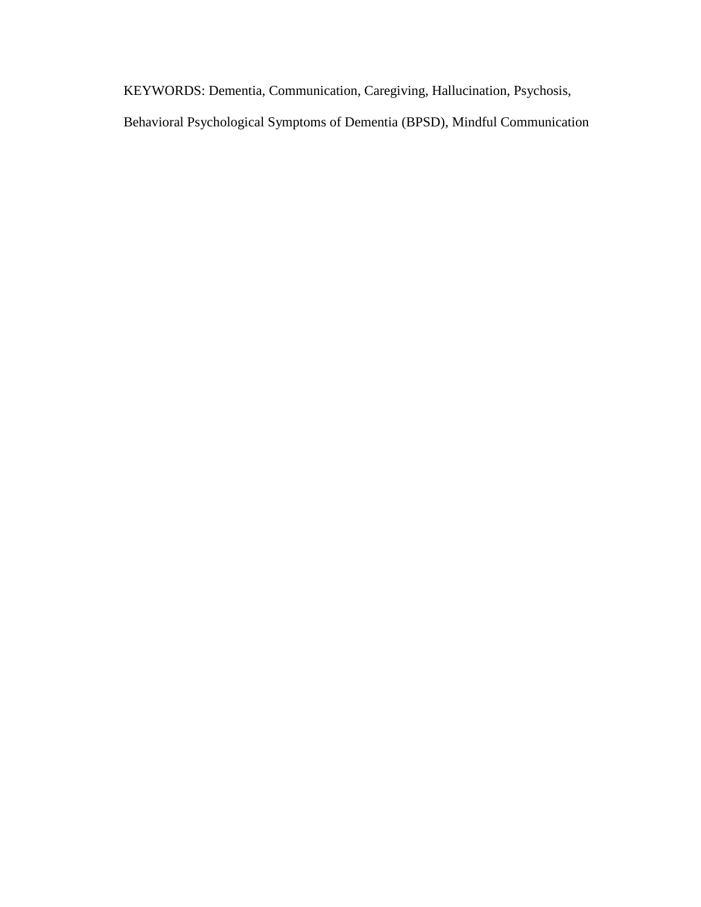KEYWORDS: Dementia, Communication, Caregiving, Hallucination, Psychosis, Behavioral Psychological Symptoms of Dementia (BPSD), Mindful Communication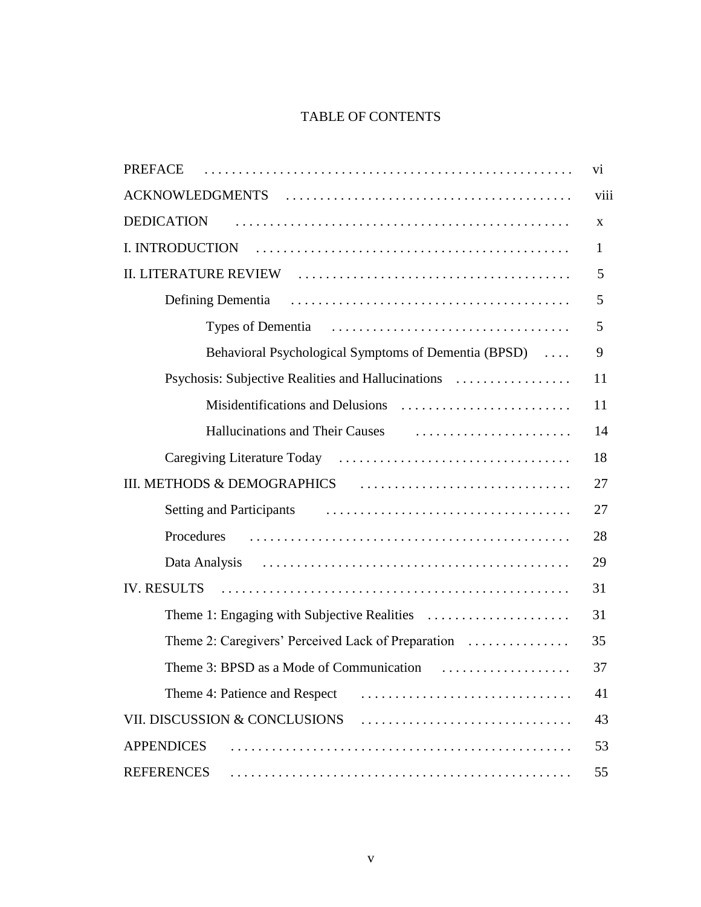# TABLE OF CONTENTS

| PREFACE                                              | V1 |  |  |  |  |
|------------------------------------------------------|----|--|--|--|--|
| viii                                                 |    |  |  |  |  |
| <b>DEDICATION</b>                                    | X  |  |  |  |  |
| $\mathbf{1}$                                         |    |  |  |  |  |
|                                                      |    |  |  |  |  |
|                                                      | 5  |  |  |  |  |
|                                                      | 5  |  |  |  |  |
| Behavioral Psychological Symptoms of Dementia (BPSD) | 9  |  |  |  |  |
| Psychosis: Subjective Realities and Hallucinations   | 11 |  |  |  |  |
|                                                      | 11 |  |  |  |  |
|                                                      | 14 |  |  |  |  |
|                                                      | 18 |  |  |  |  |
|                                                      |    |  |  |  |  |
|                                                      | 27 |  |  |  |  |
| Procedures                                           | 28 |  |  |  |  |
|                                                      | 29 |  |  |  |  |
| IV. RESULTS                                          |    |  |  |  |  |
|                                                      | 31 |  |  |  |  |
| Theme 2: Caregivers' Perceived Lack of Preparation   | 35 |  |  |  |  |
| Theme 3: BPSD as a Mode of Communication<br>.        | 37 |  |  |  |  |
| Theme 4: Patience and Respect                        | 41 |  |  |  |  |
| VII. DISCUSSION & CONCLUSIONS                        |    |  |  |  |  |
| <b>APPENDICES</b>                                    |    |  |  |  |  |
| <b>REFERENCES</b>                                    | 55 |  |  |  |  |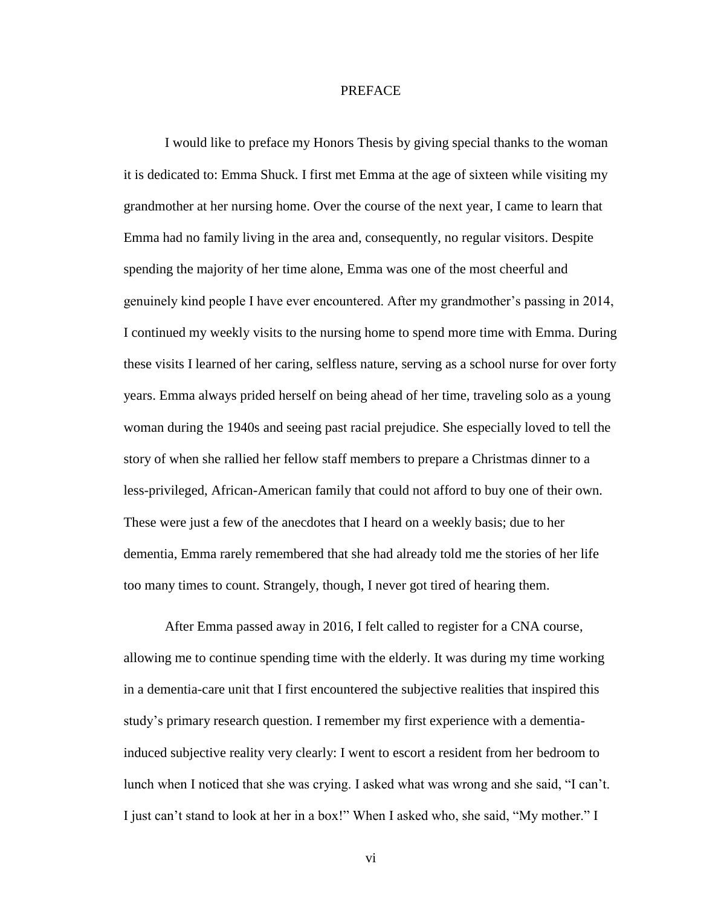#### PREFACE

I would like to preface my Honors Thesis by giving special thanks to the woman it is dedicated to: Emma Shuck. I first met Emma at the age of sixteen while visiting my grandmother at her nursing home. Over the course of the next year, I came to learn that Emma had no family living in the area and, consequently, no regular visitors. Despite spending the majority of her time alone, Emma was one of the most cheerful and genuinely kind people I have ever encountered. After my grandmother's passing in 2014, I continued my weekly visits to the nursing home to spend more time with Emma. During these visits I learned of her caring, selfless nature, serving as a school nurse for over forty years. Emma always prided herself on being ahead of her time, traveling solo as a young woman during the 1940s and seeing past racial prejudice. She especially loved to tell the story of when she rallied her fellow staff members to prepare a Christmas dinner to a less-privileged, African-American family that could not afford to buy one of their own. These were just a few of the anecdotes that I heard on a weekly basis; due to her dementia, Emma rarely remembered that she had already told me the stories of her life too many times to count. Strangely, though, I never got tired of hearing them.

After Emma passed away in 2016, I felt called to register for a CNA course, allowing me to continue spending time with the elderly. It was during my time working in a dementia-care unit that I first encountered the subjective realities that inspired this study's primary research question. I remember my first experience with a dementiainduced subjective reality very clearly: I went to escort a resident from her bedroom to lunch when I noticed that she was crying. I asked what was wrong and she said, "I can't. I just can't stand to look at her in a box!" When I asked who, she said, "My mother." I

vi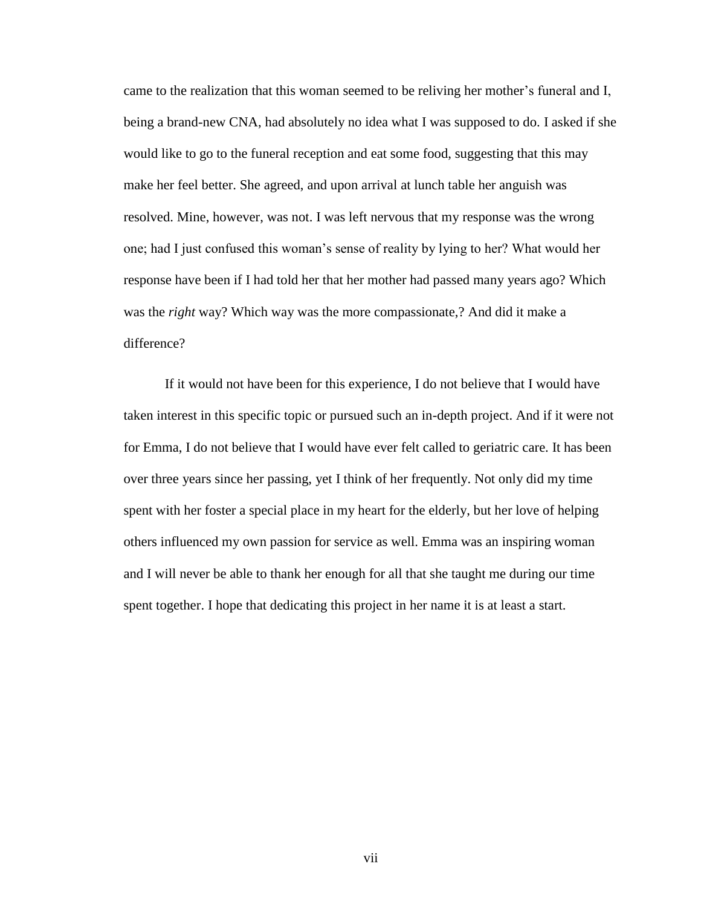came to the realization that this woman seemed to be reliving her mother's funeral and I, being a brand-new CNA, had absolutely no idea what I was supposed to do. I asked if she would like to go to the funeral reception and eat some food, suggesting that this may make her feel better. She agreed, and upon arrival at lunch table her anguish was resolved. Mine, however, was not. I was left nervous that my response was the wrong one; had I just confused this woman's sense of reality by lying to her? What would her response have been if I had told her that her mother had passed many years ago? Which was the *right* way? Which way was the more compassionate,? And did it make a difference?

If it would not have been for this experience, I do not believe that I would have taken interest in this specific topic or pursued such an in-depth project. And if it were not for Emma, I do not believe that I would have ever felt called to geriatric care. It has been over three years since her passing, yet I think of her frequently. Not only did my time spent with her foster a special place in my heart for the elderly, but her love of helping others influenced my own passion for service as well. Emma was an inspiring woman and I will never be able to thank her enough for all that she taught me during our time spent together. I hope that dedicating this project in her name it is at least a start.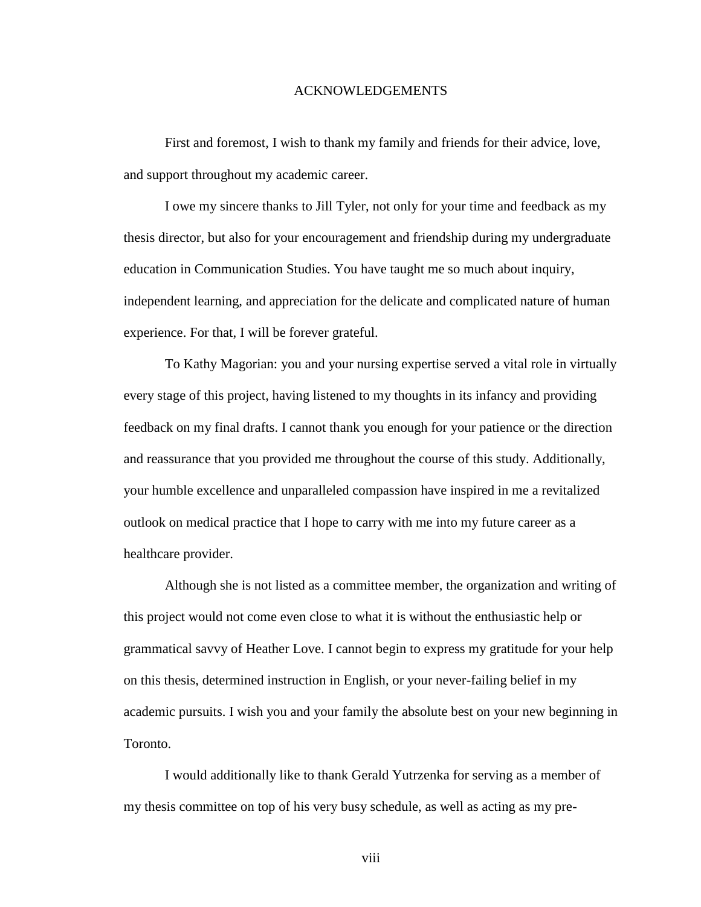### ACKNOWLEDGEMENTS

First and foremost, I wish to thank my family and friends for their advice, love, and support throughout my academic career.

I owe my sincere thanks to Jill Tyler, not only for your time and feedback as my thesis director, but also for your encouragement and friendship during my undergraduate education in Communication Studies. You have taught me so much about inquiry, independent learning, and appreciation for the delicate and complicated nature of human experience. For that, I will be forever grateful.

To Kathy Magorian: you and your nursing expertise served a vital role in virtually every stage of this project, having listened to my thoughts in its infancy and providing feedback on my final drafts. I cannot thank you enough for your patience or the direction and reassurance that you provided me throughout the course of this study. Additionally, your humble excellence and unparalleled compassion have inspired in me a revitalized outlook on medical practice that I hope to carry with me into my future career as a healthcare provider.

Although she is not listed as a committee member, the organization and writing of this project would not come even close to what it is without the enthusiastic help or grammatical savvy of Heather Love. I cannot begin to express my gratitude for your help on this thesis, determined instruction in English, or your never-failing belief in my academic pursuits. I wish you and your family the absolute best on your new beginning in Toronto.

I would additionally like to thank Gerald Yutrzenka for serving as a member of my thesis committee on top of his very busy schedule, as well as acting as my pre-

viii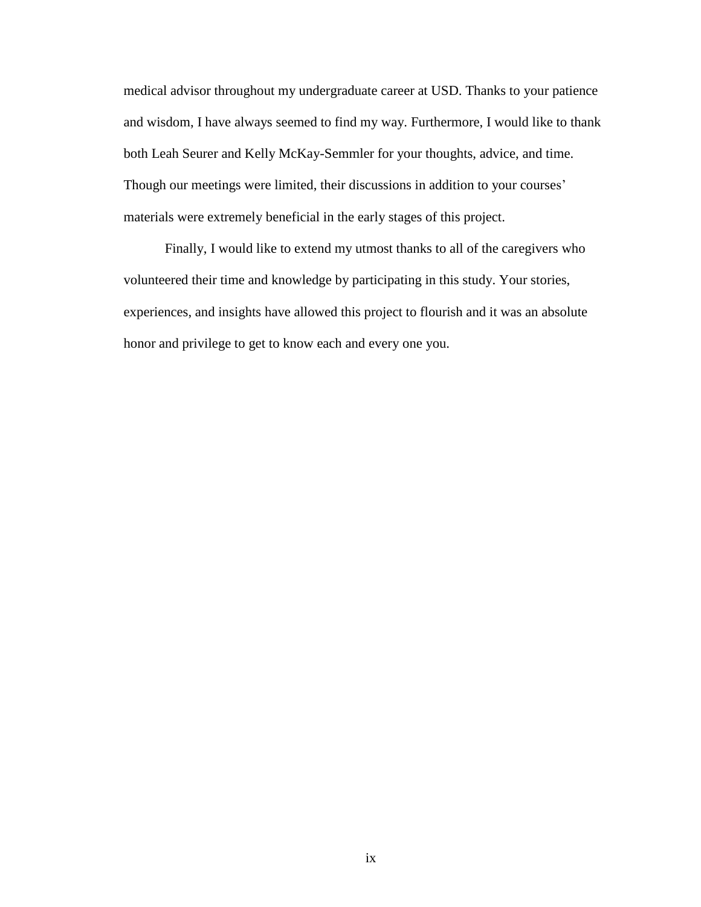medical advisor throughout my undergraduate career at USD. Thanks to your patience and wisdom, I have always seemed to find my way. Furthermore, I would like to thank both Leah Seurer and Kelly McKay-Semmler for your thoughts, advice, and time. Though our meetings were limited, their discussions in addition to your courses' materials were extremely beneficial in the early stages of this project.

Finally, I would like to extend my utmost thanks to all of the caregivers who volunteered their time and knowledge by participating in this study. Your stories, experiences, and insights have allowed this project to flourish and it was an absolute honor and privilege to get to know each and every one you.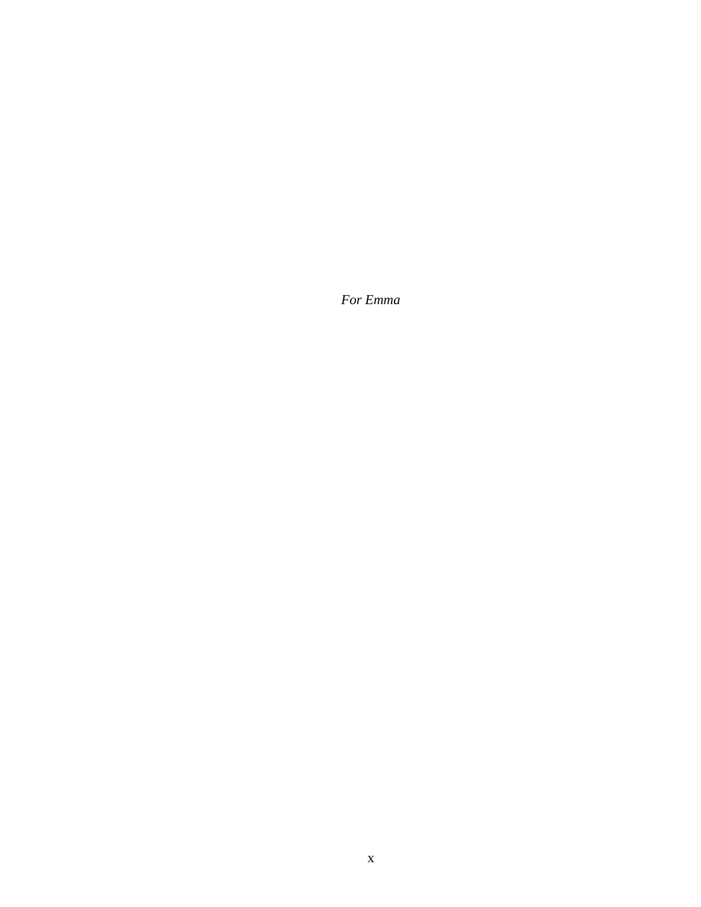*For Emma*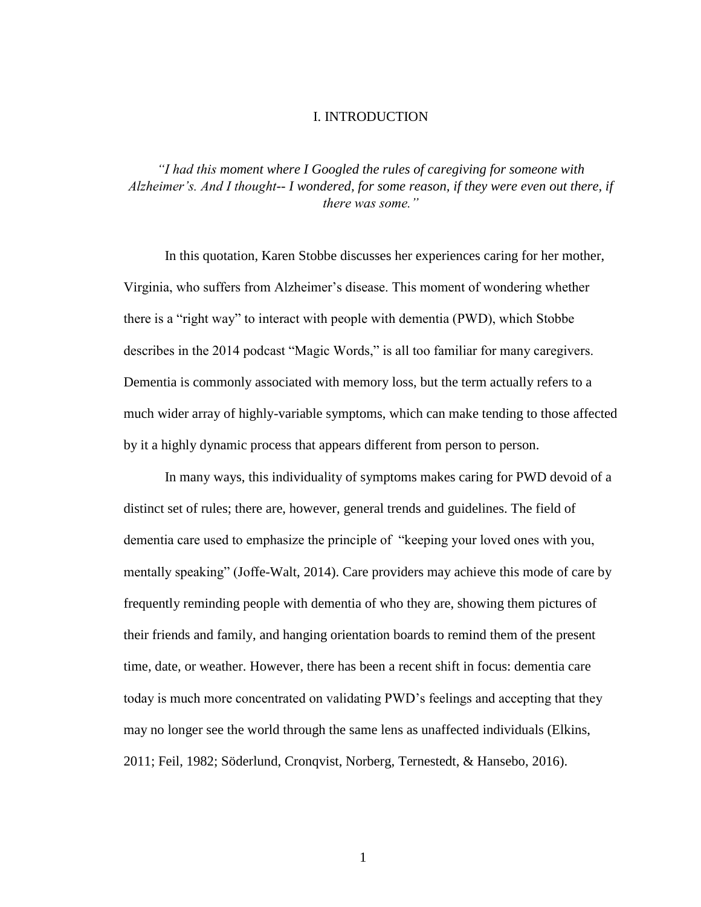# I. INTRODUCTION

*"I had this moment where I Googled the rules of caregiving for someone with Alzheimer's. And I thought-- I wondered, for some reason, if they were even out there, if there was some."*

In this quotation, Karen Stobbe discusses her experiences caring for her mother, Virginia, who suffers from Alzheimer's disease. This moment of wondering whether there is a "right way" to interact with people with dementia (PWD), which Stobbe describes in the 2014 podcast "Magic Words," is all too familiar for many caregivers. Dementia is commonly associated with memory loss, but the term actually refers to a much wider array of highly-variable symptoms, which can make tending to those affected by it a highly dynamic process that appears different from person to person.

In many ways, this individuality of symptoms makes caring for PWD devoid of a distinct set of rules; there are, however, general trends and guidelines. The field of dementia care used to emphasize the principle of "keeping your loved ones with you, mentally speaking" (Joffe-Walt, 2014). Care providers may achieve this mode of care by frequently reminding people with dementia of who they are, showing them pictures of their friends and family, and hanging orientation boards to remind them of the present time, date, or weather. However, there has been a recent shift in focus: dementia care today is much more concentrated on validating PWD's feelings and accepting that they may no longer see the world through the same lens as unaffected individuals (Elkins, 2011; Feil, 1982; Söderlund, Cronqvist, Norberg, Ternestedt, & Hansebo, 2016).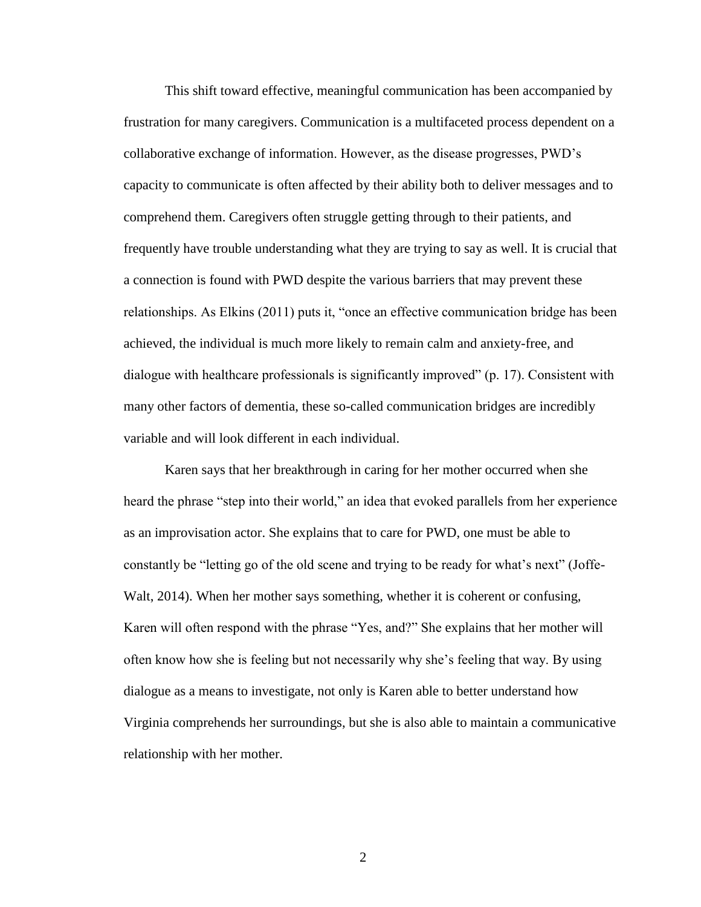This shift toward effective, meaningful communication has been accompanied by frustration for many caregivers. Communication is a multifaceted process dependent on a collaborative exchange of information. However, as the disease progresses, PWD's capacity to communicate is often affected by their ability both to deliver messages and to comprehend them. Caregivers often struggle getting through to their patients, and frequently have trouble understanding what they are trying to say as well. It is crucial that a connection is found with PWD despite the various barriers that may prevent these relationships. As Elkins (2011) puts it, "once an effective communication bridge has been achieved, the individual is much more likely to remain calm and anxiety-free, and dialogue with healthcare professionals is significantly improved" (p. 17). Consistent with many other factors of dementia, these so-called communication bridges are incredibly variable and will look different in each individual.

Karen says that her breakthrough in caring for her mother occurred when she heard the phrase "step into their world," an idea that evoked parallels from her experience as an improvisation actor. She explains that to care for PWD, one must be able to constantly be "letting go of the old scene and trying to be ready for what's next" (Joffe-Walt, 2014). When her mother says something, whether it is coherent or confusing, Karen will often respond with the phrase "Yes, and?" She explains that her mother will often know how she is feeling but not necessarily why she's feeling that way. By using dialogue as a means to investigate, not only is Karen able to better understand how Virginia comprehends her surroundings, but she is also able to maintain a communicative relationship with her mother.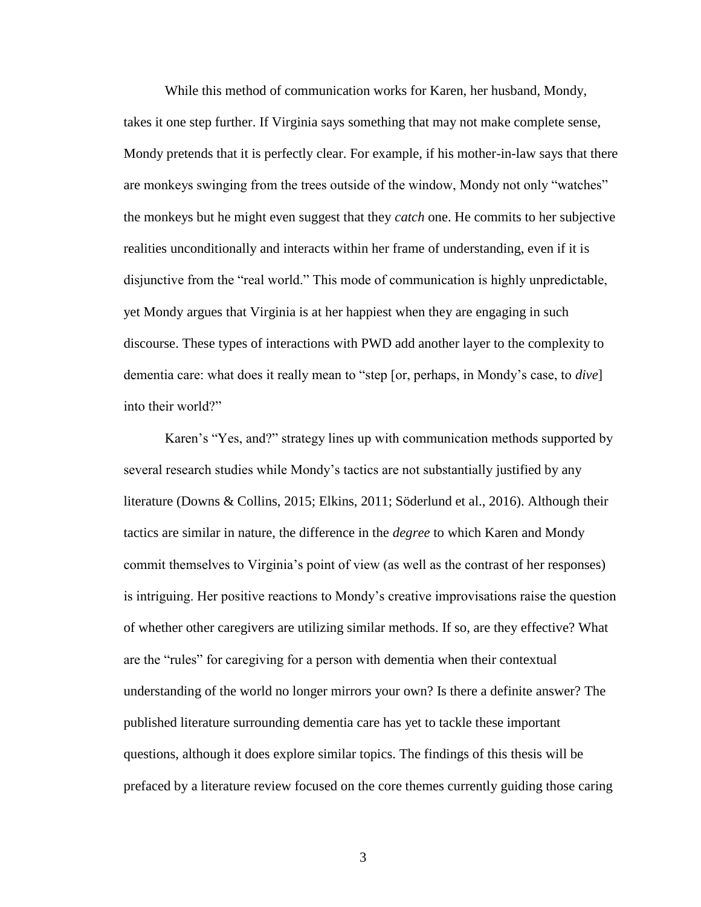While this method of communication works for Karen, her husband, Mondy, takes it one step further. If Virginia says something that may not make complete sense, Mondy pretends that it is perfectly clear. For example, if his mother-in-law says that there are monkeys swinging from the trees outside of the window, Mondy not only "watches" the monkeys but he might even suggest that they *catch* one. He commits to her subjective realities unconditionally and interacts within her frame of understanding, even if it is disjunctive from the "real world." This mode of communication is highly unpredictable, yet Mondy argues that Virginia is at her happiest when they are engaging in such discourse. These types of interactions with PWD add another layer to the complexity to dementia care: what does it really mean to "step [or, perhaps, in Mondy's case, to *dive*] into their world?"

Karen's "Yes, and?" strategy lines up with communication methods supported by several research studies while Mondy's tactics are not substantially justified by any literature (Downs & Collins, 2015; Elkins, 2011; Söderlund et al., 2016). Although their tactics are similar in nature, the difference in the *degree* to which Karen and Mondy commit themselves to Virginia's point of view (as well as the contrast of her responses) is intriguing. Her positive reactions to Mondy's creative improvisations raise the question of whether other caregivers are utilizing similar methods. If so, are they effective? What are the "rules" for caregiving for a person with dementia when their contextual understanding of the world no longer mirrors your own? Is there a definite answer? The published literature surrounding dementia care has yet to tackle these important questions, although it does explore similar topics. The findings of this thesis will be prefaced by a literature review focused on the core themes currently guiding those caring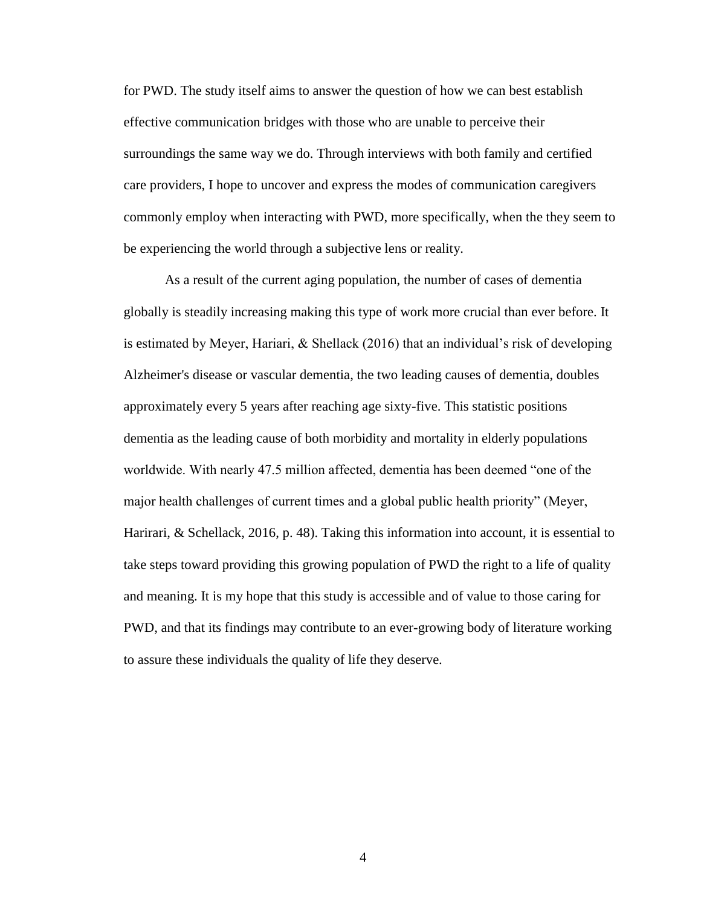for PWD. The study itself aims to answer the question of how we can best establish effective communication bridges with those who are unable to perceive their surroundings the same way we do. Through interviews with both family and certified care providers, I hope to uncover and express the modes of communication caregivers commonly employ when interacting with PWD, more specifically, when the they seem to be experiencing the world through a subjective lens or reality.

As a result of the current aging population, the number of cases of dementia globally is steadily increasing making this type of work more crucial than ever before. It is estimated by Meyer, Hariari, & Shellack (2016) that an individual's risk of developing Alzheimer's disease or vascular dementia, the two leading causes of dementia, doubles approximately every 5 years after reaching age sixty-five. This statistic positions dementia as the leading cause of both morbidity and mortality in elderly populations worldwide. With nearly 47.5 million affected, dementia has been deemed "one of the major health challenges of current times and a global public health priority" (Meyer, Harirari, & Schellack, 2016, p. 48). Taking this information into account, it is essential to take steps toward providing this growing population of PWD the right to a life of quality and meaning. It is my hope that this study is accessible and of value to those caring for PWD, and that its findings may contribute to an ever-growing body of literature working to assure these individuals the quality of life they deserve.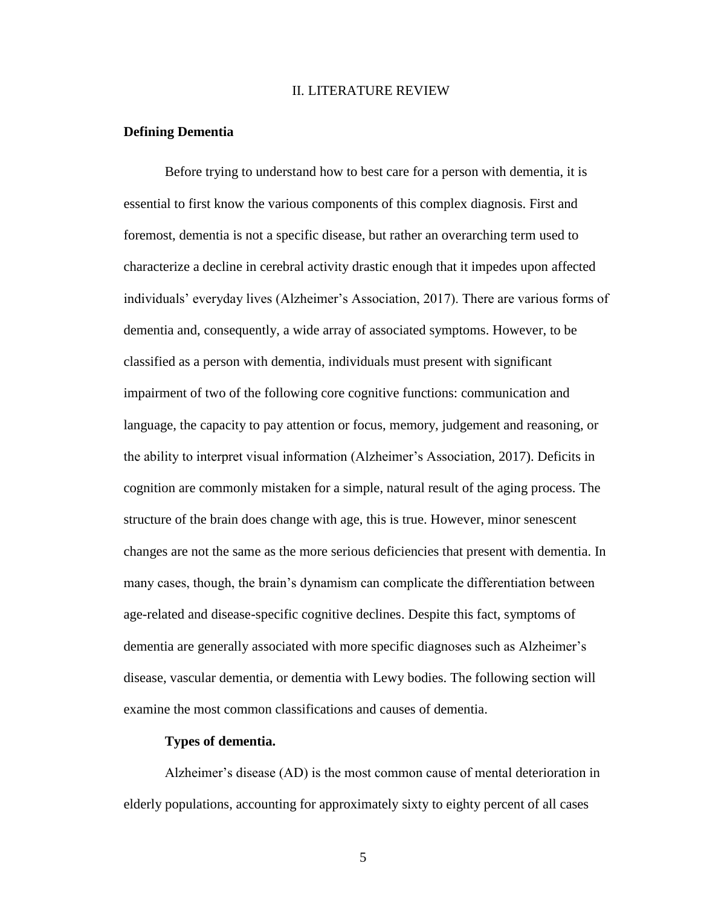#### II. LITERATURE REVIEW

#### **Defining Dementia**

Before trying to understand how to best care for a person with dementia, it is essential to first know the various components of this complex diagnosis. First and foremost, dementia is not a specific disease, but rather an overarching term used to characterize a decline in cerebral activity drastic enough that it impedes upon affected individuals' everyday lives (Alzheimer's Association, 2017). There are various forms of dementia and, consequently, a wide array of associated symptoms. However, to be classified as a person with dementia, individuals must present with significant impairment of two of the following core cognitive functions: communication and language, the capacity to pay attention or focus, memory, judgement and reasoning, or the ability to interpret visual information (Alzheimer's Association, 2017). Deficits in cognition are commonly mistaken for a simple, natural result of the aging process. The structure of the brain does change with age, this is true. However, minor senescent changes are not the same as the more serious deficiencies that present with dementia. In many cases, though, the brain's dynamism can complicate the differentiation between age-related and disease-specific cognitive declines. Despite this fact, symptoms of dementia are generally associated with more specific diagnoses such as Alzheimer's disease, vascular dementia, or dementia with Lewy bodies. The following section will examine the most common classifications and causes of dementia.

#### **Types of dementia.**

Alzheimer's disease (AD) is the most common cause of mental deterioration in elderly populations, accounting for approximately sixty to eighty percent of all cases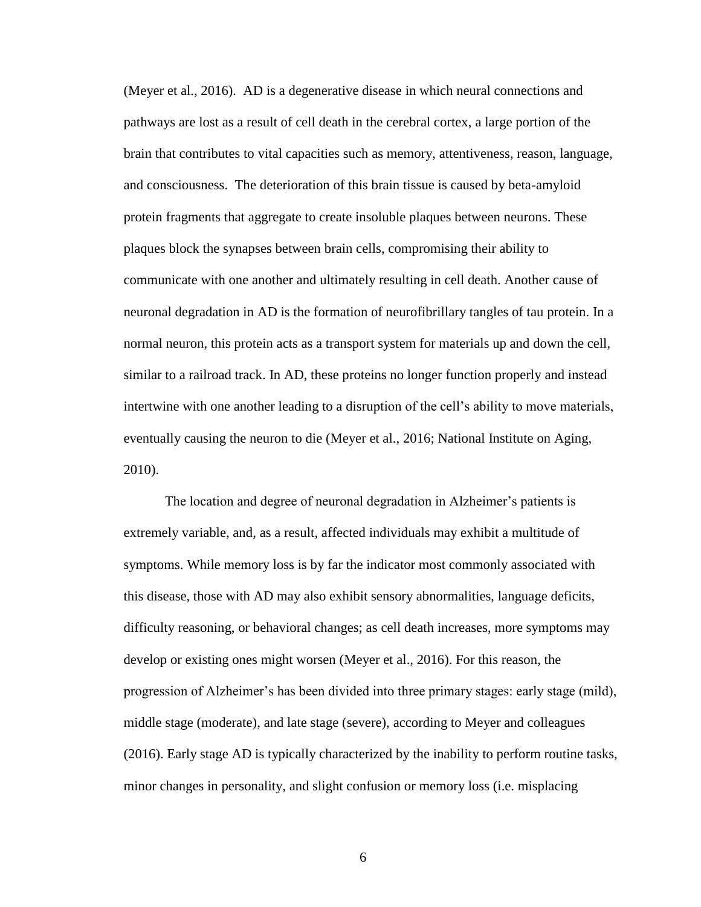(Meyer et al., 2016). AD is a degenerative disease in which neural connections and pathways are lost as a result of cell death in the cerebral cortex, a large portion of the brain that contributes to vital capacities such as memory, attentiveness, reason, language, and consciousness. The deterioration of this brain tissue is caused by beta-amyloid protein fragments that aggregate to create insoluble plaques between neurons. These plaques block the synapses between brain cells, compromising their ability to communicate with one another and ultimately resulting in cell death. Another cause of neuronal degradation in AD is the formation of neurofibrillary tangles of tau protein. In a normal neuron, this protein acts as a transport system for materials up and down the cell, similar to a railroad track. In AD, these proteins no longer function properly and instead intertwine with one another leading to a disruption of the cell's ability to move materials, eventually causing the neuron to die (Meyer et al., 2016; National Institute on Aging, 2010).

The location and degree of neuronal degradation in Alzheimer's patients is extremely variable, and, as a result, affected individuals may exhibit a multitude of symptoms. While memory loss is by far the indicator most commonly associated with this disease, those with AD may also exhibit sensory abnormalities, language deficits, difficulty reasoning, or behavioral changes; as cell death increases, more symptoms may develop or existing ones might worsen (Meyer et al., 2016). For this reason, the progression of Alzheimer's has been divided into three primary stages: early stage (mild), middle stage (moderate), and late stage (severe), according to Meyer and colleagues (2016). Early stage AD is typically characterized by the inability to perform routine tasks, minor changes in personality, and slight confusion or memory loss (i.e. misplacing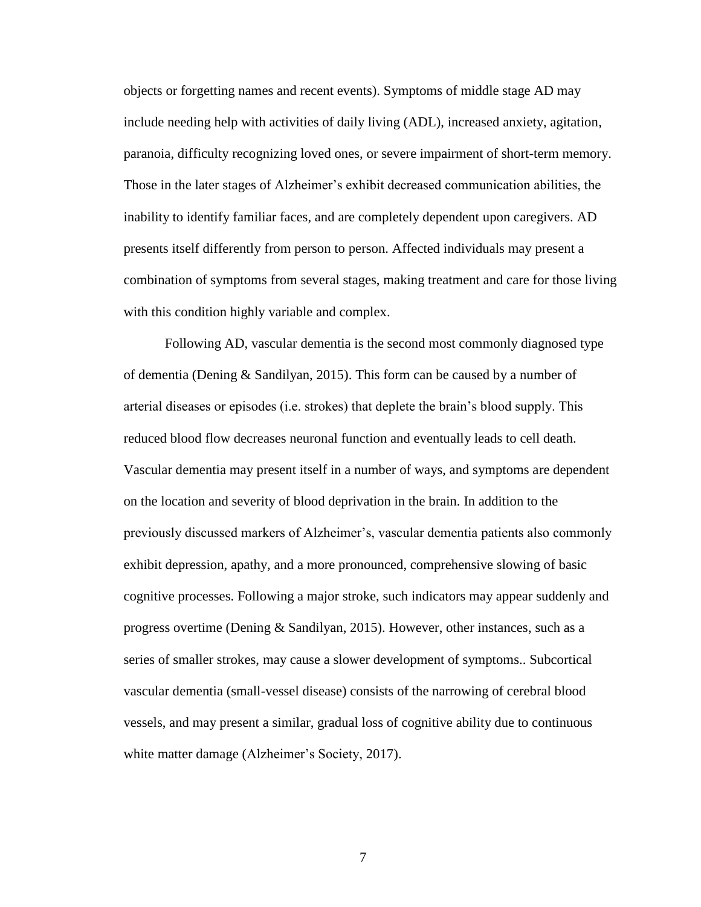objects or forgetting names and recent events). Symptoms of middle stage AD may include needing help with activities of daily living (ADL), increased anxiety, agitation, paranoia, difficulty recognizing loved ones, or severe impairment of short-term memory. Those in the later stages of Alzheimer's exhibit decreased communication abilities, the inability to identify familiar faces, and are completely dependent upon caregivers. AD presents itself differently from person to person. Affected individuals may present a combination of symptoms from several stages, making treatment and care for those living with this condition highly variable and complex.

Following AD, vascular dementia is the second most commonly diagnosed type of dementia (Dening & Sandilyan, 2015). This form can be caused by a number of arterial diseases or episodes (i.e. strokes) that deplete the brain's blood supply. This reduced blood flow decreases neuronal function and eventually leads to cell death. Vascular dementia may present itself in a number of ways, and symptoms are dependent on the location and severity of blood deprivation in the brain. In addition to the previously discussed markers of Alzheimer's, vascular dementia patients also commonly exhibit depression, apathy, and a more pronounced, comprehensive slowing of basic cognitive processes. Following a major stroke, such indicators may appear suddenly and progress overtime (Dening & Sandilyan, 2015). However, other instances, such as a series of smaller strokes, may cause a slower development of symptoms.. Subcortical vascular dementia (small-vessel disease) consists of the narrowing of cerebral blood vessels, and may present a similar, gradual loss of cognitive ability due to continuous white matter damage (Alzheimer's Society, 2017).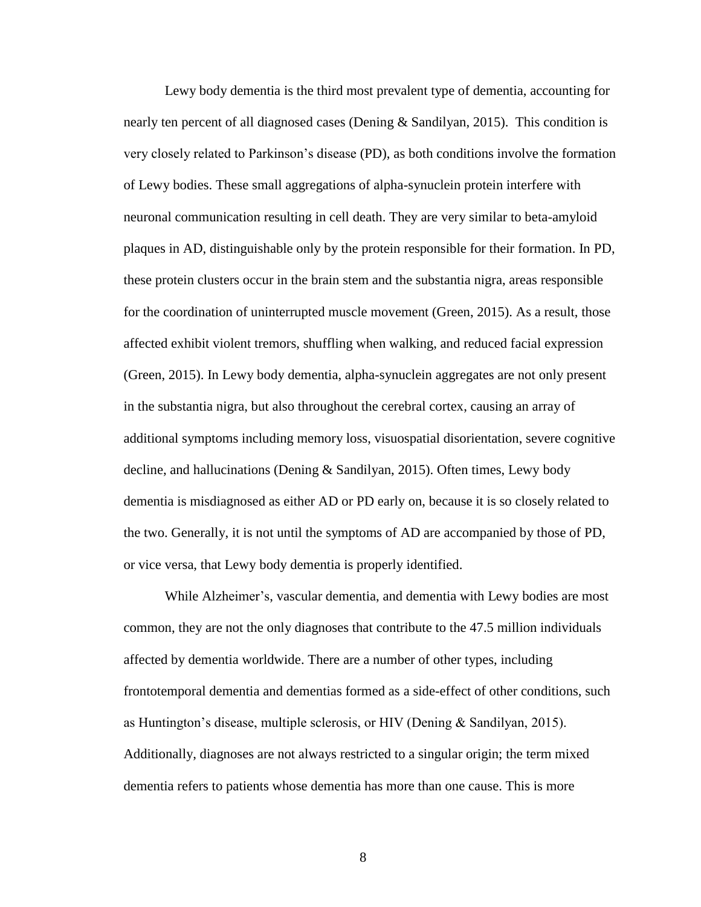Lewy body dementia is the third most prevalent type of dementia, accounting for nearly ten percent of all diagnosed cases (Dening & Sandilyan, 2015). This condition is very closely related to Parkinson's disease (PD), as both conditions involve the formation of Lewy bodies. These small aggregations of alpha-synuclein protein interfere with neuronal communication resulting in cell death. They are very similar to beta-amyloid plaques in AD, distinguishable only by the protein responsible for their formation. In PD, these protein clusters occur in the brain stem and the substantia nigra, areas responsible for the coordination of uninterrupted muscle movement (Green, 2015). As a result, those affected exhibit violent tremors, shuffling when walking, and reduced facial expression (Green, 2015). In Lewy body dementia, alpha-synuclein aggregates are not only present in the substantia nigra, but also throughout the cerebral cortex, causing an array of additional symptoms including memory loss, visuospatial disorientation, severe cognitive decline, and hallucinations (Dening & Sandilyan, 2015). Often times, Lewy body dementia is misdiagnosed as either AD or PD early on, because it is so closely related to the two. Generally, it is not until the symptoms of AD are accompanied by those of PD, or vice versa, that Lewy body dementia is properly identified.

While Alzheimer's, vascular dementia, and dementia with Lewy bodies are most common, they are not the only diagnoses that contribute to the 47.5 million individuals affected by dementia worldwide. There are a number of other types, including frontotemporal dementia and dementias formed as a side-effect of other conditions, such as Huntington's disease, multiple sclerosis, or HIV (Dening & Sandilyan, 2015). Additionally, diagnoses are not always restricted to a singular origin; the term mixed dementia refers to patients whose dementia has more than one cause. This is more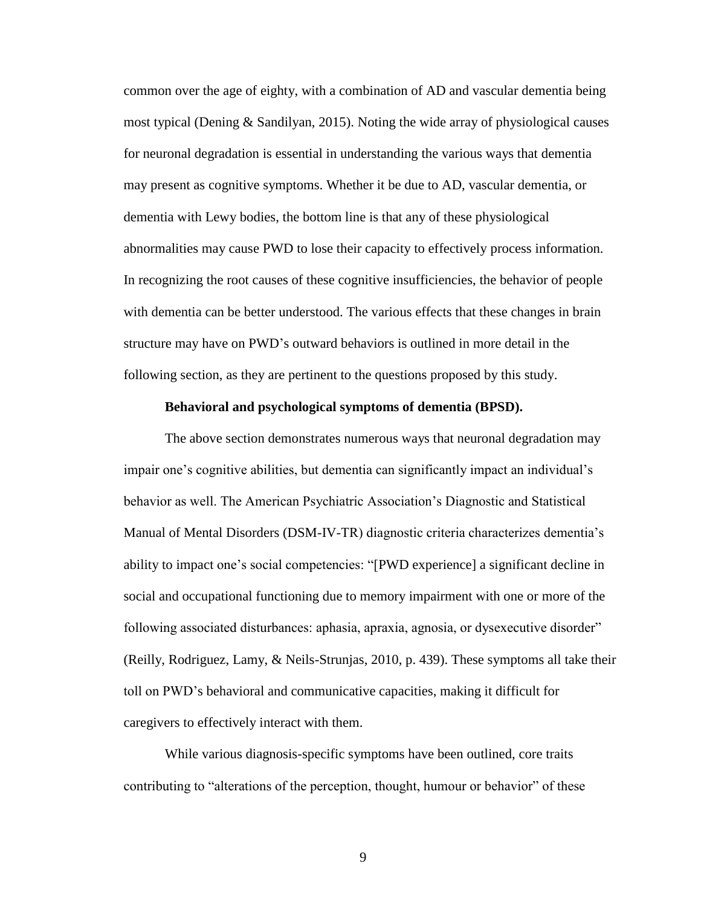common over the age of eighty, with a combination of AD and vascular dementia being most typical (Dening & Sandilyan, 2015). Noting the wide array of physiological causes for neuronal degradation is essential in understanding the various ways that dementia may present as cognitive symptoms. Whether it be due to AD, vascular dementia, or dementia with Lewy bodies, the bottom line is that any of these physiological abnormalities may cause PWD to lose their capacity to effectively process information. In recognizing the root causes of these cognitive insufficiencies, the behavior of people with dementia can be better understood. The various effects that these changes in brain structure may have on PWD's outward behaviors is outlined in more detail in the following section, as they are pertinent to the questions proposed by this study.

# **Behavioral and psychological symptoms of dementia (BPSD).**

The above section demonstrates numerous ways that neuronal degradation may impair one's cognitive abilities, but dementia can significantly impact an individual's behavior as well. The American Psychiatric Association's Diagnostic and Statistical Manual of Mental Disorders (DSM-IV-TR) diagnostic criteria characterizes dementia's ability to impact one's social competencies: "[PWD experience] a significant decline in social and occupational functioning due to memory impairment with one or more of the following associated disturbances: aphasia, apraxia, agnosia, or dysexecutive disorder" (Reilly, Rodriguez, Lamy, & Neils-Strunjas, 2010, p. 439). These symptoms all take their toll on PWD's behavioral and communicative capacities, making it difficult for caregivers to effectively interact with them.

While various diagnosis-specific symptoms have been outlined, core traits contributing to "alterations of the perception, thought, humour or behavior" of these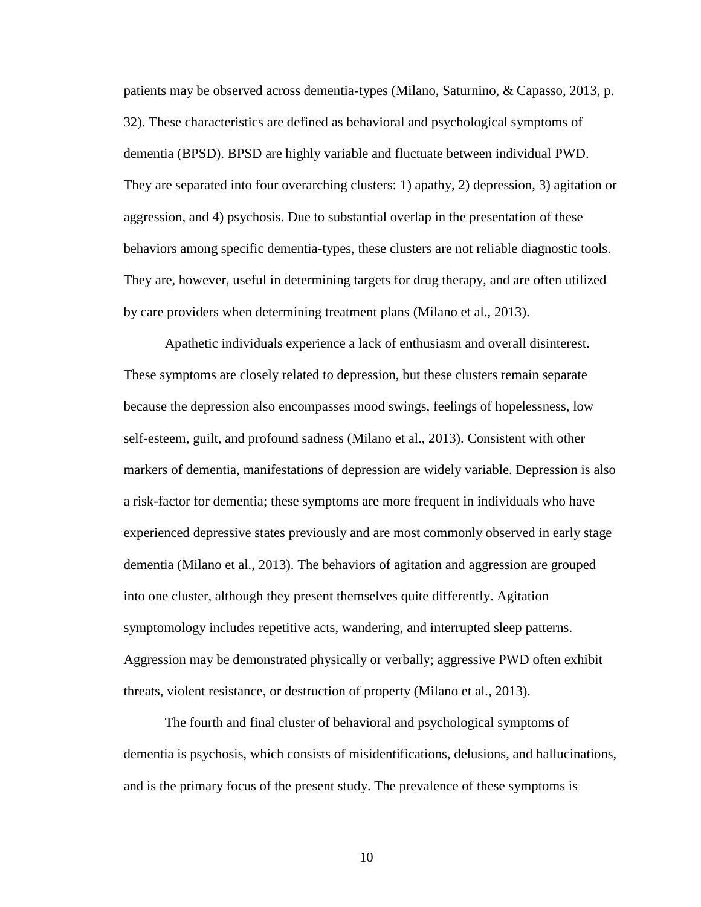patients may be observed across dementia-types (Milano, Saturnino, & Capasso, 2013, p. 32). These characteristics are defined as behavioral and psychological symptoms of dementia (BPSD). BPSD are highly variable and fluctuate between individual PWD. They are separated into four overarching clusters: 1) apathy, 2) depression, 3) agitation or aggression, and 4) psychosis. Due to substantial overlap in the presentation of these behaviors among specific dementia-types, these clusters are not reliable diagnostic tools. They are, however, useful in determining targets for drug therapy, and are often utilized by care providers when determining treatment plans (Milano et al., 2013).

Apathetic individuals experience a lack of enthusiasm and overall disinterest. These symptoms are closely related to depression, but these clusters remain separate because the depression also encompasses mood swings, feelings of hopelessness, low self-esteem, guilt, and profound sadness (Milano et al., 2013). Consistent with other markers of dementia, manifestations of depression are widely variable. Depression is also a risk-factor for dementia; these symptoms are more frequent in individuals who have experienced depressive states previously and are most commonly observed in early stage dementia (Milano et al., 2013). The behaviors of agitation and aggression are grouped into one cluster, although they present themselves quite differently. Agitation symptomology includes repetitive acts, wandering, and interrupted sleep patterns. Aggression may be demonstrated physically or verbally; aggressive PWD often exhibit threats, violent resistance, or destruction of property (Milano et al., 2013).

The fourth and final cluster of behavioral and psychological symptoms of dementia is psychosis, which consists of misidentifications, delusions, and hallucinations, and is the primary focus of the present study. The prevalence of these symptoms is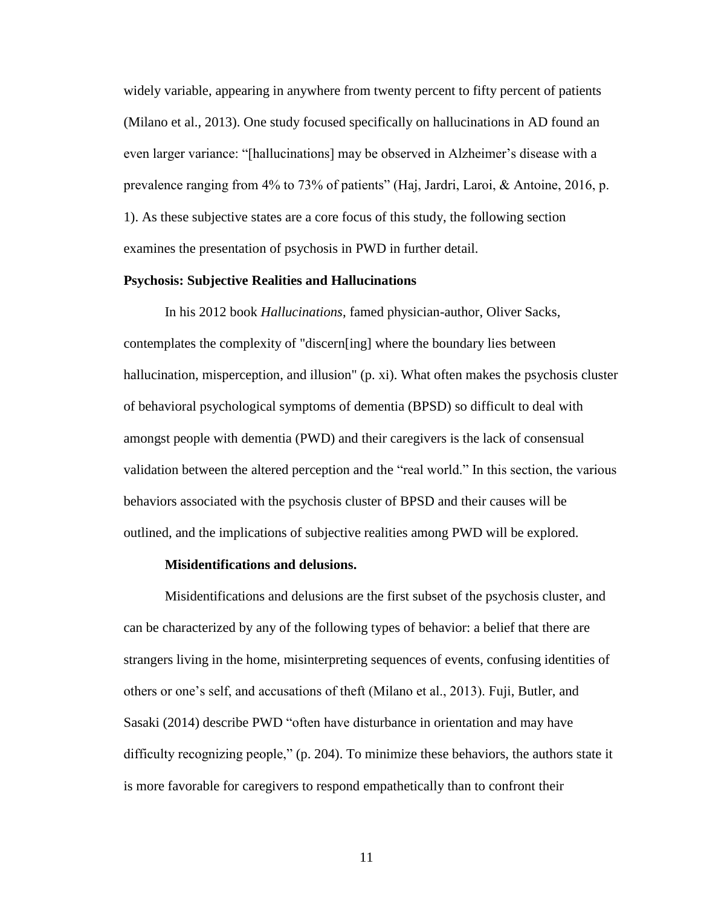widely variable, appearing in anywhere from twenty percent to fifty percent of patients (Milano et al., 2013). One study focused specifically on hallucinations in AD found an even larger variance: "[hallucinations] may be observed in Alzheimer's disease with a prevalence ranging from 4% to 73% of patients" (Haj, Jardri, Laroi, & Antoine, 2016, p. 1). As these subjective states are a core focus of this study, the following section examines the presentation of psychosis in PWD in further detail.

# **Psychosis: Subjective Realities and Hallucinations**

In his 2012 book *Hallucinations*, famed physician-author, Oliver Sacks, contemplates the complexity of "discern[ing] where the boundary lies between hallucination, misperception, and illusion" (p. xi). What often makes the psychosis cluster of behavioral psychological symptoms of dementia (BPSD) so difficult to deal with amongst people with dementia (PWD) and their caregivers is the lack of consensual validation between the altered perception and the "real world." In this section, the various behaviors associated with the psychosis cluster of BPSD and their causes will be outlined, and the implications of subjective realities among PWD will be explored.

# **Misidentifications and delusions.**

Misidentifications and delusions are the first subset of the psychosis cluster, and can be characterized by any of the following types of behavior: a belief that there are strangers living in the home, misinterpreting sequences of events, confusing identities of others or one's self, and accusations of theft (Milano et al., 2013). Fuji, Butler, and Sasaki (2014) describe PWD "often have disturbance in orientation and may have difficulty recognizing people," (p. 204). To minimize these behaviors, the authors state it is more favorable for caregivers to respond empathetically than to confront their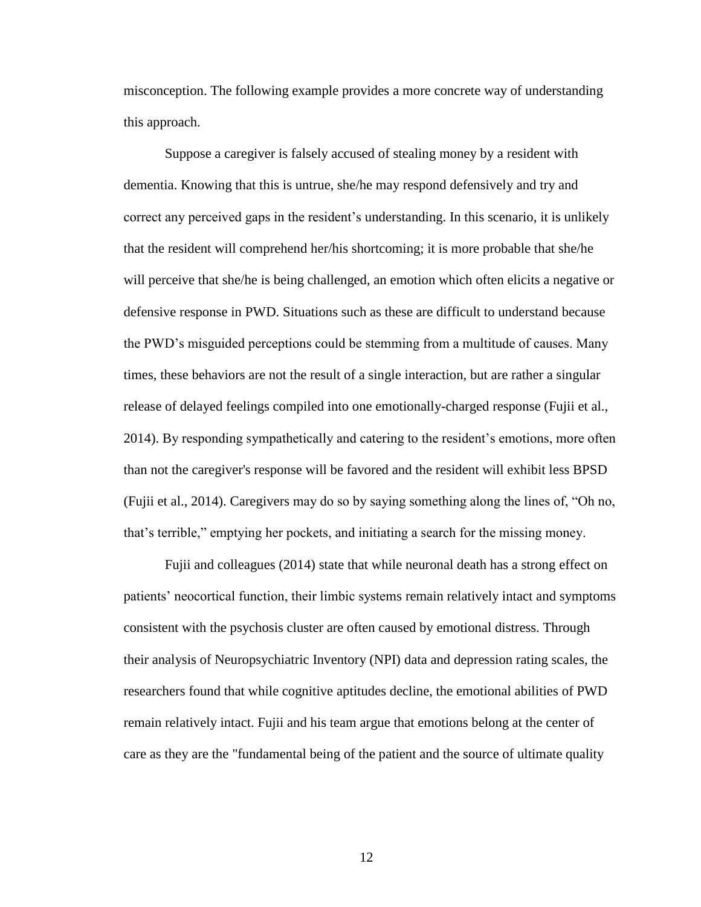misconception. The following example provides a more concrete way of understanding this approach.

Suppose a caregiver is falsely accused of stealing money by a resident with dementia. Knowing that this is untrue, she/he may respond defensively and try and correct any perceived gaps in the resident's understanding. In this scenario, it is unlikely that the resident will comprehend her/his shortcoming; it is more probable that she/he will perceive that she/he is being challenged, an emotion which often elicits a negative or defensive response in PWD. Situations such as these are difficult to understand because the PWD's misguided perceptions could be stemming from a multitude of causes. Many times, these behaviors are not the result of a single interaction, but are rather a singular release of delayed feelings compiled into one emotionally-charged response (Fujii et al., 2014). By responding sympathetically and catering to the resident's emotions, more often than not the caregiver's response will be favored and the resident will exhibit less BPSD (Fujii et al., 2014). Caregivers may do so by saying something along the lines of, "Oh no, that's terrible," emptying her pockets, and initiating a search for the missing money.

Fujii and colleagues (2014) state that while neuronal death has a strong effect on patients' neocortical function, their limbic systems remain relatively intact and symptoms consistent with the psychosis cluster are often caused by emotional distress. Through their analysis of Neuropsychiatric Inventory (NPI) data and depression rating scales, the researchers found that while cognitive aptitudes decline, the emotional abilities of PWD remain relatively intact. Fujii and his team argue that emotions belong at the center of care as they are the "fundamental being of the patient and the source of ultimate quality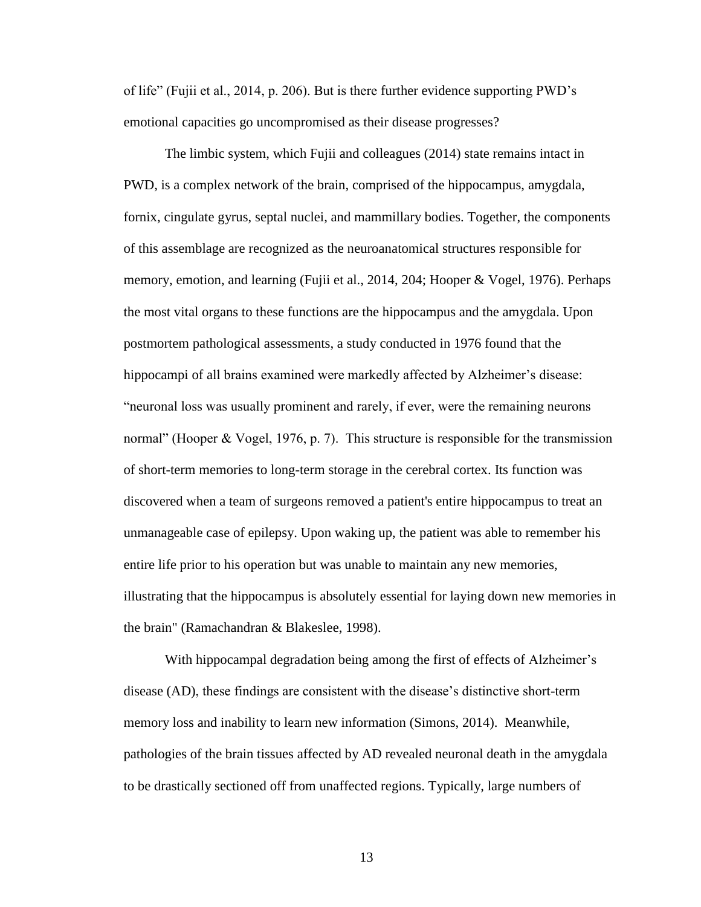of life" (Fujii et al., 2014, p. 206). But is there further evidence supporting PWD's emotional capacities go uncompromised as their disease progresses?

The limbic system, which Fujii and colleagues (2014) state remains intact in PWD, is a complex network of the brain, comprised of the hippocampus, amygdala, fornix, cingulate gyrus, septal nuclei, and mammillary bodies. Together, the components of this assemblage are recognized as the neuroanatomical structures responsible for memory, emotion, and learning (Fujii et al., 2014, 204; Hooper & Vogel, 1976). Perhaps the most vital organs to these functions are the hippocampus and the amygdala. Upon postmortem pathological assessments, a study conducted in 1976 found that the hippocampi of all brains examined were markedly affected by Alzheimer's disease: "neuronal loss was usually prominent and rarely, if ever, were the remaining neurons normal" (Hooper & Vogel, 1976, p. 7). This structure is responsible for the transmission of short-term memories to long-term storage in the cerebral cortex. Its function was discovered when a team of surgeons removed a patient's entire hippocampus to treat an unmanageable case of epilepsy. Upon waking up, the patient was able to remember his entire life prior to his operation but was unable to maintain any new memories, illustrating that the hippocampus is absolutely essential for laying down new memories in the brain" (Ramachandran & Blakeslee, 1998).

With hippocampal degradation being among the first of effects of Alzheimer's disease (AD), these findings are consistent with the disease's distinctive short-term memory loss and inability to learn new information (Simons, 2014). Meanwhile, pathologies of the brain tissues affected by AD revealed neuronal death in the amygdala to be drastically sectioned off from unaffected regions. Typically, large numbers of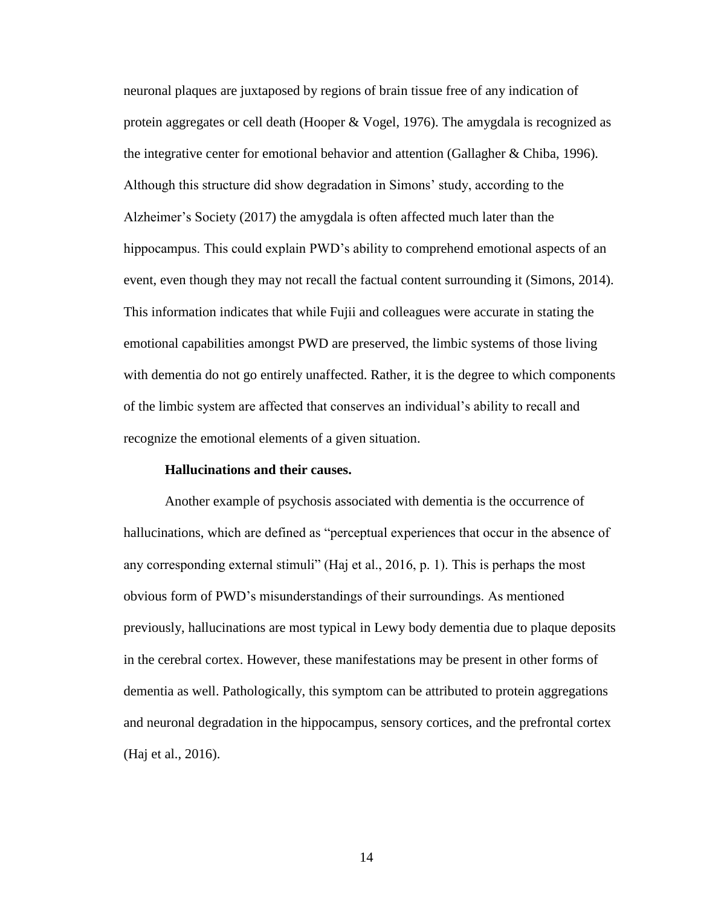neuronal plaques are juxtaposed by regions of brain tissue free of any indication of protein aggregates or cell death (Hooper & Vogel, 1976). The amygdala is recognized as the integrative center for emotional behavior and attention (Gallagher & Chiba, 1996). Although this structure did show degradation in Simons' study, according to the Alzheimer's Society (2017) the amygdala is often affected much later than the hippocampus. This could explain PWD's ability to comprehend emotional aspects of an event, even though they may not recall the factual content surrounding it (Simons, 2014). This information indicates that while Fujii and colleagues were accurate in stating the emotional capabilities amongst PWD are preserved, the limbic systems of those living with dementia do not go entirely unaffected. Rather, it is the degree to which components of the limbic system are affected that conserves an individual's ability to recall and recognize the emotional elements of a given situation.

# **Hallucinations and their causes.**

Another example of psychosis associated with dementia is the occurrence of hallucinations, which are defined as "perceptual experiences that occur in the absence of any corresponding external stimuli" (Haj et al., 2016, p. 1). This is perhaps the most obvious form of PWD's misunderstandings of their surroundings. As mentioned previously, hallucinations are most typical in Lewy body dementia due to plaque deposits in the cerebral cortex. However, these manifestations may be present in other forms of dementia as well. Pathologically, this symptom can be attributed to protein aggregations and neuronal degradation in the hippocampus, sensory cortices, and the prefrontal cortex (Haj et al., 2016).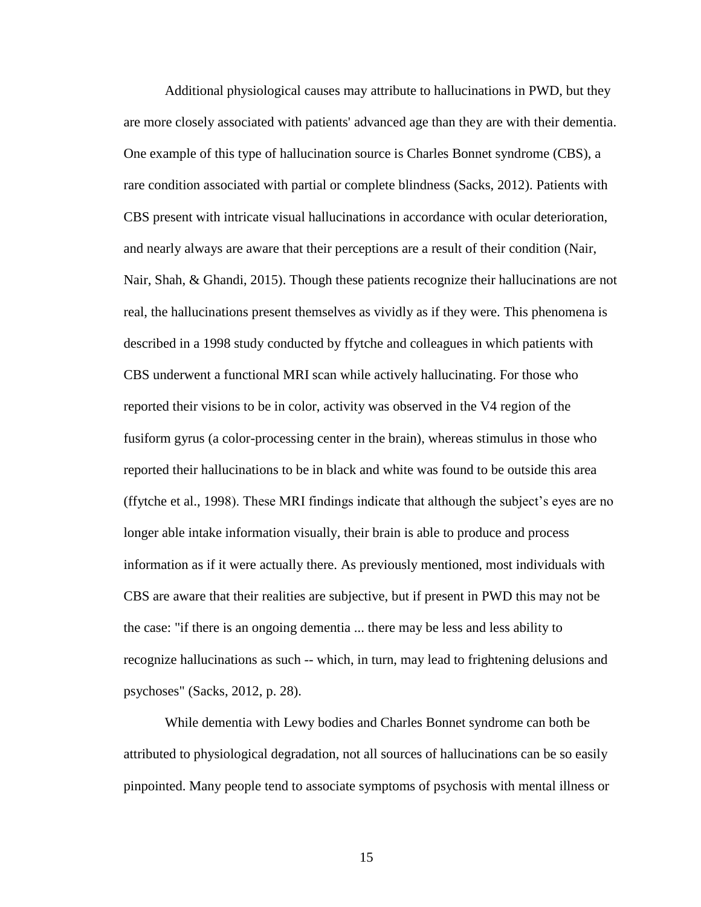Additional physiological causes may attribute to hallucinations in PWD, but they are more closely associated with patients' advanced age than they are with their dementia. One example of this type of hallucination source is Charles Bonnet syndrome (CBS), a rare condition associated with partial or complete blindness (Sacks, 2012). Patients with CBS present with intricate visual hallucinations in accordance with ocular deterioration, and nearly always are aware that their perceptions are a result of their condition (Nair, Nair, Shah, & Ghandi, 2015). Though these patients recognize their hallucinations are not real, the hallucinations present themselves as vividly as if they were. This phenomena is described in a 1998 study conducted by ffytche and colleagues in which patients with CBS underwent a functional MRI scan while actively hallucinating. For those who reported their visions to be in color, activity was observed in the V4 region of the fusiform gyrus (a color-processing center in the brain), whereas stimulus in those who reported their hallucinations to be in black and white was found to be outside this area (ffytche et al., 1998). These MRI findings indicate that although the subject's eyes are no longer able intake information visually, their brain is able to produce and process information as if it were actually there. As previously mentioned, most individuals with CBS are aware that their realities are subjective, but if present in PWD this may not be the case: "if there is an ongoing dementia ... there may be less and less ability to recognize hallucinations as such -- which, in turn, may lead to frightening delusions and psychoses" (Sacks, 2012, p. 28).

While dementia with Lewy bodies and Charles Bonnet syndrome can both be attributed to physiological degradation, not all sources of hallucinations can be so easily pinpointed. Many people tend to associate symptoms of psychosis with mental illness or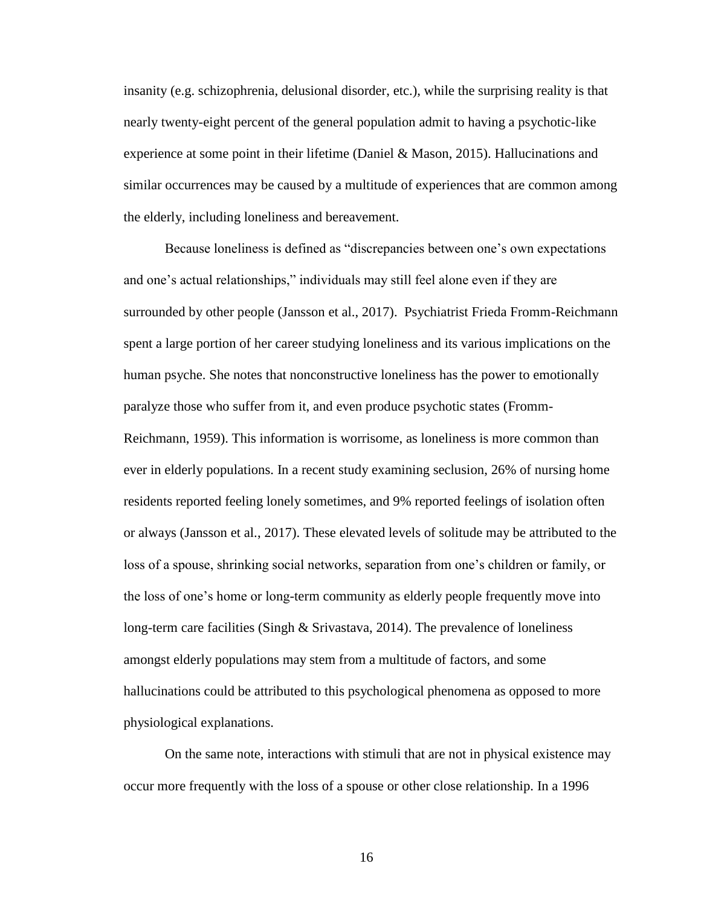insanity (e.g. schizophrenia, delusional disorder, etc.), while the surprising reality is that nearly twenty-eight percent of the general population admit to having a psychotic-like experience at some point in their lifetime (Daniel & Mason, 2015). Hallucinations and similar occurrences may be caused by a multitude of experiences that are common among the elderly, including loneliness and bereavement.

Because loneliness is defined as "discrepancies between one's own expectations and one's actual relationships," individuals may still feel alone even if they are surrounded by other people (Jansson et al., 2017). Psychiatrist Frieda Fromm-Reichmann spent a large portion of her career studying loneliness and its various implications on the human psyche. She notes that nonconstructive loneliness has the power to emotionally paralyze those who suffer from it, and even produce psychotic states (Fromm-Reichmann, 1959). This information is worrisome, as loneliness is more common than ever in elderly populations. In a recent study examining seclusion, 26% of nursing home residents reported feeling lonely sometimes, and 9% reported feelings of isolation often or always (Jansson et al., 2017). These elevated levels of solitude may be attributed to the loss of a spouse, shrinking social networks, separation from one's children or family, or the loss of one's home or long-term community as elderly people frequently move into long-term care facilities (Singh & Srivastava, 2014). The prevalence of loneliness amongst elderly populations may stem from a multitude of factors, and some hallucinations could be attributed to this psychological phenomena as opposed to more physiological explanations.

On the same note, interactions with stimuli that are not in physical existence may occur more frequently with the loss of a spouse or other close relationship. In a 1996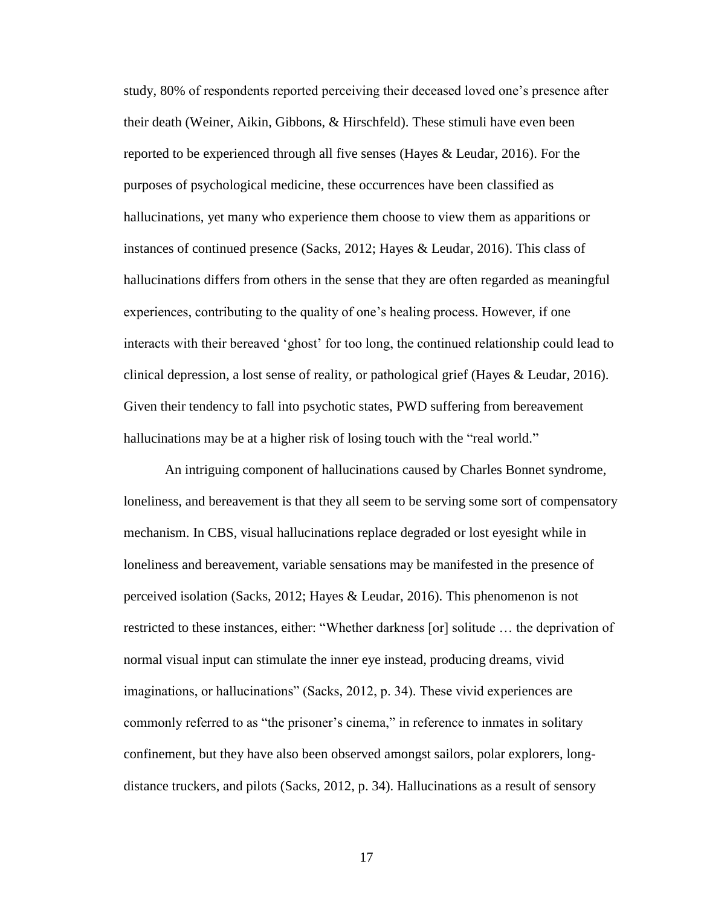study, 80% of respondents reported perceiving their deceased loved one's presence after their death (Weiner, Aikin, Gibbons, & Hirschfeld). These stimuli have even been reported to be experienced through all five senses (Hayes & Leudar, 2016). For the purposes of psychological medicine, these occurrences have been classified as hallucinations, yet many who experience them choose to view them as apparitions or instances of continued presence (Sacks, 2012; Hayes & Leudar, 2016). This class of hallucinations differs from others in the sense that they are often regarded as meaningful experiences, contributing to the quality of one's healing process. However, if one interacts with their bereaved 'ghost' for too long, the continued relationship could lead to clinical depression, a lost sense of reality, or pathological grief (Hayes & Leudar, 2016). Given their tendency to fall into psychotic states, PWD suffering from bereavement hallucinations may be at a higher risk of losing touch with the "real world."

An intriguing component of hallucinations caused by Charles Bonnet syndrome, loneliness, and bereavement is that they all seem to be serving some sort of compensatory mechanism. In CBS, visual hallucinations replace degraded or lost eyesight while in loneliness and bereavement, variable sensations may be manifested in the presence of perceived isolation (Sacks, 2012; Hayes & Leudar, 2016). This phenomenon is not restricted to these instances, either: "Whether darkness [or] solitude … the deprivation of normal visual input can stimulate the inner eye instead, producing dreams, vivid imaginations, or hallucinations" (Sacks, 2012, p. 34). These vivid experiences are commonly referred to as "the prisoner's cinema," in reference to inmates in solitary confinement, but they have also been observed amongst sailors, polar explorers, longdistance truckers, and pilots (Sacks, 2012, p. 34). Hallucinations as a result of sensory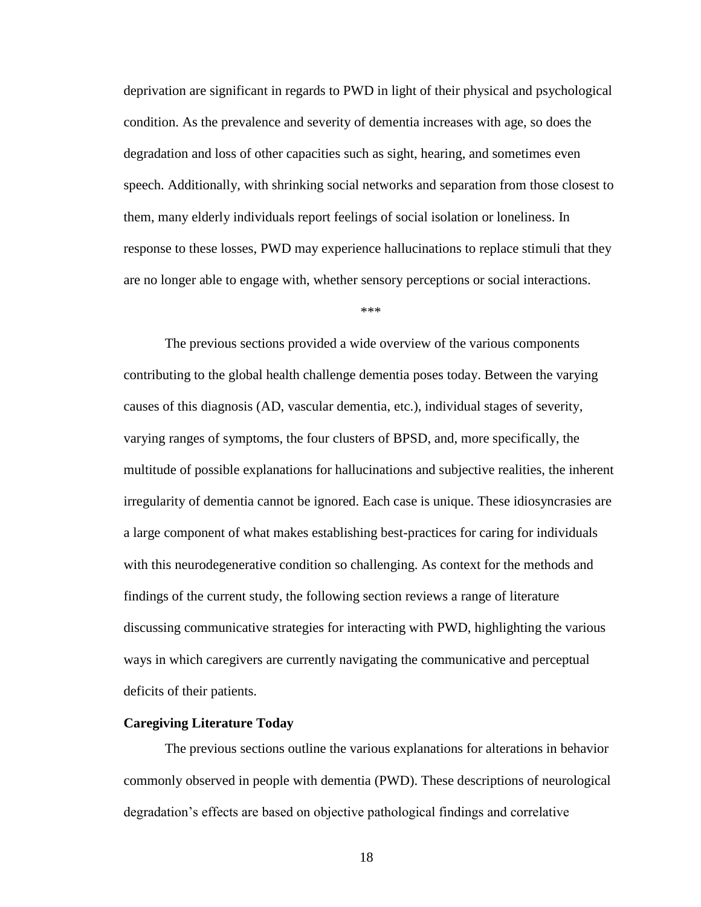deprivation are significant in regards to PWD in light of their physical and psychological condition. As the prevalence and severity of dementia increases with age, so does the degradation and loss of other capacities such as sight, hearing, and sometimes even speech. Additionally, with shrinking social networks and separation from those closest to them, many elderly individuals report feelings of social isolation or loneliness. In response to these losses, PWD may experience hallucinations to replace stimuli that they are no longer able to engage with, whether sensory perceptions or social interactions.

\*\*\*

The previous sections provided a wide overview of the various components contributing to the global health challenge dementia poses today. Between the varying causes of this diagnosis (AD, vascular dementia, etc.), individual stages of severity, varying ranges of symptoms, the four clusters of BPSD, and, more specifically, the multitude of possible explanations for hallucinations and subjective realities, the inherent irregularity of dementia cannot be ignored. Each case is unique. These idiosyncrasies are a large component of what makes establishing best-practices for caring for individuals with this neurodegenerative condition so challenging. As context for the methods and findings of the current study, the following section reviews a range of literature discussing communicative strategies for interacting with PWD, highlighting the various ways in which caregivers are currently navigating the communicative and perceptual deficits of their patients.

#### **Caregiving Literature Today**

The previous sections outline the various explanations for alterations in behavior commonly observed in people with dementia (PWD). These descriptions of neurological degradation's effects are based on objective pathological findings and correlative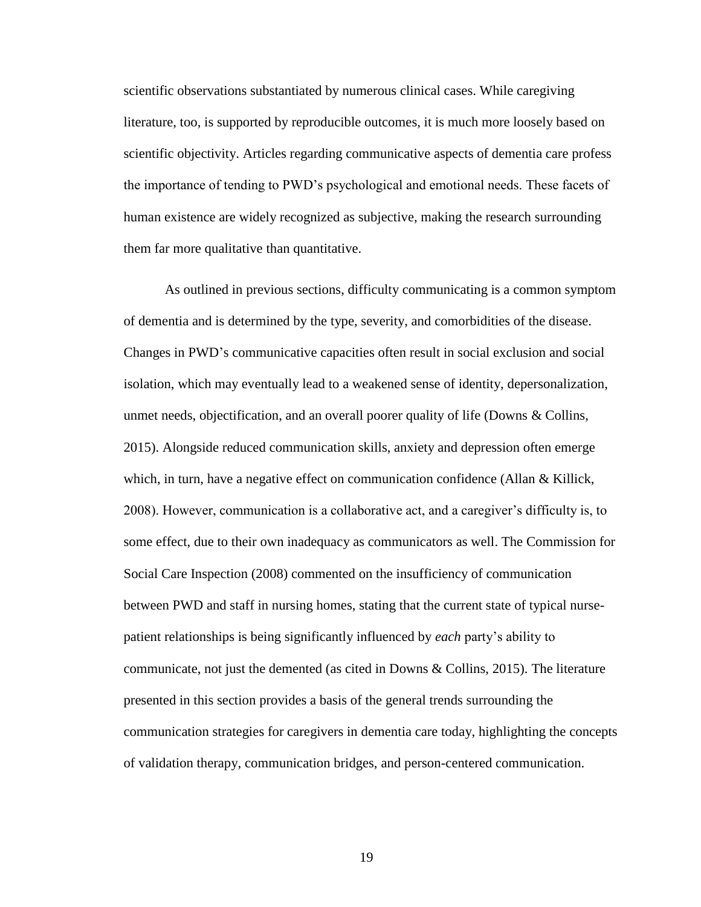scientific observations substantiated by numerous clinical cases. While caregiving literature, too, is supported by reproducible outcomes, it is much more loosely based on scientific objectivity. Articles regarding communicative aspects of dementia care profess the importance of tending to PWD's psychological and emotional needs. These facets of human existence are widely recognized as subjective, making the research surrounding them far more qualitative than quantitative.

As outlined in previous sections, difficulty communicating is a common symptom of dementia and is determined by the type, severity, and comorbidities of the disease. Changes in PWD's communicative capacities often result in social exclusion and social isolation, which may eventually lead to a weakened sense of identity, depersonalization, unmet needs, objectification, and an overall poorer quality of life (Downs & Collins, 2015). Alongside reduced communication skills, anxiety and depression often emerge which, in turn, have a negative effect on communication confidence (Allan & Killick, 2008). However, communication is a collaborative act, and a caregiver's difficulty is, to some effect, due to their own inadequacy as communicators as well. The Commission for Social Care Inspection (2008) commented on the insufficiency of communication between PWD and staff in nursing homes, stating that the current state of typical nursepatient relationships is being significantly influenced by *each* party's ability to communicate, not just the demented (as cited in Downs & Collins, 2015). The literature presented in this section provides a basis of the general trends surrounding the communication strategies for caregivers in dementia care today, highlighting the concepts of validation therapy, communication bridges, and person-centered communication.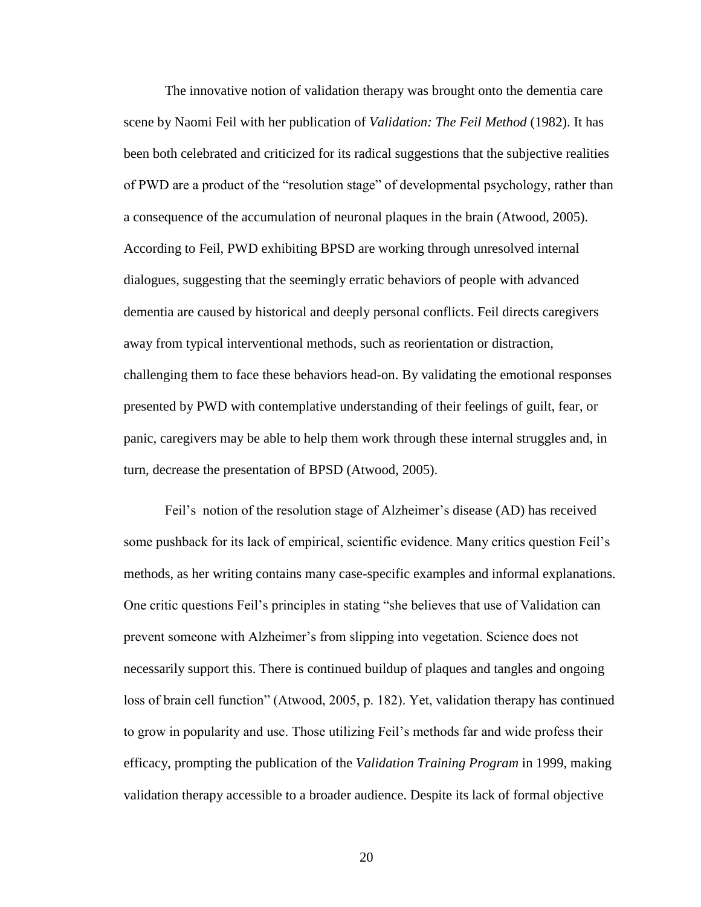The innovative notion of validation therapy was brought onto the dementia care scene by Naomi Feil with her publication of *Validation: The Feil Method* (1982). It has been both celebrated and criticized for its radical suggestions that the subjective realities of PWD are a product of the "resolution stage" of developmental psychology, rather than a consequence of the accumulation of neuronal plaques in the brain (Atwood, 2005). According to Feil, PWD exhibiting BPSD are working through unresolved internal dialogues, suggesting that the seemingly erratic behaviors of people with advanced dementia are caused by historical and deeply personal conflicts. Feil directs caregivers away from typical interventional methods, such as reorientation or distraction, challenging them to face these behaviors head-on. By validating the emotional responses presented by PWD with contemplative understanding of their feelings of guilt, fear, or panic, caregivers may be able to help them work through these internal struggles and, in turn, decrease the presentation of BPSD (Atwood, 2005).

Feil's notion of the resolution stage of Alzheimer's disease (AD) has received some pushback for its lack of empirical, scientific evidence. Many critics question Feil's methods, as her writing contains many case-specific examples and informal explanations. One critic questions Feil's principles in stating "she believes that use of Validation can prevent someone with Alzheimer's from slipping into vegetation. Science does not necessarily support this. There is continued buildup of plaques and tangles and ongoing loss of brain cell function" (Atwood, 2005, p. 182). Yet, validation therapy has continued to grow in popularity and use. Those utilizing Feil's methods far and wide profess their efficacy, prompting the publication of the *Validation Training Program* in 1999, making validation therapy accessible to a broader audience. Despite its lack of formal objective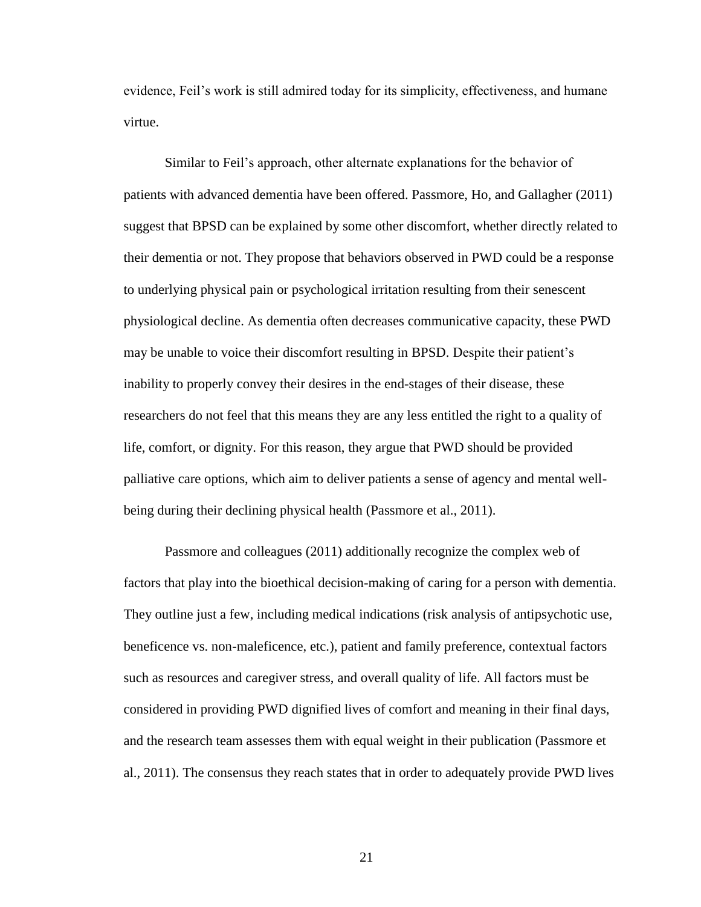evidence, Feil's work is still admired today for its simplicity, effectiveness, and humane virtue.

Similar to Feil's approach, other alternate explanations for the behavior of patients with advanced dementia have been offered. Passmore, Ho, and Gallagher (2011) suggest that BPSD can be explained by some other discomfort, whether directly related to their dementia or not. They propose that behaviors observed in PWD could be a response to underlying physical pain or psychological irritation resulting from their senescent physiological decline. As dementia often decreases communicative capacity, these PWD may be unable to voice their discomfort resulting in BPSD. Despite their patient's inability to properly convey their desires in the end-stages of their disease, these researchers do not feel that this means they are any less entitled the right to a quality of life, comfort, or dignity. For this reason, they argue that PWD should be provided palliative care options, which aim to deliver patients a sense of agency and mental wellbeing during their declining physical health (Passmore et al., 2011).

Passmore and colleagues (2011) additionally recognize the complex web of factors that play into the bioethical decision-making of caring for a person with dementia. They outline just a few, including medical indications (risk analysis of antipsychotic use, beneficence vs. non-maleficence, etc.), patient and family preference, contextual factors such as resources and caregiver stress, and overall quality of life. All factors must be considered in providing PWD dignified lives of comfort and meaning in their final days, and the research team assesses them with equal weight in their publication (Passmore et al., 2011). The consensus they reach states that in order to adequately provide PWD lives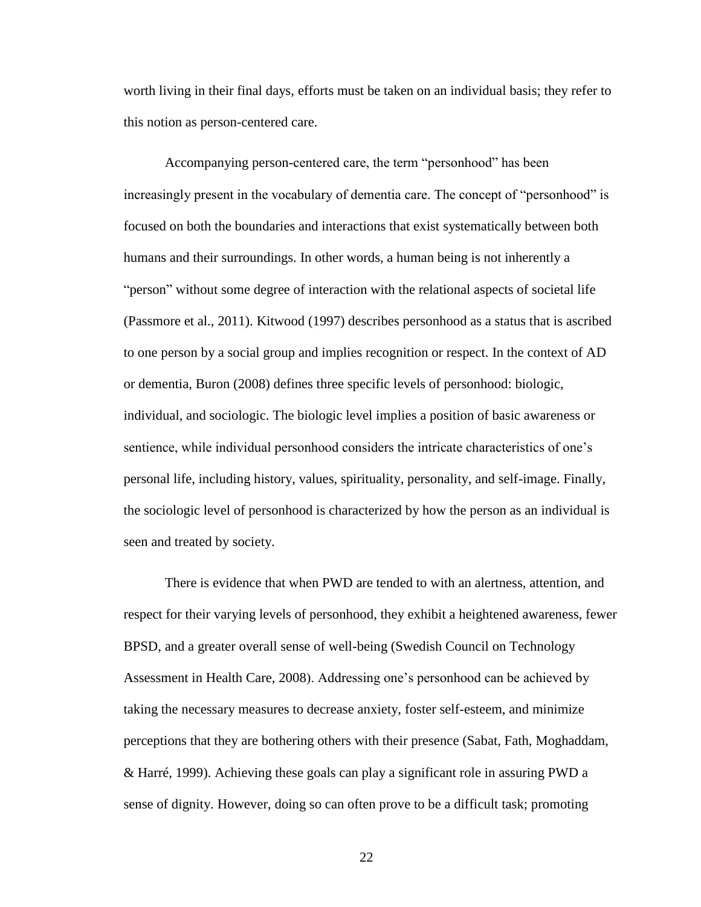worth living in their final days, efforts must be taken on an individual basis; they refer to this notion as person-centered care.

Accompanying person-centered care, the term "personhood" has been increasingly present in the vocabulary of dementia care. The concept of "personhood" is focused on both the boundaries and interactions that exist systematically between both humans and their surroundings. In other words, a human being is not inherently a "person" without some degree of interaction with the relational aspects of societal life (Passmore et al., 2011). Kitwood (1997) describes personhood as a status that is ascribed to one person by a social group and implies recognition or respect. In the context of AD or dementia, Buron (2008) defines three specific levels of personhood: biologic, individual, and sociologic. The biologic level implies a position of basic awareness or sentience, while individual personhood considers the intricate characteristics of one's personal life, including history, values, spirituality, personality, and self-image. Finally, the sociologic level of personhood is characterized by how the person as an individual is seen and treated by society.

There is evidence that when PWD are tended to with an alertness, attention, and respect for their varying levels of personhood, they exhibit a heightened awareness, fewer BPSD, and a greater overall sense of well-being (Swedish Council on Technology Assessment in Health Care, 2008). Addressing one's personhood can be achieved by taking the necessary measures to decrease anxiety, foster self-esteem, and minimize perceptions that they are bothering others with their presence (Sabat, Fath, Moghaddam, & Harré, 1999). Achieving these goals can play a significant role in assuring PWD a sense of dignity. However, doing so can often prove to be a difficult task; promoting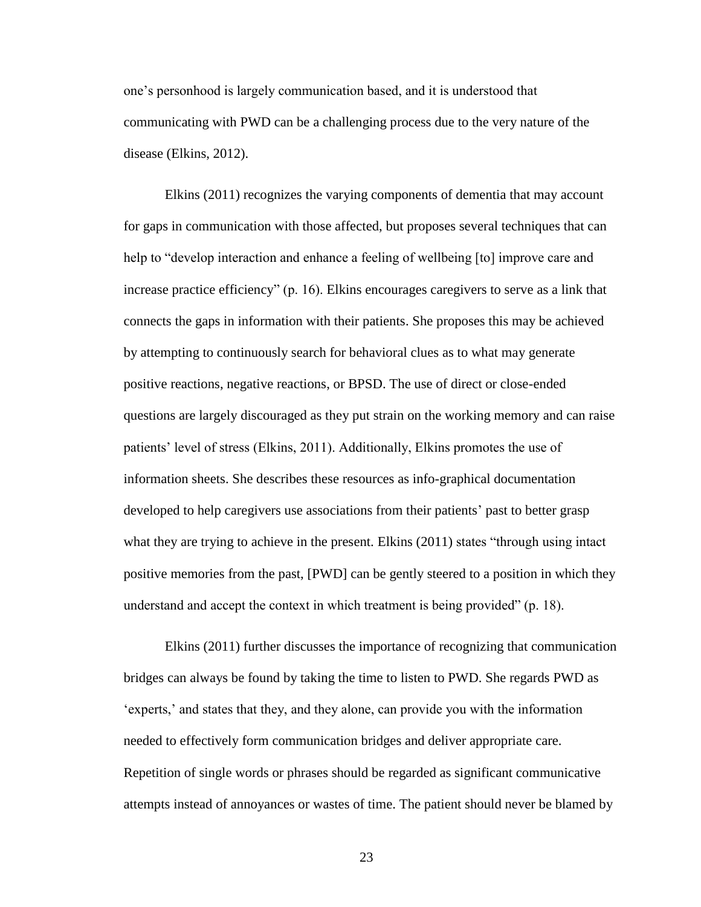one's personhood is largely communication based, and it is understood that communicating with PWD can be a challenging process due to the very nature of the disease (Elkins, 2012).

Elkins (2011) recognizes the varying components of dementia that may account for gaps in communication with those affected, but proposes several techniques that can help to "develop interaction and enhance a feeling of wellbeing [to] improve care and increase practice efficiency" (p. 16). Elkins encourages caregivers to serve as a link that connects the gaps in information with their patients. She proposes this may be achieved by attempting to continuously search for behavioral clues as to what may generate positive reactions, negative reactions, or BPSD. The use of direct or close-ended questions are largely discouraged as they put strain on the working memory and can raise patients' level of stress (Elkins, 2011). Additionally, Elkins promotes the use of information sheets. She describes these resources as info-graphical documentation developed to help caregivers use associations from their patients' past to better grasp what they are trying to achieve in the present. Elkins (2011) states "through using intact positive memories from the past, [PWD] can be gently steered to a position in which they understand and accept the context in which treatment is being provided" (p. 18).

Elkins (2011) further discusses the importance of recognizing that communication bridges can always be found by taking the time to listen to PWD. She regards PWD as 'experts,' and states that they, and they alone, can provide you with the information needed to effectively form communication bridges and deliver appropriate care. Repetition of single words or phrases should be regarded as significant communicative attempts instead of annoyances or wastes of time. The patient should never be blamed by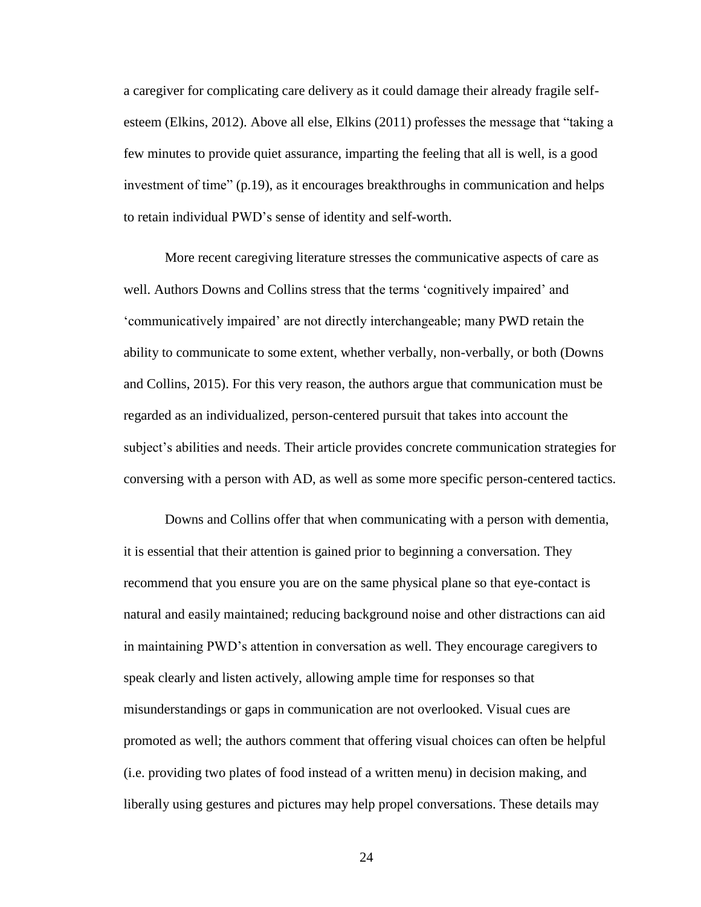a caregiver for complicating care delivery as it could damage their already fragile selfesteem (Elkins, 2012). Above all else, Elkins (2011) professes the message that "taking a few minutes to provide quiet assurance, imparting the feeling that all is well, is a good investment of time" (p.19), as it encourages breakthroughs in communication and helps to retain individual PWD's sense of identity and self-worth.

More recent caregiving literature stresses the communicative aspects of care as well. Authors Downs and Collins stress that the terms 'cognitively impaired' and 'communicatively impaired' are not directly interchangeable; many PWD retain the ability to communicate to some extent, whether verbally, non-verbally, or both (Downs and Collins, 2015). For this very reason, the authors argue that communication must be regarded as an individualized, person-centered pursuit that takes into account the subject's abilities and needs. Their article provides concrete communication strategies for conversing with a person with AD, as well as some more specific person-centered tactics.

Downs and Collins offer that when communicating with a person with dementia, it is essential that their attention is gained prior to beginning a conversation. They recommend that you ensure you are on the same physical plane so that eye-contact is natural and easily maintained; reducing background noise and other distractions can aid in maintaining PWD's attention in conversation as well. They encourage caregivers to speak clearly and listen actively, allowing ample time for responses so that misunderstandings or gaps in communication are not overlooked. Visual cues are promoted as well; the authors comment that offering visual choices can often be helpful (i.e. providing two plates of food instead of a written menu) in decision making, and liberally using gestures and pictures may help propel conversations. These details may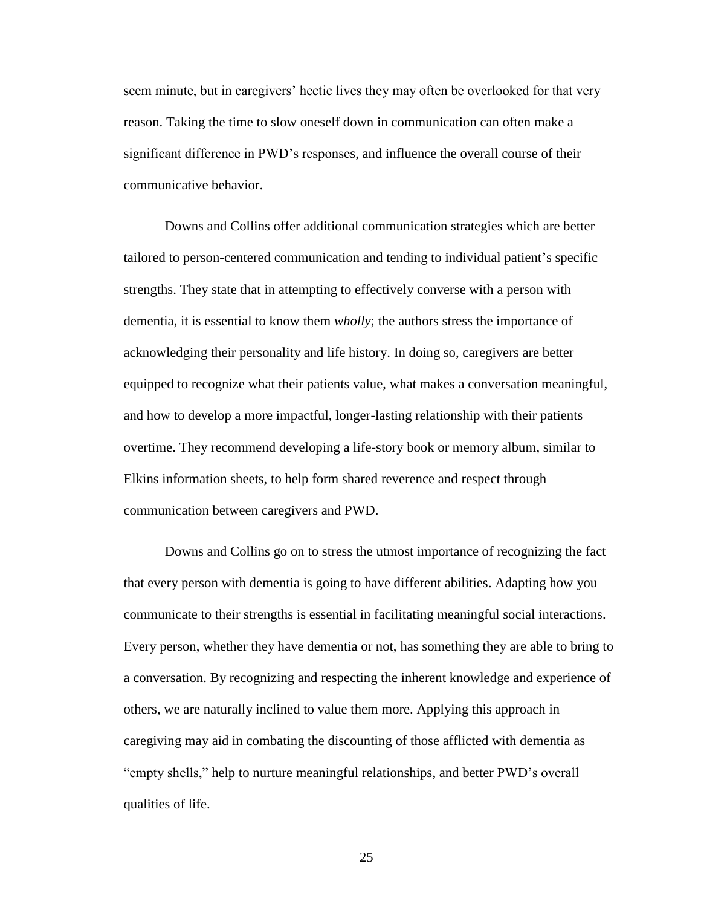seem minute, but in caregivers' hectic lives they may often be overlooked for that very reason. Taking the time to slow oneself down in communication can often make a significant difference in PWD's responses, and influence the overall course of their communicative behavior.

Downs and Collins offer additional communication strategies which are better tailored to person-centered communication and tending to individual patient's specific strengths. They state that in attempting to effectively converse with a person with dementia, it is essential to know them *wholly*; the authors stress the importance of acknowledging their personality and life history. In doing so, caregivers are better equipped to recognize what their patients value, what makes a conversation meaningful, and how to develop a more impactful, longer-lasting relationship with their patients overtime. They recommend developing a life-story book or memory album, similar to Elkins information sheets, to help form shared reverence and respect through communication between caregivers and PWD.

Downs and Collins go on to stress the utmost importance of recognizing the fact that every person with dementia is going to have different abilities. Adapting how you communicate to their strengths is essential in facilitating meaningful social interactions. Every person, whether they have dementia or not, has something they are able to bring to a conversation. By recognizing and respecting the inherent knowledge and experience of others, we are naturally inclined to value them more. Applying this approach in caregiving may aid in combating the discounting of those afflicted with dementia as "empty shells," help to nurture meaningful relationships, and better PWD's overall qualities of life.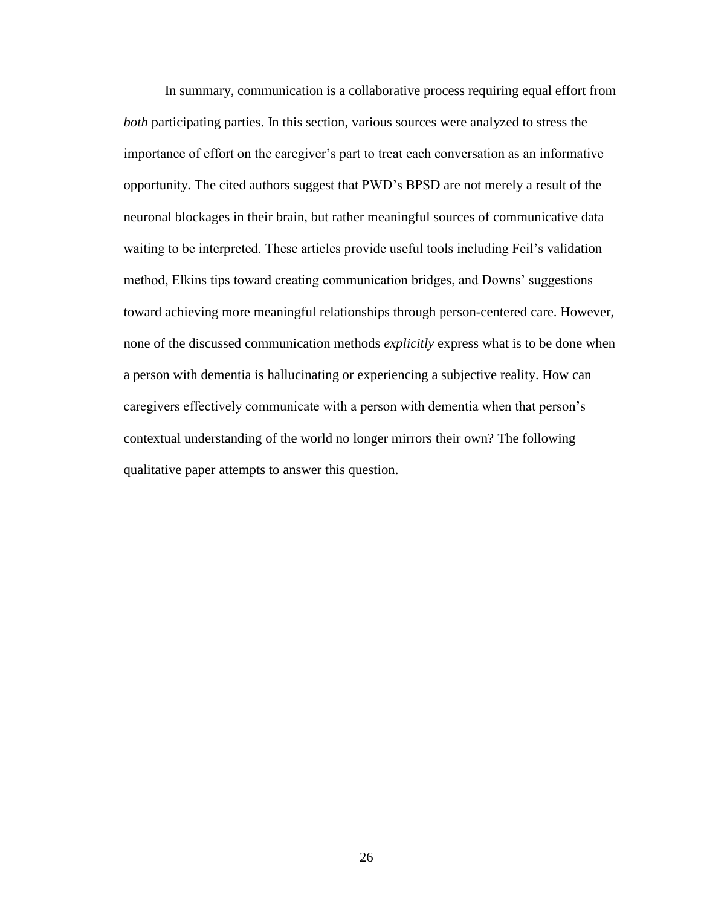In summary, communication is a collaborative process requiring equal effort from *both* participating parties. In this section, various sources were analyzed to stress the importance of effort on the caregiver's part to treat each conversation as an informative opportunity. The cited authors suggest that PWD's BPSD are not merely a result of the neuronal blockages in their brain, but rather meaningful sources of communicative data waiting to be interpreted. These articles provide useful tools including Feil's validation method, Elkins tips toward creating communication bridges, and Downs' suggestions toward achieving more meaningful relationships through person-centered care. However, none of the discussed communication methods *explicitly* express what is to be done when a person with dementia is hallucinating or experiencing a subjective reality. How can caregivers effectively communicate with a person with dementia when that person's contextual understanding of the world no longer mirrors their own? The following qualitative paper attempts to answer this question.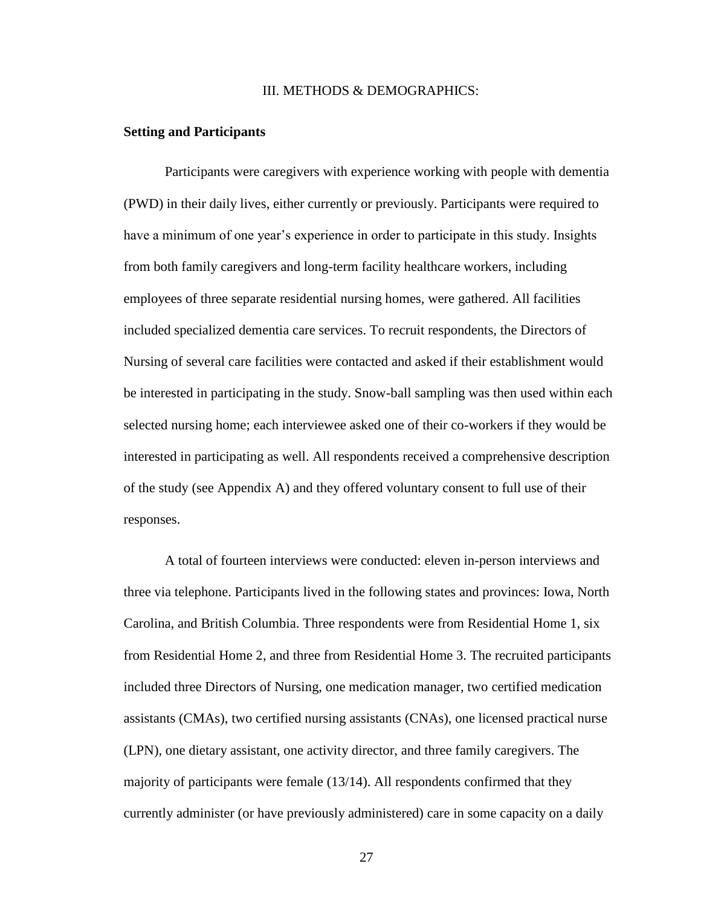## III. METHODS & DEMOGRAPHICS:

#### **Setting and Participants**

Participants were caregivers with experience working with people with dementia (PWD) in their daily lives, either currently or previously. Participants were required to have a minimum of one year's experience in order to participate in this study. Insights from both family caregivers and long-term facility healthcare workers, including employees of three separate residential nursing homes, were gathered. All facilities included specialized dementia care services. To recruit respondents, the Directors of Nursing of several care facilities were contacted and asked if their establishment would be interested in participating in the study. Snow-ball sampling was then used within each selected nursing home; each interviewee asked one of their co-workers if they would be interested in participating as well. All respondents received a comprehensive description of the study (see Appendix A) and they offered voluntary consent to full use of their responses.

A total of fourteen interviews were conducted: eleven in-person interviews and three via telephone. Participants lived in the following states and provinces: Iowa, North Carolina, and British Columbia. Three respondents were from Residential Home 1, six from Residential Home 2, and three from Residential Home 3. The recruited participants included three Directors of Nursing, one medication manager, two certified medication assistants (CMAs), two certified nursing assistants (CNAs), one licensed practical nurse (LPN), one dietary assistant, one activity director, and three family caregivers. The majority of participants were female (13/14). All respondents confirmed that they currently administer (or have previously administered) care in some capacity on a daily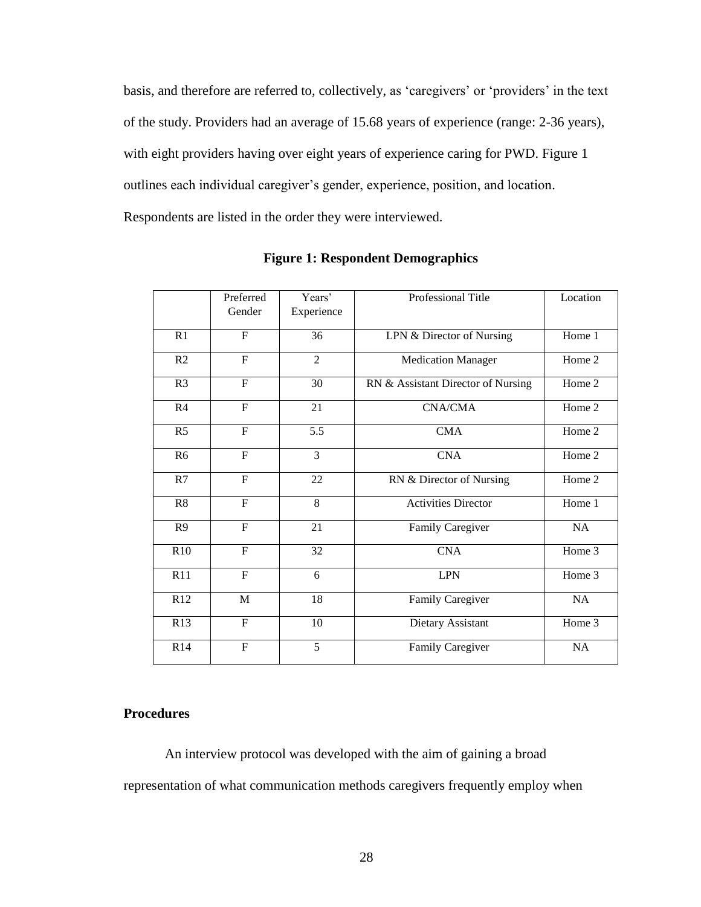basis, and therefore are referred to, collectively, as 'caregivers' or 'providers' in the text of the study. Providers had an average of 15.68 years of experience (range: 2-36 years), with eight providers having over eight years of experience caring for PWD. Figure 1 outlines each individual caregiver's gender, experience, position, and location. Respondents are listed in the order they were interviewed.

|                | Preferred<br>Gender | Years'<br>Experience | Professional Title                 | Location |
|----------------|---------------------|----------------------|------------------------------------|----------|
| R1             | $\overline{F}$      | 36                   | LPN & Director of Nursing          | Home 1   |
| R <sub>2</sub> | $\overline{F}$      | 2                    | <b>Medication Manager</b>          | Home 2   |
| R <sub>3</sub> | $\overline{F}$      | 30                   | RN & Assistant Director of Nursing | Home 2   |
| R <sub>4</sub> | $\mathbf F$         | 21                   | <b>CNA/CMA</b>                     | Home 2   |
| R <sub>5</sub> | $\mathbf F$         | 5.5                  | <b>CMA</b>                         | Home 2   |
| R <sub>6</sub> | $\overline{F}$      | 3                    | <b>CNA</b>                         | Home 2   |
| R7             | $\mathbf{F}$        | 22                   | RN & Director of Nursing           | Home 2   |
| R8             | F                   | 8                    | <b>Activities Director</b>         | Home 1   |
| R <sub>9</sub> | $\mathbf F$         | 21                   | Family Caregiver                   | NA       |
| R10            | $\overline{F}$      | 32                   | <b>CNA</b>                         | Home 3   |
| R11            | $\overline{F}$      | 6                    | <b>LPN</b>                         | Home 3   |
| R12            | $\mathbf M$         | 18                   | Family Caregiver                   | NA       |
| R13            | $\mathbf{F}$        | 10                   | Dietary Assistant                  | Home 3   |
| R14            | $\overline{F}$      | $\overline{5}$       | Family Caregiver                   | NA       |

**Figure 1: Respondent Demographics**

# **Procedures**

An interview protocol was developed with the aim of gaining a broad representation of what communication methods caregivers frequently employ when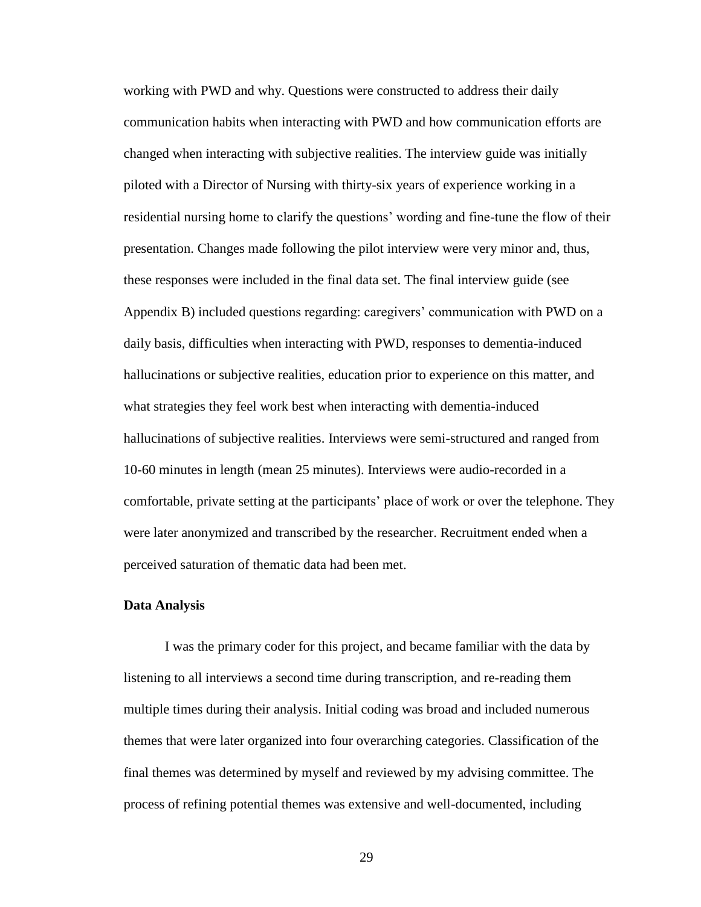working with PWD and why. Questions were constructed to address their daily communication habits when interacting with PWD and how communication efforts are changed when interacting with subjective realities. The interview guide was initially piloted with a Director of Nursing with thirty-six years of experience working in a residential nursing home to clarify the questions' wording and fine-tune the flow of their presentation. Changes made following the pilot interview were very minor and, thus, these responses were included in the final data set. The final interview guide (see Appendix B) included questions regarding: caregivers' communication with PWD on a daily basis, difficulties when interacting with PWD, responses to dementia-induced hallucinations or subjective realities, education prior to experience on this matter, and what strategies they feel work best when interacting with dementia-induced hallucinations of subjective realities. Interviews were semi-structured and ranged from 10-60 minutes in length (mean 25 minutes). Interviews were audio-recorded in a comfortable, private setting at the participants' place of work or over the telephone. They were later anonymized and transcribed by the researcher. Recruitment ended when a perceived saturation of thematic data had been met.

# **Data Analysis**

I was the primary coder for this project, and became familiar with the data by listening to all interviews a second time during transcription, and re-reading them multiple times during their analysis. Initial coding was broad and included numerous themes that were later organized into four overarching categories. Classification of the final themes was determined by myself and reviewed by my advising committee. The process of refining potential themes was extensive and well-documented, including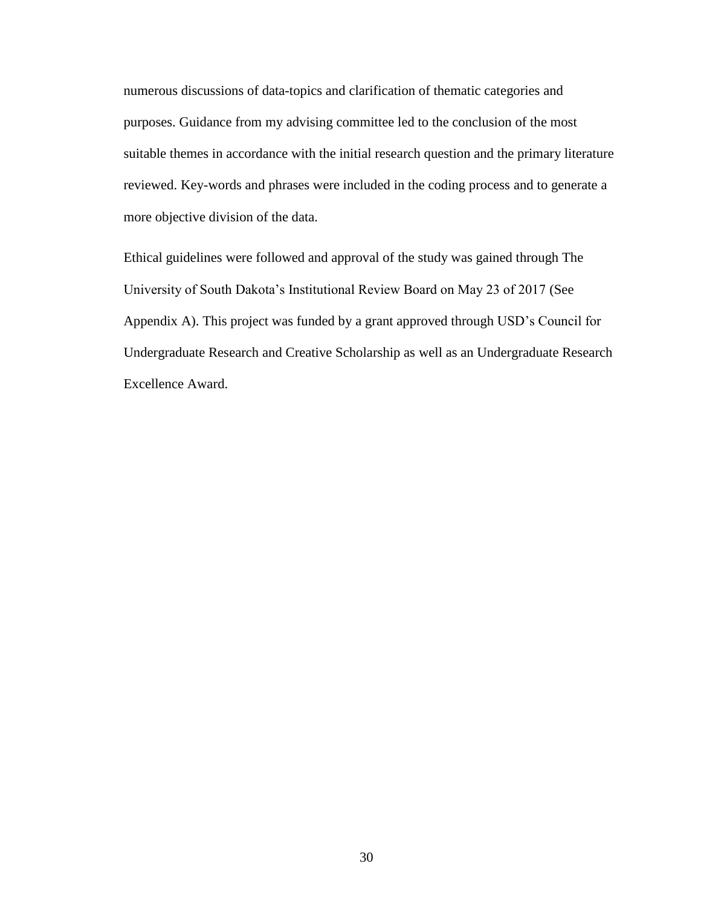numerous discussions of data-topics and clarification of thematic categories and purposes. Guidance from my advising committee led to the conclusion of the most suitable themes in accordance with the initial research question and the primary literature reviewed. Key-words and phrases were included in the coding process and to generate a more objective division of the data.

Ethical guidelines were followed and approval of the study was gained through The University of South Dakota's Institutional Review Board on May 23 of 2017 (See Appendix A). This project was funded by a grant approved through USD's Council for Undergraduate Research and Creative Scholarship as well as an Undergraduate Research Excellence Award.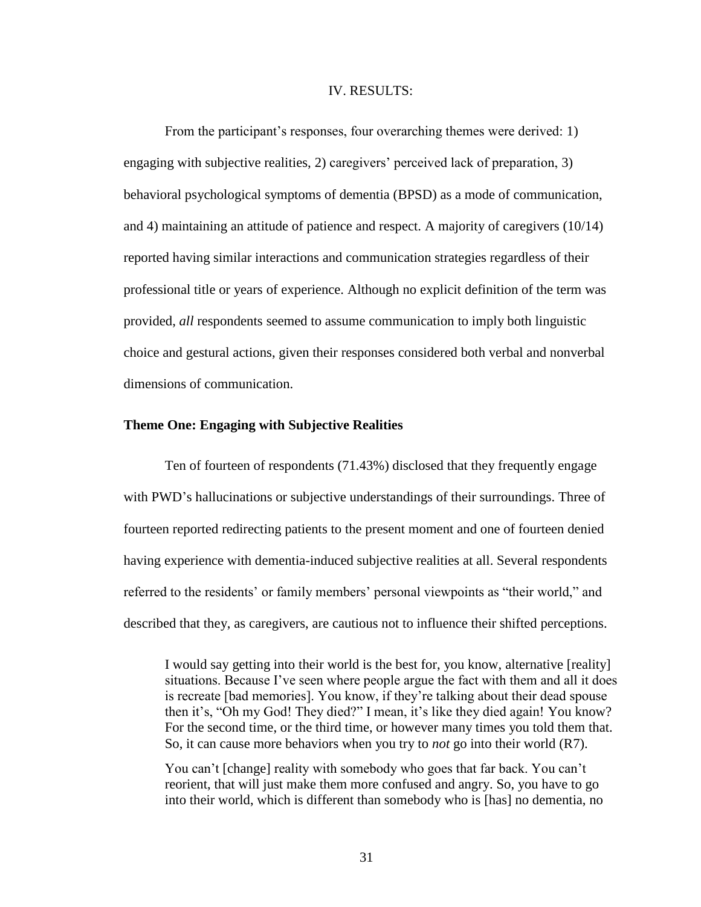#### IV. RESULTS:

From the participant's responses, four overarching themes were derived: 1) engaging with subjective realities, 2) caregivers' perceived lack of preparation, 3) behavioral psychological symptoms of dementia (BPSD) as a mode of communication, and 4) maintaining an attitude of patience and respect. A majority of caregivers (10/14) reported having similar interactions and communication strategies regardless of their professional title or years of experience. Although no explicit definition of the term was provided, *all* respondents seemed to assume communication to imply both linguistic choice and gestural actions, given their responses considered both verbal and nonverbal dimensions of communication.

# **Theme One: Engaging with Subjective Realities**

Ten of fourteen of respondents (71.43%) disclosed that they frequently engage with PWD's hallucinations or subjective understandings of their surroundings. Three of fourteen reported redirecting patients to the present moment and one of fourteen denied having experience with dementia-induced subjective realities at all. Several respondents referred to the residents' or family members' personal viewpoints as "their world," and described that they, as caregivers, are cautious not to influence their shifted perceptions.

I would say getting into their world is the best for, you know, alternative [reality] situations. Because I've seen where people argue the fact with them and all it does is recreate [bad memories]. You know, if they're talking about their dead spouse then it's, "Oh my God! They died?" I mean, it's like they died again! You know? For the second time, or the third time, or however many times you told them that. So, it can cause more behaviors when you try to *not* go into their world (R7).

You can't [change] reality with somebody who goes that far back. You can't reorient, that will just make them more confused and angry. So, you have to go into their world, which is different than somebody who is [has] no dementia, no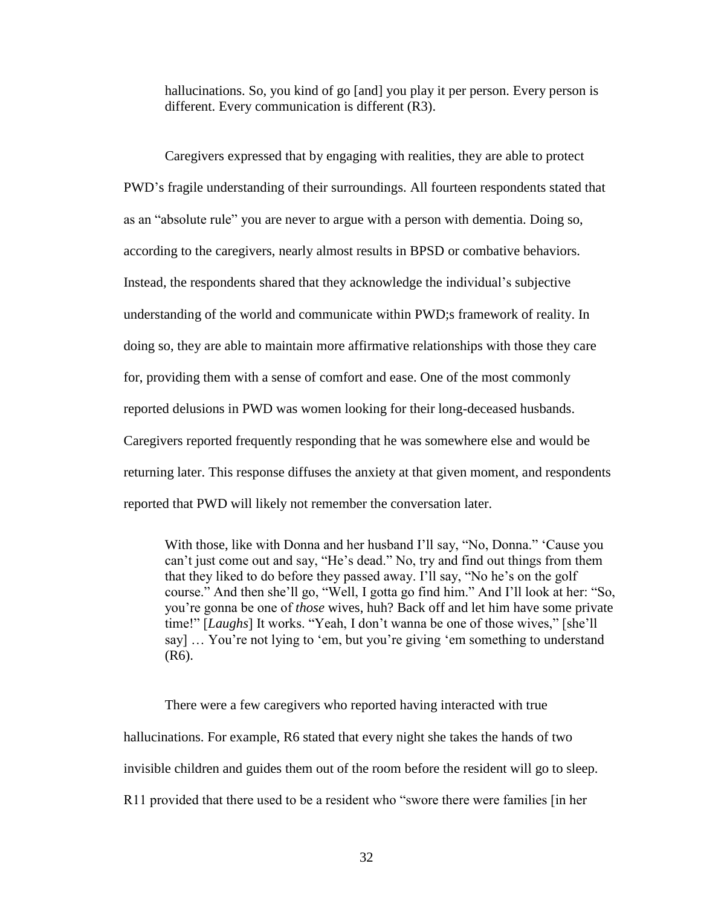hallucinations. So, you kind of go [and] you play it per person. Every person is different. Every communication is different (R3).

Caregivers expressed that by engaging with realities, they are able to protect PWD's fragile understanding of their surroundings. All fourteen respondents stated that as an "absolute rule" you are never to argue with a person with dementia. Doing so, according to the caregivers, nearly almost results in BPSD or combative behaviors. Instead, the respondents shared that they acknowledge the individual's subjective understanding of the world and communicate within PWD;s framework of reality. In doing so, they are able to maintain more affirmative relationships with those they care for, providing them with a sense of comfort and ease. One of the most commonly reported delusions in PWD was women looking for their long-deceased husbands. Caregivers reported frequently responding that he was somewhere else and would be returning later. This response diffuses the anxiety at that given moment, and respondents reported that PWD will likely not remember the conversation later.

With those, like with Donna and her husband I'll say, "No, Donna." 'Cause you can't just come out and say, "He's dead." No, try and find out things from them that they liked to do before they passed away. I'll say, "No he's on the golf course." And then she'll go, "Well, I gotta go find him." And I'll look at her: "So, you're gonna be one of *those* wives, huh? Back off and let him have some private time!" [*Laughs*] It works. "Yeah, I don't wanna be one of those wives," [she'll say] … You're not lying to 'em, but you're giving 'em something to understand (R6).

There were a few caregivers who reported having interacted with true hallucinations. For example, R6 stated that every night she takes the hands of two invisible children and guides them out of the room before the resident will go to sleep. R11 provided that there used to be a resident who "swore there were families [in her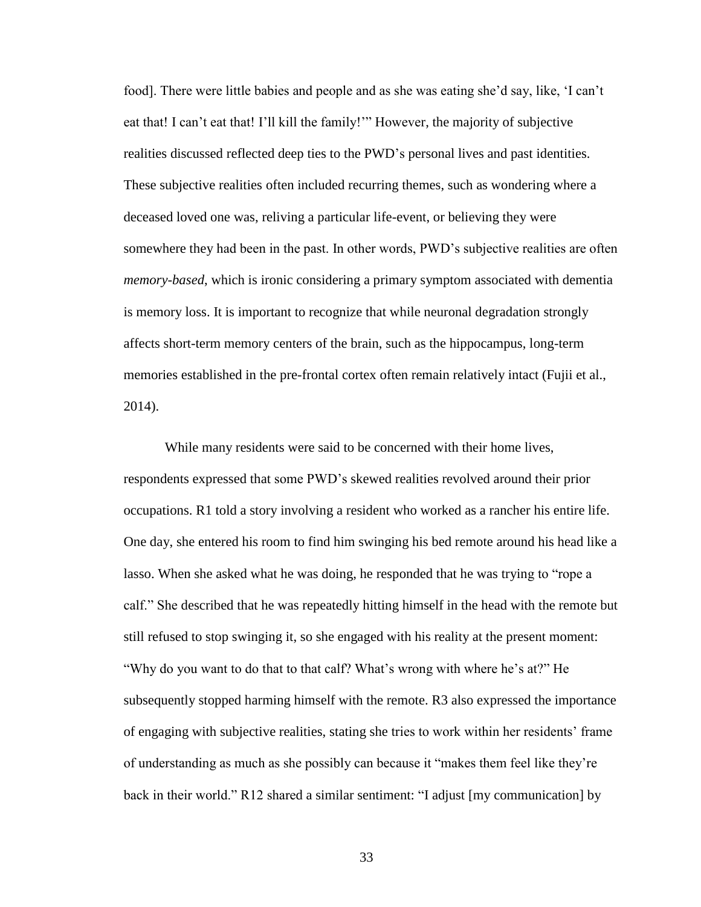food]. There were little babies and people and as she was eating she'd say, like, 'I can't eat that! I can't eat that! I'll kill the family!'" However, the majority of subjective realities discussed reflected deep ties to the PWD's personal lives and past identities. These subjective realities often included recurring themes, such as wondering where a deceased loved one was, reliving a particular life-event, or believing they were somewhere they had been in the past. In other words, PWD's subjective realities are often *memory-based*, which is ironic considering a primary symptom associated with dementia is memory loss. It is important to recognize that while neuronal degradation strongly affects short-term memory centers of the brain, such as the hippocampus, long-term memories established in the pre-frontal cortex often remain relatively intact (Fujii et al., 2014).

While many residents were said to be concerned with their home lives, respondents expressed that some PWD's skewed realities revolved around their prior occupations. R1 told a story involving a resident who worked as a rancher his entire life. One day, she entered his room to find him swinging his bed remote around his head like a lasso. When she asked what he was doing, he responded that he was trying to "rope a calf." She described that he was repeatedly hitting himself in the head with the remote but still refused to stop swinging it, so she engaged with his reality at the present moment: "Why do you want to do that to that calf? What's wrong with where he's at?" He subsequently stopped harming himself with the remote. R3 also expressed the importance of engaging with subjective realities, stating she tries to work within her residents' frame of understanding as much as she possibly can because it "makes them feel like they're back in their world." R12 shared a similar sentiment: "I adjust [my communication] by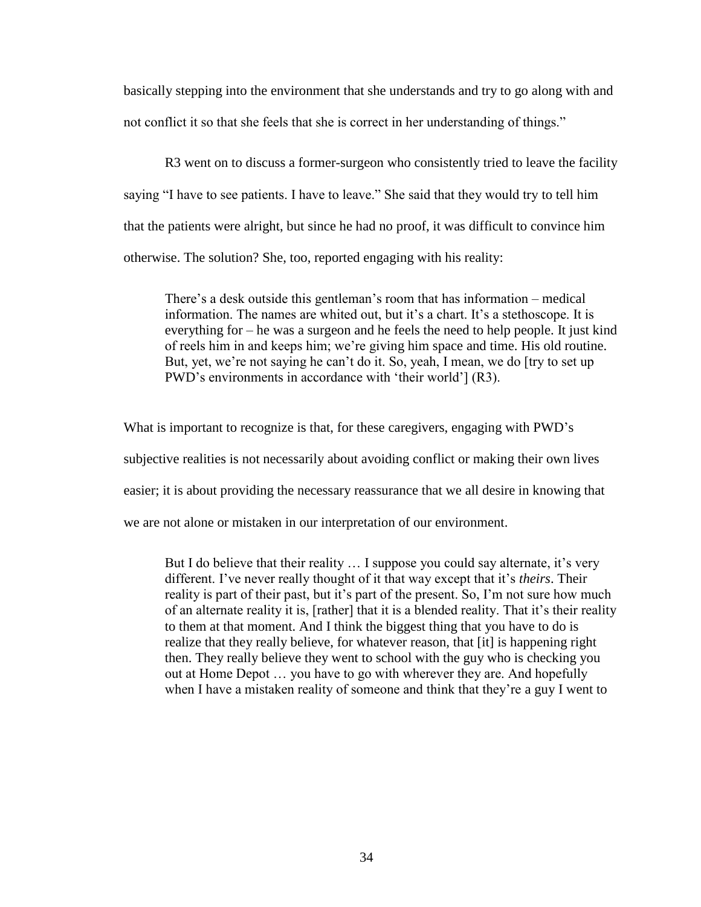basically stepping into the environment that she understands and try to go along with and not conflict it so that she feels that she is correct in her understanding of things."

R3 went on to discuss a former-surgeon who consistently tried to leave the facility saying "I have to see patients. I have to leave." She said that they would try to tell him that the patients were alright, but since he had no proof, it was difficult to convince him otherwise. The solution? She, too, reported engaging with his reality:

There's a desk outside this gentleman's room that has information – medical information. The names are whited out, but it's a chart. It's a stethoscope. It is everything for – he was a surgeon and he feels the need to help people. It just kind of reels him in and keeps him; we're giving him space and time. His old routine. But, yet, we're not saying he can't do it. So, yeah, I mean, we do [try to set up PWD's environments in accordance with 'their world'] (R3).

What is important to recognize is that, for these caregivers, engaging with PWD's subjective realities is not necessarily about avoiding conflict or making their own lives easier; it is about providing the necessary reassurance that we all desire in knowing that we are not alone or mistaken in our interpretation of our environment.

But I do believe that their reality ... I suppose you could say alternate, it's very different. I've never really thought of it that way except that it's *theirs*. Their reality is part of their past, but it's part of the present. So, I'm not sure how much of an alternate reality it is, [rather] that it is a blended reality. That it's their reality to them at that moment. And I think the biggest thing that you have to do is realize that they really believe, for whatever reason, that [it] is happening right then. They really believe they went to school with the guy who is checking you out at Home Depot … you have to go with wherever they are. And hopefully when I have a mistaken reality of someone and think that they're a guy I went to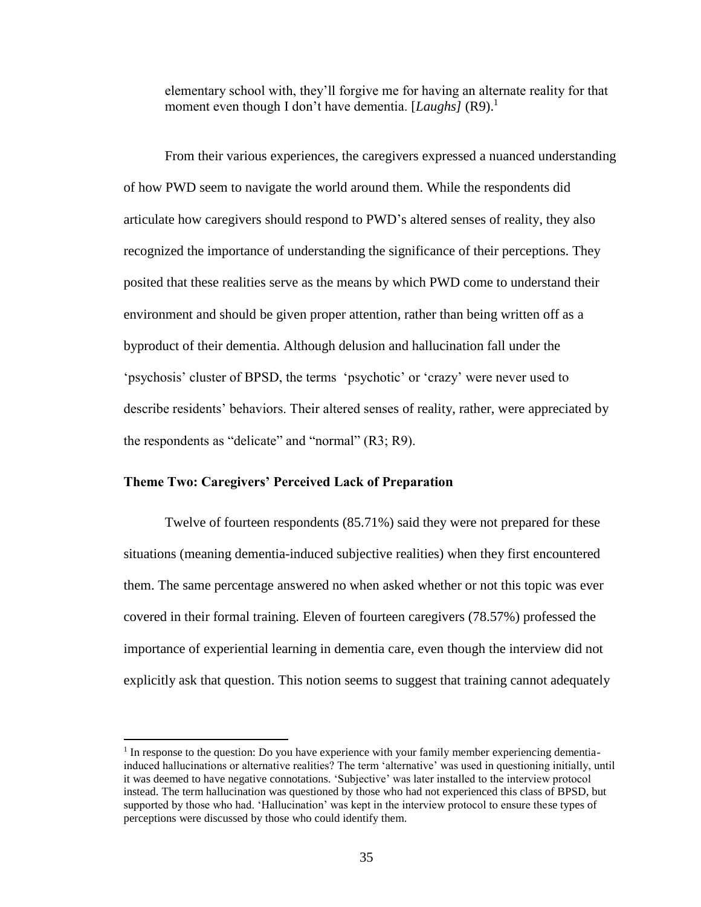elementary school with, they'll forgive me for having an alternate reality for that moment even though I don't have dementia. [*Laughs*] (R9).<sup>1</sup>

From their various experiences, the caregivers expressed a nuanced understanding of how PWD seem to navigate the world around them. While the respondents did articulate how caregivers should respond to PWD's altered senses of reality, they also recognized the importance of understanding the significance of their perceptions. They posited that these realities serve as the means by which PWD come to understand their environment and should be given proper attention, rather than being written off as a byproduct of their dementia. Although delusion and hallucination fall under the 'psychosis' cluster of BPSD, the terms 'psychotic' or 'crazy' were never used to describe residents' behaviors. Their altered senses of reality, rather, were appreciated by the respondents as "delicate" and "normal" (R3; R9).

# **Theme Two: Caregivers' Perceived Lack of Preparation**

 $\overline{\phantom{a}}$ 

Twelve of fourteen respondents (85.71%) said they were not prepared for these situations (meaning dementia-induced subjective realities) when they first encountered them. The same percentage answered no when asked whether or not this topic was ever covered in their formal training. Eleven of fourteen caregivers (78.57%) professed the importance of experiential learning in dementia care, even though the interview did not explicitly ask that question. This notion seems to suggest that training cannot adequately

<sup>&</sup>lt;sup>1</sup> In response to the question: Do you have experience with your family member experiencing dementiainduced hallucinations or alternative realities? The term 'alternative' was used in questioning initially, until it was deemed to have negative connotations. 'Subjective' was later installed to the interview protocol instead. The term hallucination was questioned by those who had not experienced this class of BPSD, but supported by those who had. 'Hallucination' was kept in the interview protocol to ensure these types of perceptions were discussed by those who could identify them.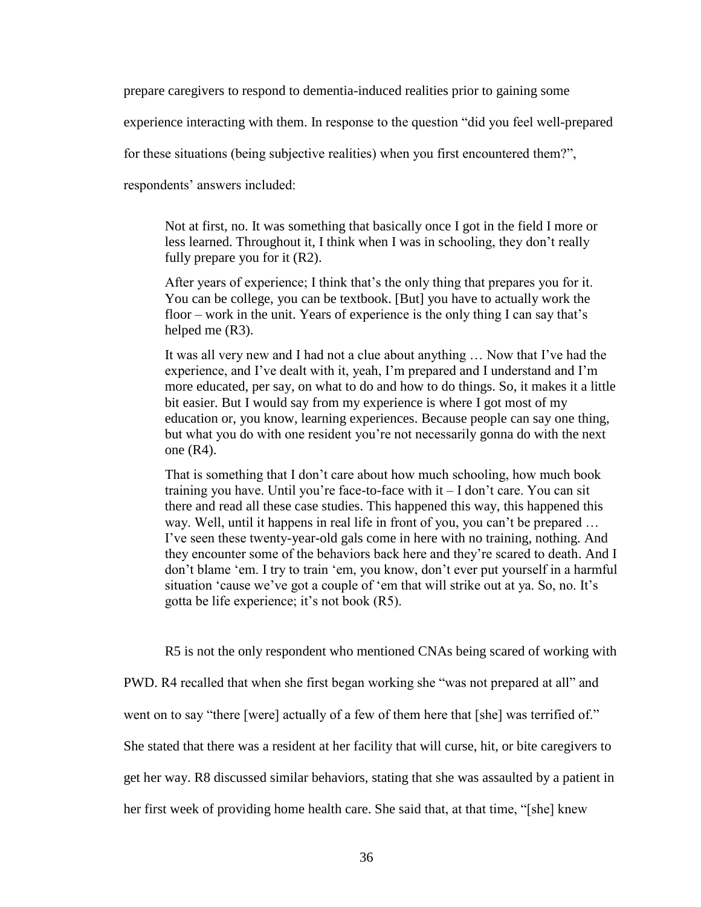prepare caregivers to respond to dementia-induced realities prior to gaining some

experience interacting with them. In response to the question "did you feel well-prepared

for these situations (being subjective realities) when you first encountered them?",

respondents' answers included:

Not at first, no. It was something that basically once I got in the field I more or less learned. Throughout it, I think when I was in schooling, they don't really fully prepare you for it (R2).

After years of experience; I think that's the only thing that prepares you for it. You can be college, you can be textbook. [But] you have to actually work the floor – work in the unit. Years of experience is the only thing I can say that's helped me (R3).

It was all very new and I had not a clue about anything … Now that I've had the experience, and I've dealt with it, yeah, I'm prepared and I understand and I'm more educated, per say, on what to do and how to do things. So, it makes it a little bit easier. But I would say from my experience is where I got most of my education or, you know, learning experiences. Because people can say one thing, but what you do with one resident you're not necessarily gonna do with the next one (R4).

That is something that I don't care about how much schooling, how much book training you have. Until you're face-to-face with it – I don't care. You can sit there and read all these case studies. This happened this way, this happened this way. Well, until it happens in real life in front of you, you can't be prepared … I've seen these twenty-year-old gals come in here with no training, nothing. And they encounter some of the behaviors back here and they're scared to death. And I don't blame 'em. I try to train 'em, you know, don't ever put yourself in a harmful situation 'cause we've got a couple of 'em that will strike out at ya. So, no. It's gotta be life experience; it's not book (R5).

R5 is not the only respondent who mentioned CNAs being scared of working with PWD. R4 recalled that when she first began working she "was not prepared at all" and went on to say "there [were] actually of a few of them here that [she] was terrified of." She stated that there was a resident at her facility that will curse, hit, or bite caregivers to get her way. R8 discussed similar behaviors, stating that she was assaulted by a patient in her first week of providing home health care. She said that, at that time, "[she] knew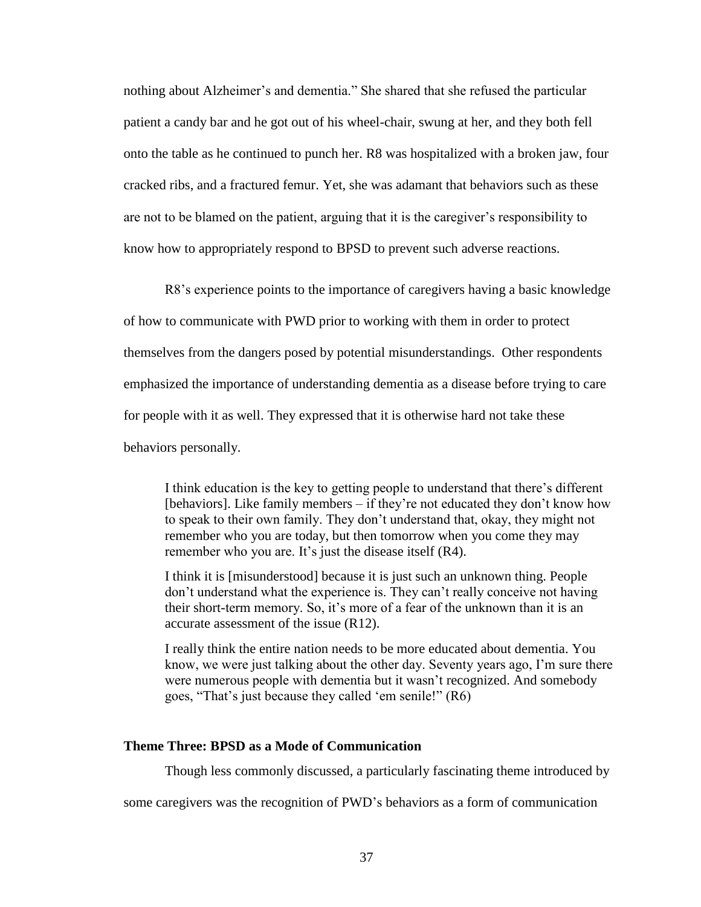nothing about Alzheimer's and dementia." She shared that she refused the particular patient a candy bar and he got out of his wheel-chair, swung at her, and they both fell onto the table as he continued to punch her. R8 was hospitalized with a broken jaw, four cracked ribs, and a fractured femur. Yet, she was adamant that behaviors such as these are not to be blamed on the patient, arguing that it is the caregiver's responsibility to know how to appropriately respond to BPSD to prevent such adverse reactions.

R8's experience points to the importance of caregivers having a basic knowledge of how to communicate with PWD prior to working with them in order to protect

themselves from the dangers posed by potential misunderstandings. Other respondents

emphasized the importance of understanding dementia as a disease before trying to care

for people with it as well. They expressed that it is otherwise hard not take these

behaviors personally.

I think education is the key to getting people to understand that there's different [behaviors]. Like family members – if they're not educated they don't know how to speak to their own family. They don't understand that, okay, they might not remember who you are today, but then tomorrow when you come they may remember who you are. It's just the disease itself (R4).

I think it is [misunderstood] because it is just such an unknown thing. People don't understand what the experience is. They can't really conceive not having their short-term memory. So, it's more of a fear of the unknown than it is an accurate assessment of the issue (R12).

I really think the entire nation needs to be more educated about dementia. You know, we were just talking about the other day. Seventy years ago, I'm sure there were numerous people with dementia but it wasn't recognized. And somebody goes, "That's just because they called 'em senile!" (R6)

# **Theme Three: BPSD as a Mode of Communication**

Though less commonly discussed, a particularly fascinating theme introduced by

some caregivers was the recognition of PWD's behaviors as a form of communication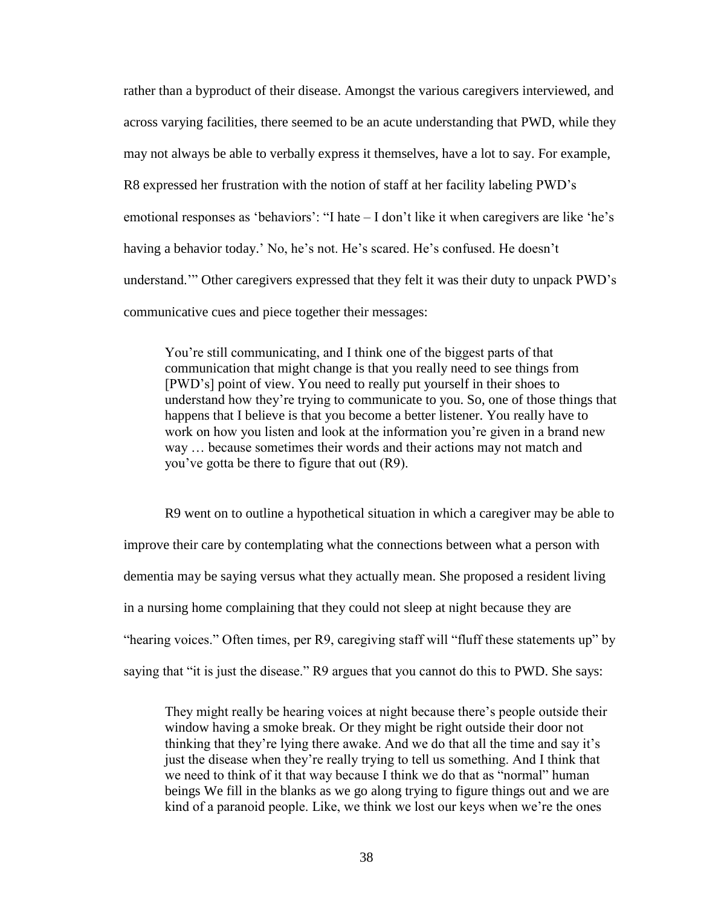rather than a byproduct of their disease. Amongst the various caregivers interviewed, and across varying facilities, there seemed to be an acute understanding that PWD, while they may not always be able to verbally express it themselves, have a lot to say. For example, R8 expressed her frustration with the notion of staff at her facility labeling PWD's emotional responses as 'behaviors': "I hate – I don't like it when caregivers are like 'he's having a behavior today.' No, he's not. He's scared. He's confused. He doesn't understand.'" Other caregivers expressed that they felt it was their duty to unpack PWD's communicative cues and piece together their messages:

You're still communicating, and I think one of the biggest parts of that communication that might change is that you really need to see things from [PWD's] point of view. You need to really put yourself in their shoes to understand how they're trying to communicate to you. So, one of those things that happens that I believe is that you become a better listener. You really have to work on how you listen and look at the information you're given in a brand new way … because sometimes their words and their actions may not match and you've gotta be there to figure that out (R9).

R9 went on to outline a hypothetical situation in which a caregiver may be able to improve their care by contemplating what the connections between what a person with dementia may be saying versus what they actually mean. She proposed a resident living in a nursing home complaining that they could not sleep at night because they are "hearing voices." Often times, per R9, caregiving staff will "fluff these statements up" by saying that "it is just the disease." R9 argues that you cannot do this to PWD. She says:

They might really be hearing voices at night because there's people outside their window having a smoke break. Or they might be right outside their door not thinking that they're lying there awake. And we do that all the time and say it's just the disease when they're really trying to tell us something. And I think that we need to think of it that way because I think we do that as "normal" human beings We fill in the blanks as we go along trying to figure things out and we are kind of a paranoid people. Like, we think we lost our keys when we're the ones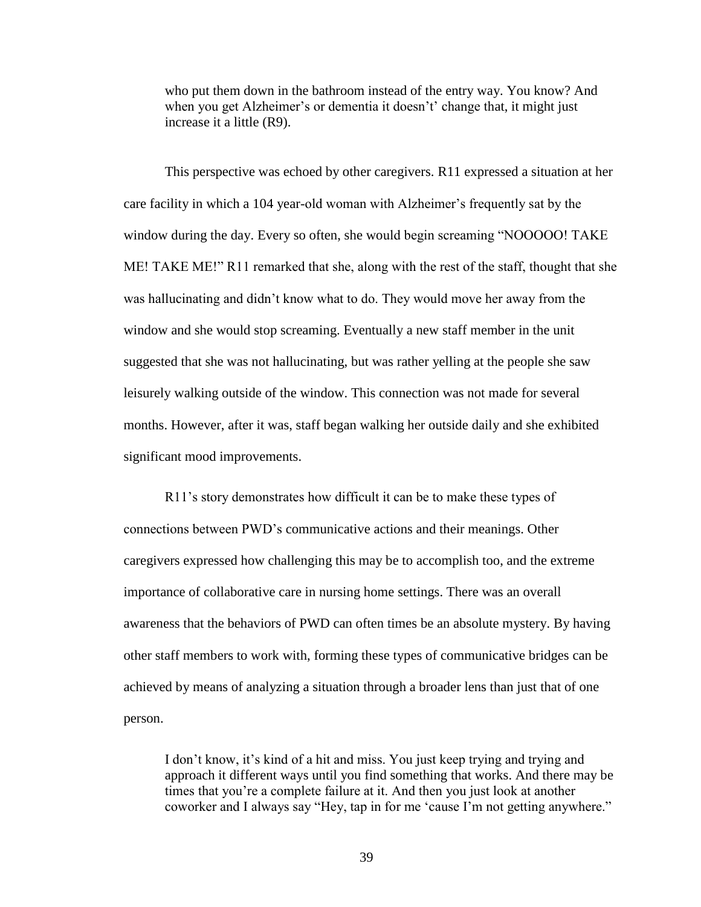who put them down in the bathroom instead of the entry way. You know? And when you get Alzheimer's or dementia it doesn't' change that, it might just increase it a little (R9).

This perspective was echoed by other caregivers. R11 expressed a situation at her care facility in which a 104 year-old woman with Alzheimer's frequently sat by the window during the day. Every so often, she would begin screaming "NOOOOO! TAKE ME! TAKE ME!" R11 remarked that she, along with the rest of the staff, thought that she was hallucinating and didn't know what to do. They would move her away from the window and she would stop screaming. Eventually a new staff member in the unit suggested that she was not hallucinating, but was rather yelling at the people she saw leisurely walking outside of the window. This connection was not made for several months. However, after it was, staff began walking her outside daily and she exhibited significant mood improvements.

R11's story demonstrates how difficult it can be to make these types of connections between PWD's communicative actions and their meanings. Other caregivers expressed how challenging this may be to accomplish too, and the extreme importance of collaborative care in nursing home settings. There was an overall awareness that the behaviors of PWD can often times be an absolute mystery. By having other staff members to work with, forming these types of communicative bridges can be achieved by means of analyzing a situation through a broader lens than just that of one person.

I don't know, it's kind of a hit and miss. You just keep trying and trying and approach it different ways until you find something that works. And there may be times that you're a complete failure at it. And then you just look at another coworker and I always say "Hey, tap in for me 'cause I'm not getting anywhere."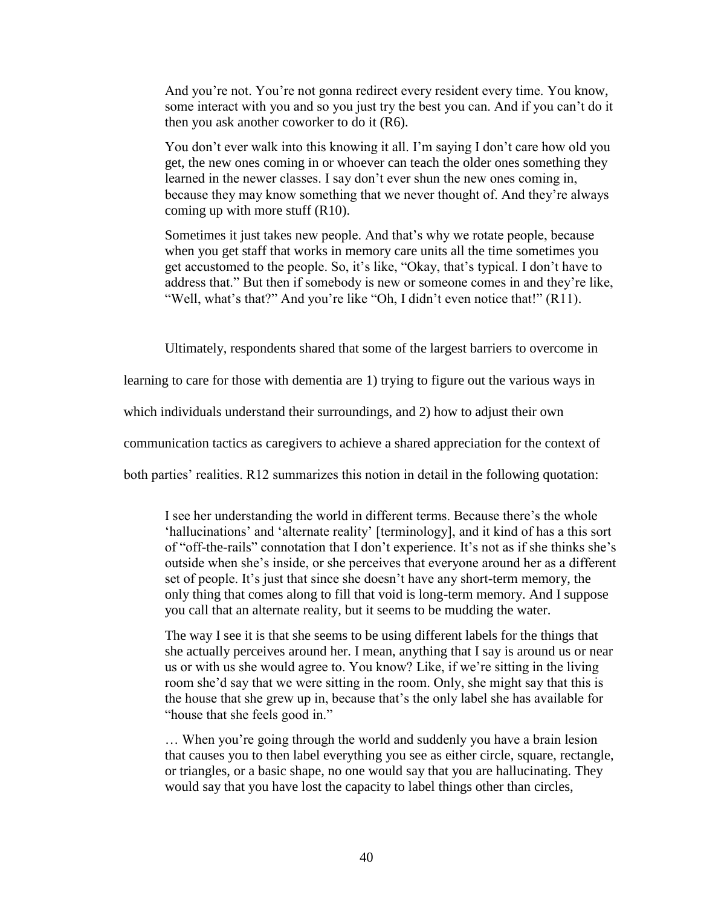And you're not. You're not gonna redirect every resident every time. You know, some interact with you and so you just try the best you can. And if you can't do it then you ask another coworker to do it (R6).

You don't ever walk into this knowing it all. I'm saying I don't care how old you get, the new ones coming in or whoever can teach the older ones something they learned in the newer classes. I say don't ever shun the new ones coming in, because they may know something that we never thought of. And they're always coming up with more stuff (R10).

Sometimes it just takes new people. And that's why we rotate people, because when you get staff that works in memory care units all the time sometimes you get accustomed to the people. So, it's like, "Okay, that's typical. I don't have to address that." But then if somebody is new or someone comes in and they're like, "Well, what's that?" And you're like "Oh, I didn't even notice that!" (R11).

Ultimately, respondents shared that some of the largest barriers to overcome in

learning to care for those with dementia are 1) trying to figure out the various ways in

which individuals understand their surroundings, and 2) how to adjust their own

communication tactics as caregivers to achieve a shared appreciation for the context of

both parties' realities. R12 summarizes this notion in detail in the following quotation:

I see her understanding the world in different terms. Because there's the whole 'hallucinations' and 'alternate reality' [terminology], and it kind of has a this sort of "off-the-rails" connotation that I don't experience. It's not as if she thinks she's outside when she's inside, or she perceives that everyone around her as a different set of people. It's just that since she doesn't have any short-term memory, the only thing that comes along to fill that void is long-term memory. And I suppose you call that an alternate reality, but it seems to be mudding the water.

The way I see it is that she seems to be using different labels for the things that she actually perceives around her. I mean, anything that I say is around us or near us or with us she would agree to. You know? Like, if we're sitting in the living room she'd say that we were sitting in the room. Only, she might say that this is the house that she grew up in, because that's the only label she has available for "house that she feels good in."

… When you're going through the world and suddenly you have a brain lesion that causes you to then label everything you see as either circle, square, rectangle, or triangles, or a basic shape, no one would say that you are hallucinating. They would say that you have lost the capacity to label things other than circles,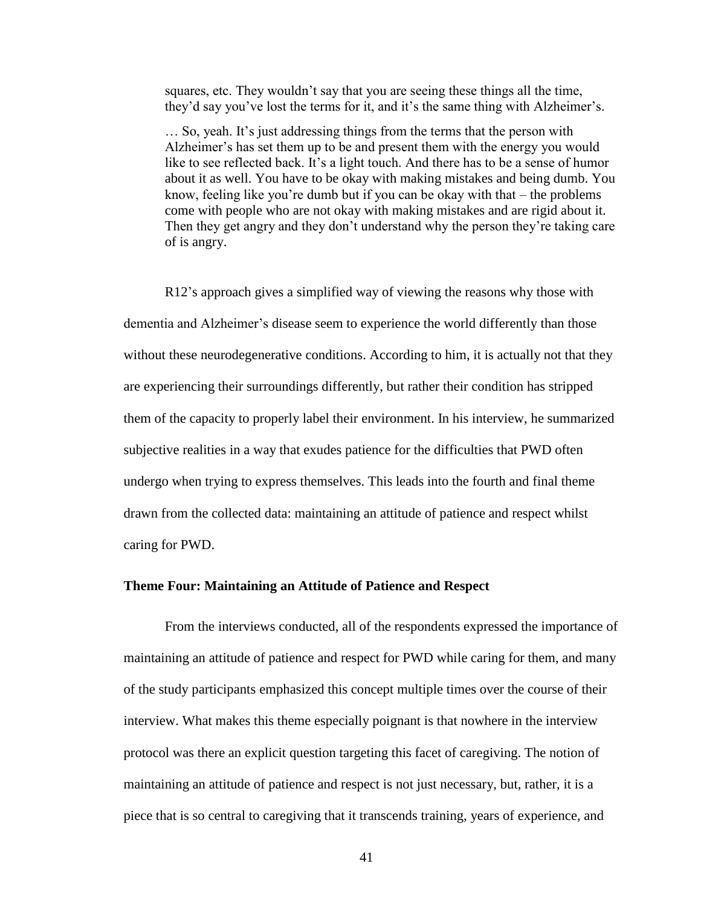squares, etc. They wouldn't say that you are seeing these things all the time, they'd say you've lost the terms for it, and it's the same thing with Alzheimer's.

… So, yeah. It's just addressing things from the terms that the person with Alzheimer's has set them up to be and present them with the energy you would like to see reflected back. It's a light touch. And there has to be a sense of humor about it as well. You have to be okay with making mistakes and being dumb. You know, feeling like you're dumb but if you can be okay with that – the problems come with people who are not okay with making mistakes and are rigid about it. Then they get angry and they don't understand why the person they're taking care of is angry.

R12's approach gives a simplified way of viewing the reasons why those with dementia and Alzheimer's disease seem to experience the world differently than those without these neurodegenerative conditions. According to him, it is actually not that they are experiencing their surroundings differently, but rather their condition has stripped them of the capacity to properly label their environment. In his interview, he summarized subjective realities in a way that exudes patience for the difficulties that PWD often undergo when trying to express themselves. This leads into the fourth and final theme drawn from the collected data: maintaining an attitude of patience and respect whilst caring for PWD.

#### **Theme Four: Maintaining an Attitude of Patience and Respect**

From the interviews conducted, all of the respondents expressed the importance of maintaining an attitude of patience and respect for PWD while caring for them, and many of the study participants emphasized this concept multiple times over the course of their interview. What makes this theme especially poignant is that nowhere in the interview protocol was there an explicit question targeting this facet of caregiving. The notion of maintaining an attitude of patience and respect is not just necessary, but, rather, it is a piece that is so central to caregiving that it transcends training, years of experience, and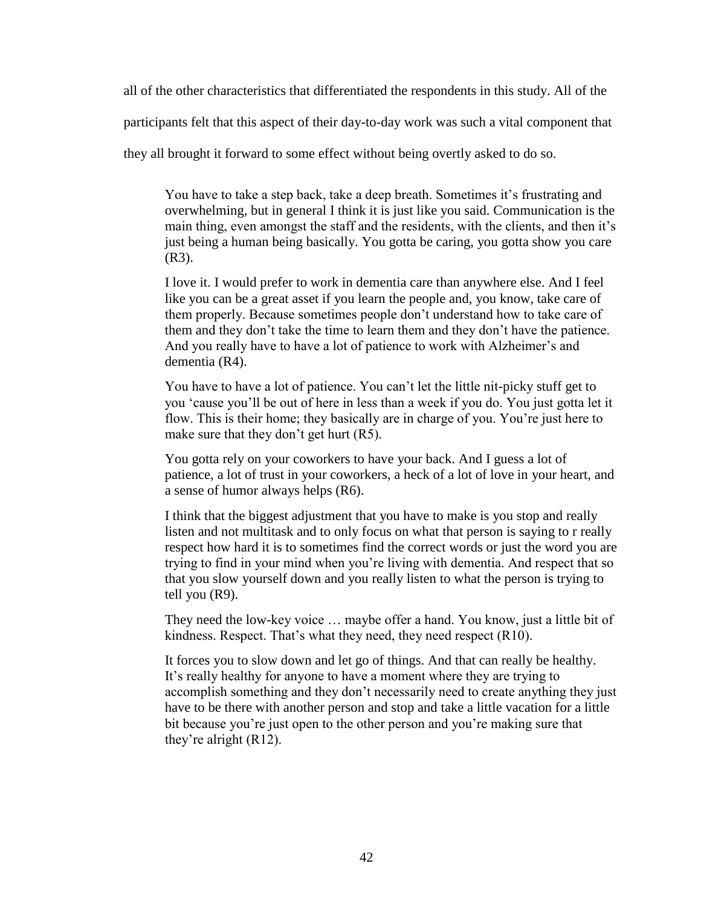all of the other characteristics that differentiated the respondents in this study. All of the

participants felt that this aspect of their day-to-day work was such a vital component that

they all brought it forward to some effect without being overtly asked to do so.

You have to take a step back, take a deep breath. Sometimes it's frustrating and overwhelming, but in general I think it is just like you said. Communication is the main thing, even amongst the staff and the residents, with the clients, and then it's just being a human being basically. You gotta be caring, you gotta show you care (R3).

I love it. I would prefer to work in dementia care than anywhere else. And I feel like you can be a great asset if you learn the people and, you know, take care of them properly. Because sometimes people don't understand how to take care of them and they don't take the time to learn them and they don't have the patience. And you really have to have a lot of patience to work with Alzheimer's and dementia (R4).

You have to have a lot of patience. You can't let the little nit-picky stuff get to you 'cause you'll be out of here in less than a week if you do. You just gotta let it flow. This is their home; they basically are in charge of you. You're just here to make sure that they don't get hurt (R5).

You gotta rely on your coworkers to have your back. And I guess a lot of patience, a lot of trust in your coworkers, a heck of a lot of love in your heart, and a sense of humor always helps (R6).

I think that the biggest adjustment that you have to make is you stop and really listen and not multitask and to only focus on what that person is saying to r really respect how hard it is to sometimes find the correct words or just the word you are trying to find in your mind when you're living with dementia. And respect that so that you slow yourself down and you really listen to what the person is trying to tell you (R9).

They need the low-key voice … maybe offer a hand. You know, just a little bit of kindness. Respect. That's what they need, they need respect (R10).

It forces you to slow down and let go of things. And that can really be healthy. It's really healthy for anyone to have a moment where they are trying to accomplish something and they don't necessarily need to create anything they just have to be there with another person and stop and take a little vacation for a little bit because you're just open to the other person and you're making sure that they're alright (R12).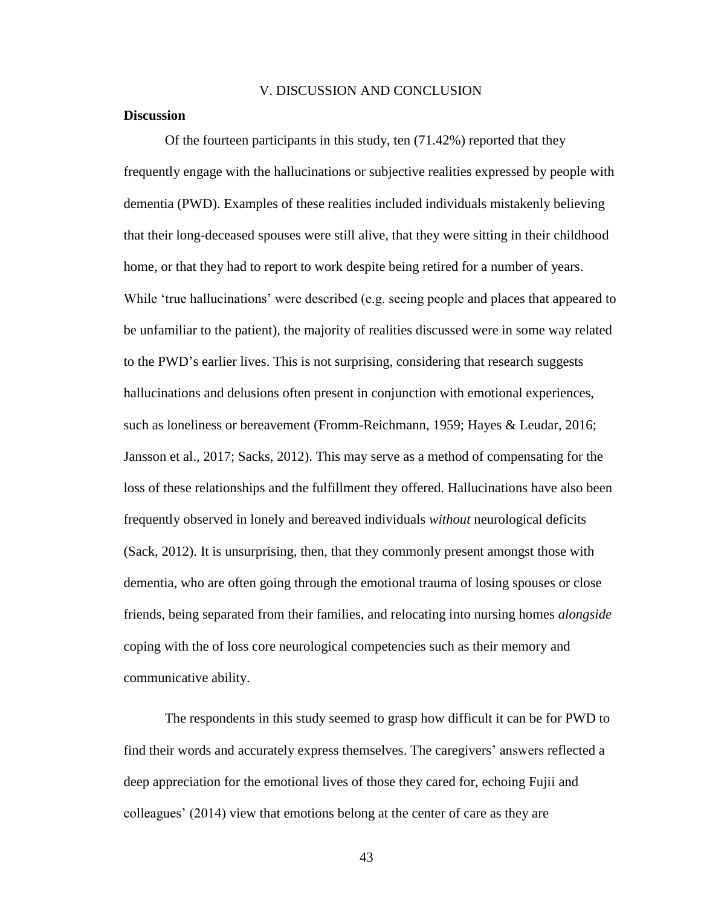#### V. DISCUSSION AND CONCLUSION

# **Discussion**

Of the fourteen participants in this study, ten (71.42%) reported that they frequently engage with the hallucinations or subjective realities expressed by people with dementia (PWD). Examples of these realities included individuals mistakenly believing that their long-deceased spouses were still alive, that they were sitting in their childhood home, or that they had to report to work despite being retired for a number of years. While 'true hallucinations' were described (e.g. seeing people and places that appeared to be unfamiliar to the patient), the majority of realities discussed were in some way related to the PWD's earlier lives. This is not surprising, considering that research suggests hallucinations and delusions often present in conjunction with emotional experiences, such as loneliness or bereavement (Fromm-Reichmann, 1959; Hayes & Leudar, 2016; Jansson et al., 2017; Sacks, 2012). This may serve as a method of compensating for the loss of these relationships and the fulfillment they offered. Hallucinations have also been frequently observed in lonely and bereaved individuals *without* neurological deficits (Sack, 2012). It is unsurprising, then, that they commonly present amongst those with dementia, who are often going through the emotional trauma of losing spouses or close friends, being separated from their families, and relocating into nursing homes *alongside*  coping with the of loss core neurological competencies such as their memory and communicative ability.

The respondents in this study seemed to grasp how difficult it can be for PWD to find their words and accurately express themselves. The caregivers' answers reflected a deep appreciation for the emotional lives of those they cared for, echoing Fujii and colleagues' (2014) view that emotions belong at the center of care as they are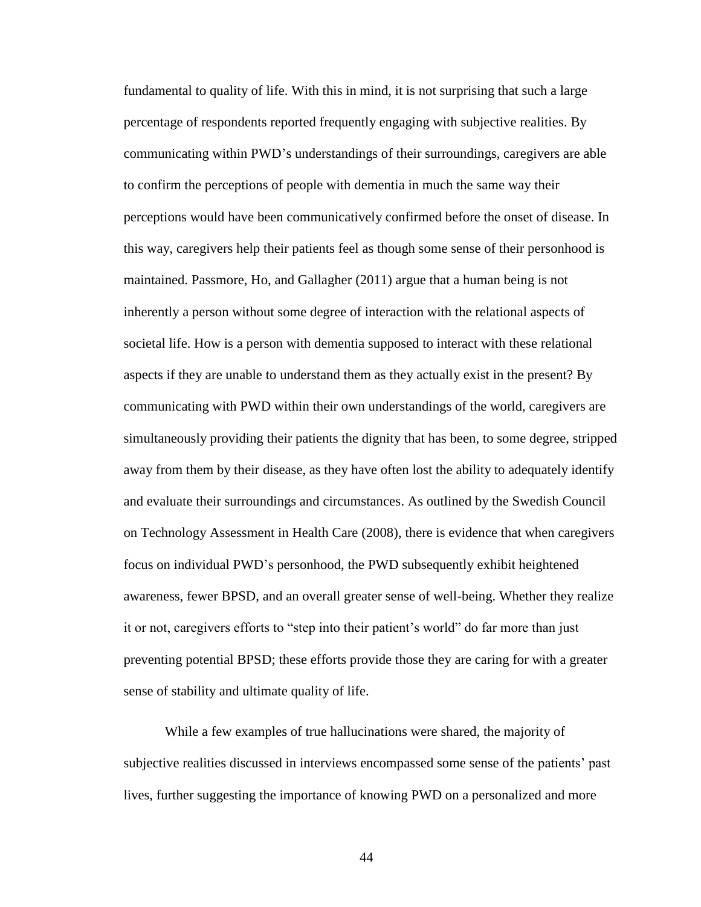fundamental to quality of life. With this in mind, it is not surprising that such a large percentage of respondents reported frequently engaging with subjective realities. By communicating within PWD's understandings of their surroundings, caregivers are able to confirm the perceptions of people with dementia in much the same way their perceptions would have been communicatively confirmed before the onset of disease. In this way, caregivers help their patients feel as though some sense of their personhood is maintained. Passmore, Ho, and Gallagher (2011) argue that a human being is not inherently a person without some degree of interaction with the relational aspects of societal life. How is a person with dementia supposed to interact with these relational aspects if they are unable to understand them as they actually exist in the present? By communicating with PWD within their own understandings of the world, caregivers are simultaneously providing their patients the dignity that has been, to some degree, stripped away from them by their disease, as they have often lost the ability to adequately identify and evaluate their surroundings and circumstances. As outlined by the Swedish Council on Technology Assessment in Health Care (2008), there is evidence that when caregivers focus on individual PWD's personhood, the PWD subsequently exhibit heightened awareness, fewer BPSD, and an overall greater sense of well-being. Whether they realize it or not, caregivers efforts to "step into their patient's world" do far more than just preventing potential BPSD; these efforts provide those they are caring for with a greater sense of stability and ultimate quality of life.

While a few examples of true hallucinations were shared, the majority of subjective realities discussed in interviews encompassed some sense of the patients' past lives, further suggesting the importance of knowing PWD on a personalized and more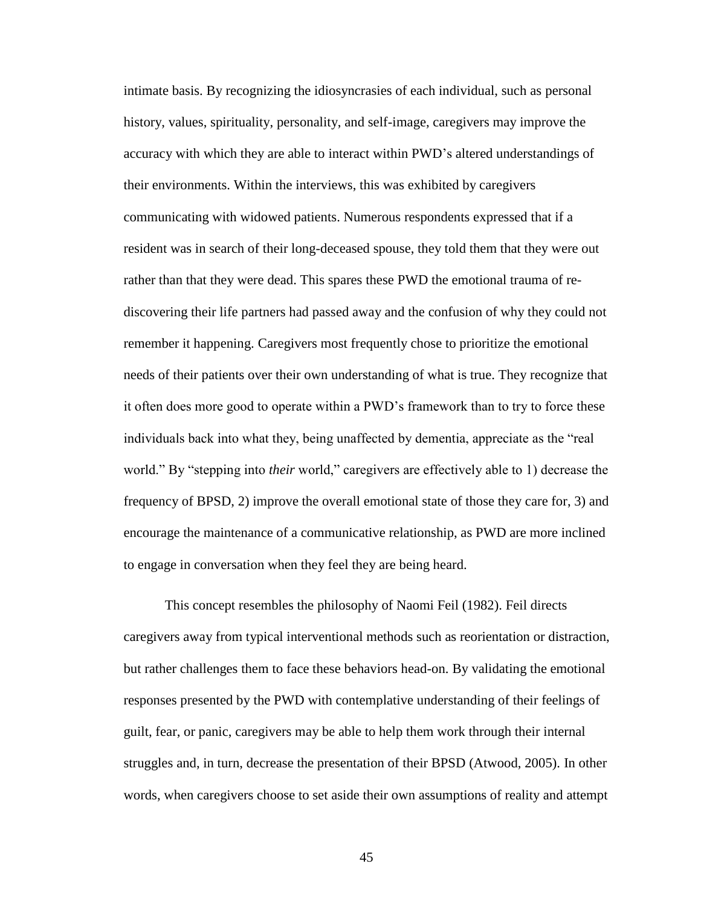intimate basis. By recognizing the idiosyncrasies of each individual, such as personal history, values, spirituality, personality, and self-image, caregivers may improve the accuracy with which they are able to interact within PWD's altered understandings of their environments. Within the interviews, this was exhibited by caregivers communicating with widowed patients. Numerous respondents expressed that if a resident was in search of their long-deceased spouse, they told them that they were out rather than that they were dead. This spares these PWD the emotional trauma of rediscovering their life partners had passed away and the confusion of why they could not remember it happening. Caregivers most frequently chose to prioritize the emotional needs of their patients over their own understanding of what is true. They recognize that it often does more good to operate within a PWD's framework than to try to force these individuals back into what they, being unaffected by dementia, appreciate as the "real world." By "stepping into *their* world," caregivers are effectively able to 1) decrease the frequency of BPSD, 2) improve the overall emotional state of those they care for, 3) and encourage the maintenance of a communicative relationship, as PWD are more inclined to engage in conversation when they feel they are being heard.

This concept resembles the philosophy of Naomi Feil (1982). Feil directs caregivers away from typical interventional methods such as reorientation or distraction, but rather challenges them to face these behaviors head-on. By validating the emotional responses presented by the PWD with contemplative understanding of their feelings of guilt, fear, or panic, caregivers may be able to help them work through their internal struggles and, in turn, decrease the presentation of their BPSD (Atwood, 2005). In other words, when caregivers choose to set aside their own assumptions of reality and attempt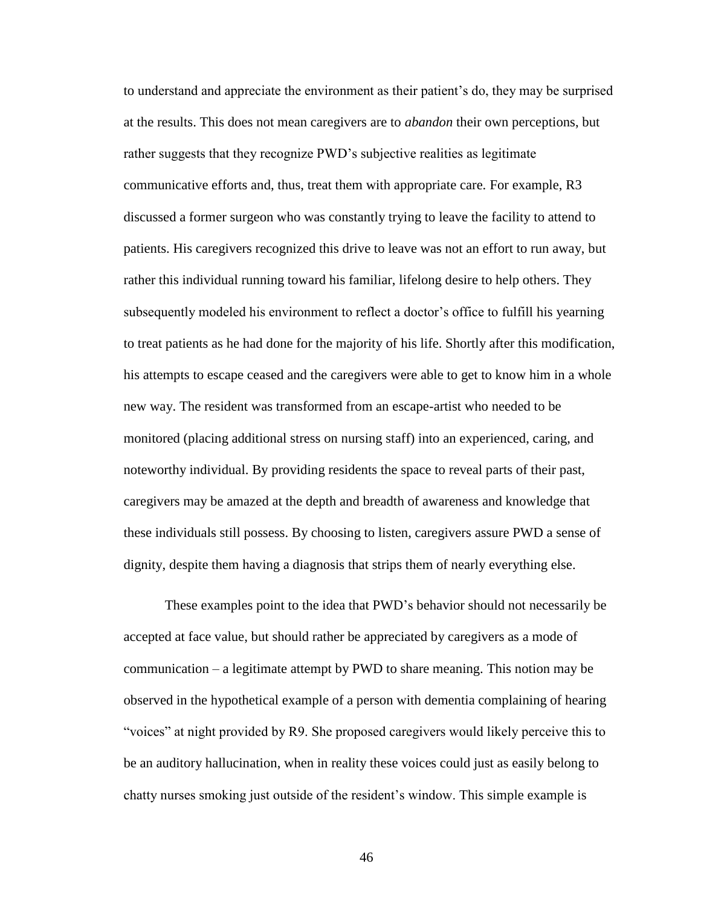to understand and appreciate the environment as their patient's do, they may be surprised at the results. This does not mean caregivers are to *abandon* their own perceptions, but rather suggests that they recognize PWD's subjective realities as legitimate communicative efforts and, thus, treat them with appropriate care. For example, R3 discussed a former surgeon who was constantly trying to leave the facility to attend to patients. His caregivers recognized this drive to leave was not an effort to run away, but rather this individual running toward his familiar, lifelong desire to help others. They subsequently modeled his environment to reflect a doctor's office to fulfill his yearning to treat patients as he had done for the majority of his life. Shortly after this modification, his attempts to escape ceased and the caregivers were able to get to know him in a whole new way. The resident was transformed from an escape-artist who needed to be monitored (placing additional stress on nursing staff) into an experienced, caring, and noteworthy individual. By providing residents the space to reveal parts of their past, caregivers may be amazed at the depth and breadth of awareness and knowledge that these individuals still possess. By choosing to listen, caregivers assure PWD a sense of dignity, despite them having a diagnosis that strips them of nearly everything else.

These examples point to the idea that PWD's behavior should not necessarily be accepted at face value, but should rather be appreciated by caregivers as a mode of communication – a legitimate attempt by PWD to share meaning. This notion may be observed in the hypothetical example of a person with dementia complaining of hearing "voices" at night provided by R9. She proposed caregivers would likely perceive this to be an auditory hallucination, when in reality these voices could just as easily belong to chatty nurses smoking just outside of the resident's window. This simple example is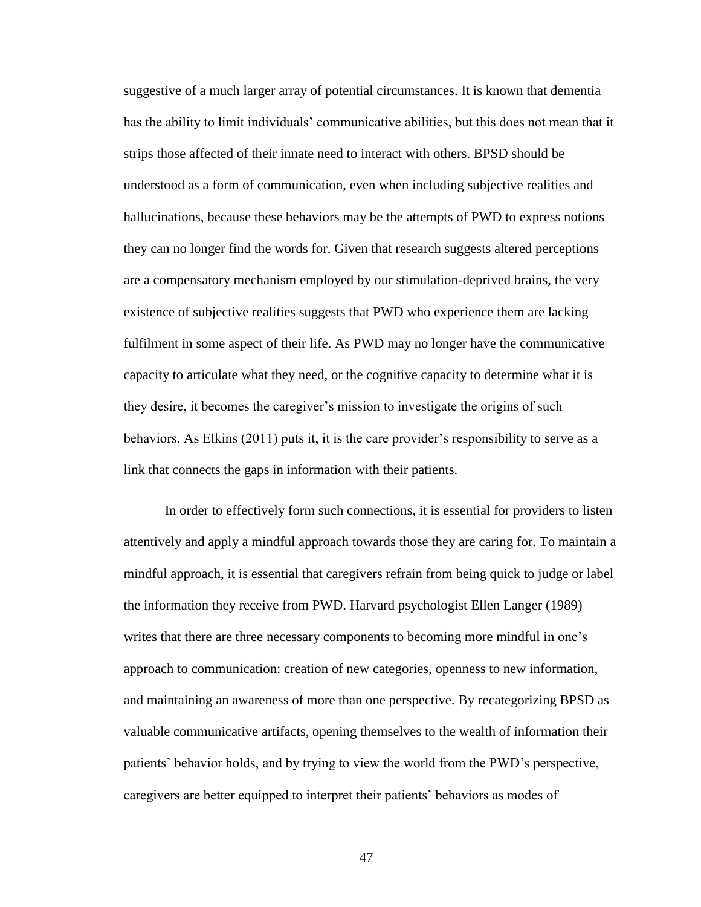suggestive of a much larger array of potential circumstances. It is known that dementia has the ability to limit individuals' communicative abilities, but this does not mean that it strips those affected of their innate need to interact with others. BPSD should be understood as a form of communication, even when including subjective realities and hallucinations, because these behaviors may be the attempts of PWD to express notions they can no longer find the words for. Given that research suggests altered perceptions are a compensatory mechanism employed by our stimulation-deprived brains, the very existence of subjective realities suggests that PWD who experience them are lacking fulfilment in some aspect of their life. As PWD may no longer have the communicative capacity to articulate what they need, or the cognitive capacity to determine what it is they desire, it becomes the caregiver's mission to investigate the origins of such behaviors. As Elkins (2011) puts it, it is the care provider's responsibility to serve as a link that connects the gaps in information with their patients.

In order to effectively form such connections, it is essential for providers to listen attentively and apply a mindful approach towards those they are caring for. To maintain a mindful approach, it is essential that caregivers refrain from being quick to judge or label the information they receive from PWD. Harvard psychologist Ellen Langer (1989) writes that there are three necessary components to becoming more mindful in one's approach to communication: creation of new categories, openness to new information, and maintaining an awareness of more than one perspective. By recategorizing BPSD as valuable communicative artifacts, opening themselves to the wealth of information their patients' behavior holds, and by trying to view the world from the PWD's perspective, caregivers are better equipped to interpret their patients' behaviors as modes of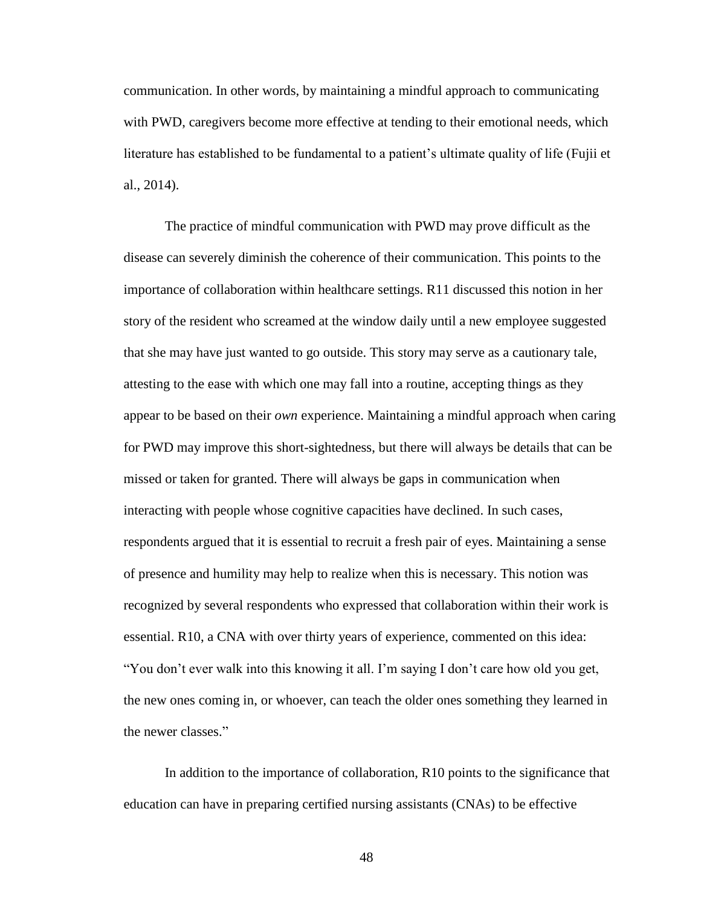communication. In other words, by maintaining a mindful approach to communicating with PWD, caregivers become more effective at tending to their emotional needs, which literature has established to be fundamental to a patient's ultimate quality of life (Fujii et al., 2014).

The practice of mindful communication with PWD may prove difficult as the disease can severely diminish the coherence of their communication. This points to the importance of collaboration within healthcare settings. R11 discussed this notion in her story of the resident who screamed at the window daily until a new employee suggested that she may have just wanted to go outside. This story may serve as a cautionary tale, attesting to the ease with which one may fall into a routine, accepting things as they appear to be based on their *own* experience. Maintaining a mindful approach when caring for PWD may improve this short-sightedness, but there will always be details that can be missed or taken for granted. There will always be gaps in communication when interacting with people whose cognitive capacities have declined. In such cases, respondents argued that it is essential to recruit a fresh pair of eyes. Maintaining a sense of presence and humility may help to realize when this is necessary. This notion was recognized by several respondents who expressed that collaboration within their work is essential. R10, a CNA with over thirty years of experience, commented on this idea: "You don't ever walk into this knowing it all. I'm saying I don't care how old you get, the new ones coming in, or whoever, can teach the older ones something they learned in the newer classes."

In addition to the importance of collaboration, R10 points to the significance that education can have in preparing certified nursing assistants (CNAs) to be effective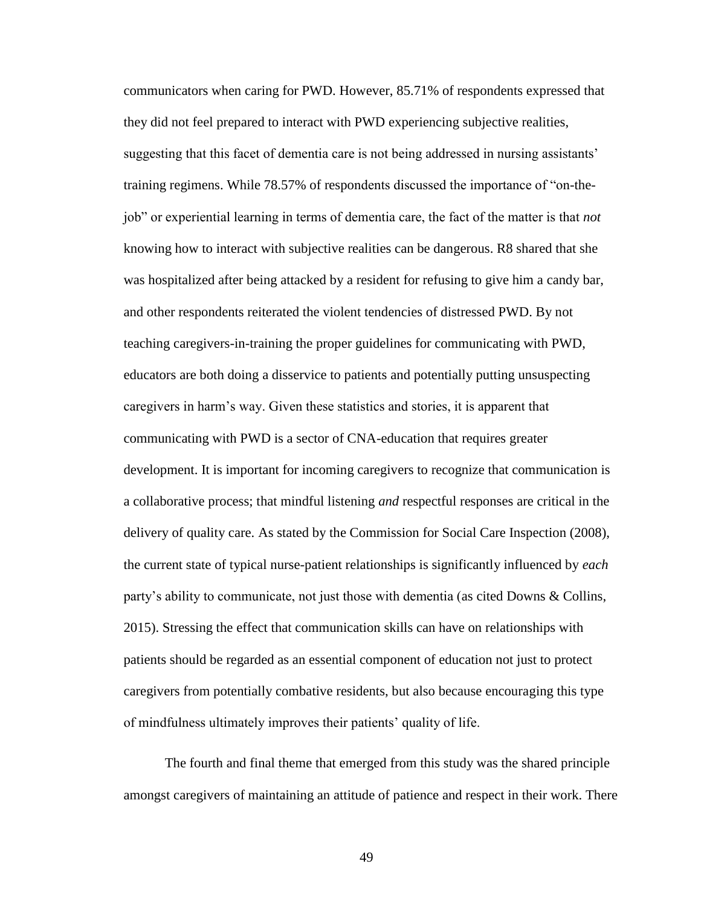communicators when caring for PWD. However, 85.71% of respondents expressed that they did not feel prepared to interact with PWD experiencing subjective realities, suggesting that this facet of dementia care is not being addressed in nursing assistants' training regimens. While 78.57% of respondents discussed the importance of "on-thejob" or experiential learning in terms of dementia care, the fact of the matter is that *not*  knowing how to interact with subjective realities can be dangerous. R8 shared that she was hospitalized after being attacked by a resident for refusing to give him a candy bar, and other respondents reiterated the violent tendencies of distressed PWD. By not teaching caregivers-in-training the proper guidelines for communicating with PWD, educators are both doing a disservice to patients and potentially putting unsuspecting caregivers in harm's way. Given these statistics and stories, it is apparent that communicating with PWD is a sector of CNA-education that requires greater development. It is important for incoming caregivers to recognize that communication is a collaborative process; that mindful listening *and* respectful responses are critical in the delivery of quality care. As stated by the Commission for Social Care Inspection (2008), the current state of typical nurse-patient relationships is significantly influenced by *each* party's ability to communicate, not just those with dementia (as cited Downs & Collins, 2015). Stressing the effect that communication skills can have on relationships with patients should be regarded as an essential component of education not just to protect caregivers from potentially combative residents, but also because encouraging this type of mindfulness ultimately improves their patients' quality of life.

The fourth and final theme that emerged from this study was the shared principle amongst caregivers of maintaining an attitude of patience and respect in their work. There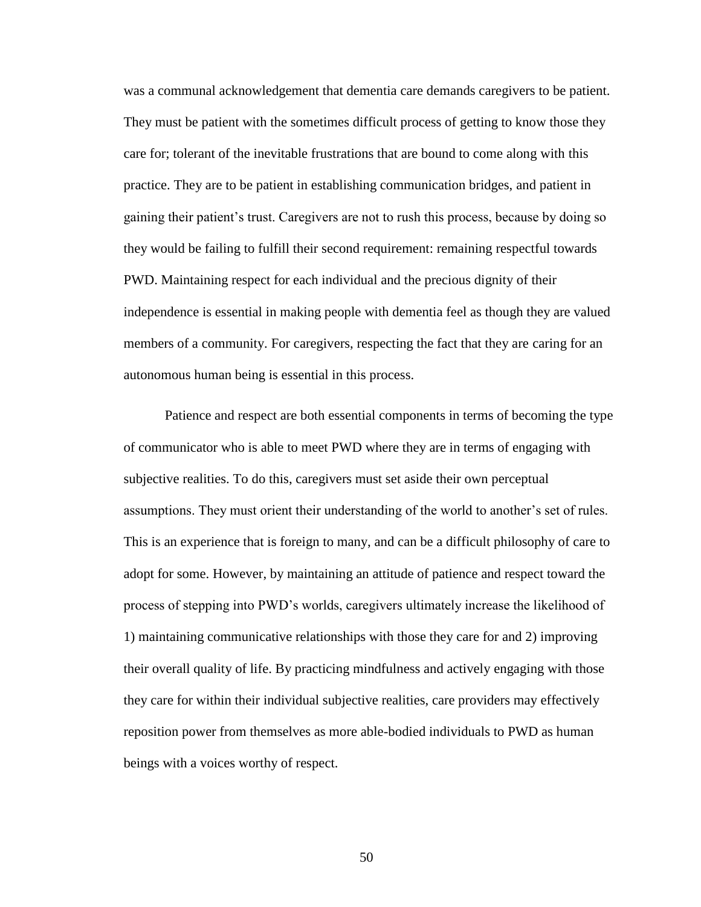was a communal acknowledgement that dementia care demands caregivers to be patient. They must be patient with the sometimes difficult process of getting to know those they care for; tolerant of the inevitable frustrations that are bound to come along with this practice. They are to be patient in establishing communication bridges, and patient in gaining their patient's trust. Caregivers are not to rush this process, because by doing so they would be failing to fulfill their second requirement: remaining respectful towards PWD. Maintaining respect for each individual and the precious dignity of their independence is essential in making people with dementia feel as though they are valued members of a community. For caregivers, respecting the fact that they are caring for an autonomous human being is essential in this process.

Patience and respect are both essential components in terms of becoming the type of communicator who is able to meet PWD where they are in terms of engaging with subjective realities. To do this, caregivers must set aside their own perceptual assumptions. They must orient their understanding of the world to another's set of rules. This is an experience that is foreign to many, and can be a difficult philosophy of care to adopt for some. However, by maintaining an attitude of patience and respect toward the process of stepping into PWD's worlds, caregivers ultimately increase the likelihood of 1) maintaining communicative relationships with those they care for and 2) improving their overall quality of life. By practicing mindfulness and actively engaging with those they care for within their individual subjective realities, care providers may effectively reposition power from themselves as more able-bodied individuals to PWD as human beings with a voices worthy of respect.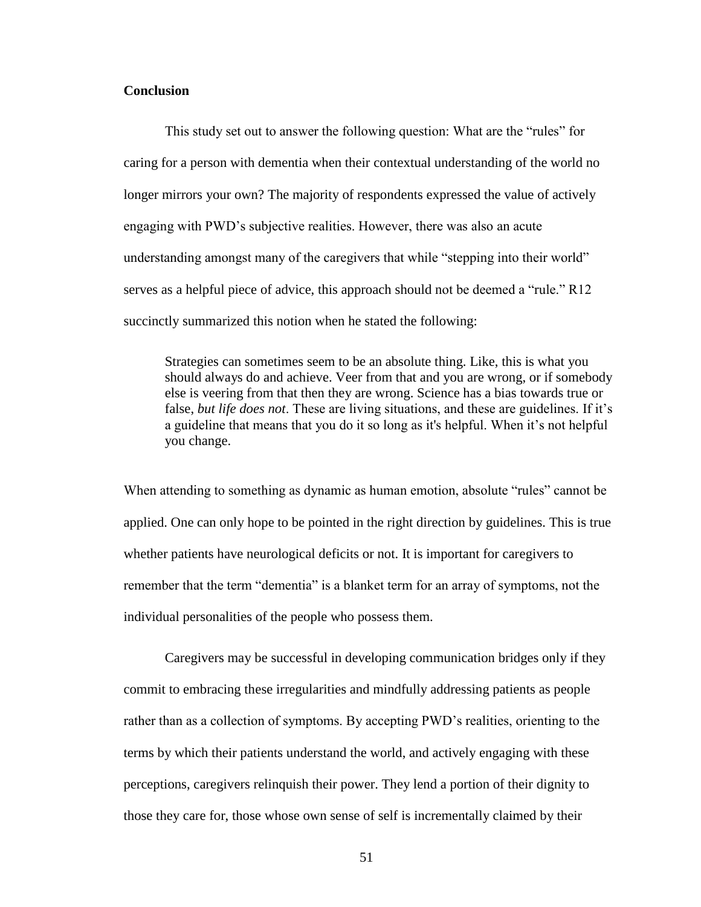# **Conclusion**

This study set out to answer the following question: What are the "rules" for caring for a person with dementia when their contextual understanding of the world no longer mirrors your own? The majority of respondents expressed the value of actively engaging with PWD's subjective realities. However, there was also an acute understanding amongst many of the caregivers that while "stepping into their world" serves as a helpful piece of advice, this approach should not be deemed a "rule." R12 succinctly summarized this notion when he stated the following:

Strategies can sometimes seem to be an absolute thing. Like, this is what you should always do and achieve. Veer from that and you are wrong, or if somebody else is veering from that then they are wrong. Science has a bias towards true or false, *but life does not*. These are living situations, and these are guidelines. If it's a guideline that means that you do it so long as it's helpful. When it's not helpful you change.

When attending to something as dynamic as human emotion, absolute "rules" cannot be applied. One can only hope to be pointed in the right direction by guidelines. This is true whether patients have neurological deficits or not. It is important for caregivers to remember that the term "dementia" is a blanket term for an array of symptoms, not the individual personalities of the people who possess them.

Caregivers may be successful in developing communication bridges only if they commit to embracing these irregularities and mindfully addressing patients as people rather than as a collection of symptoms. By accepting PWD's realities, orienting to the terms by which their patients understand the world, and actively engaging with these perceptions, caregivers relinquish their power. They lend a portion of their dignity to those they care for, those whose own sense of self is incrementally claimed by their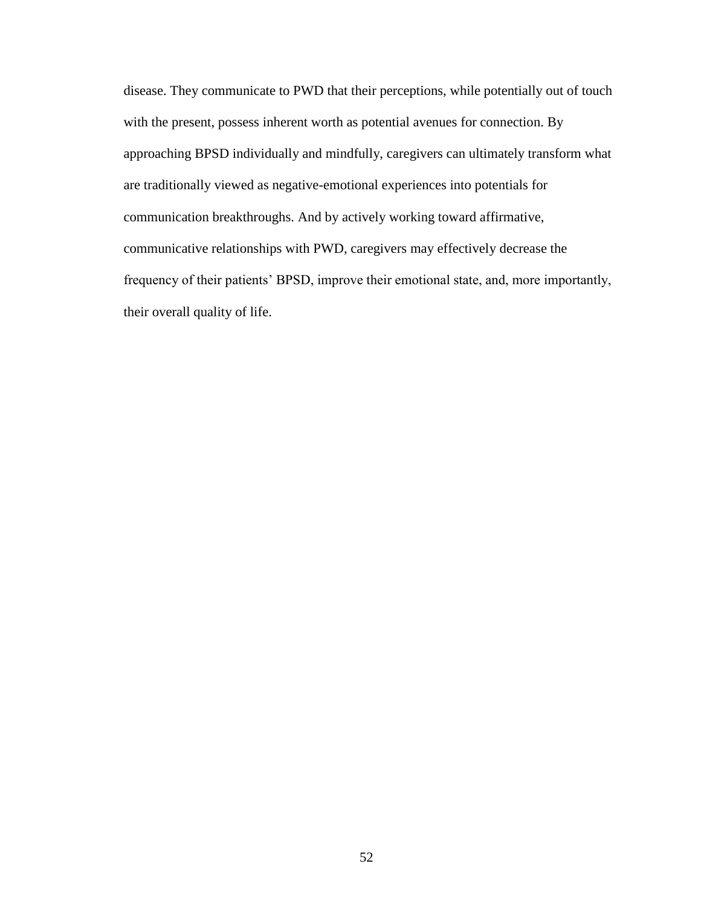disease. They communicate to PWD that their perceptions, while potentially out of touch with the present, possess inherent worth as potential avenues for connection. By approaching BPSD individually and mindfully, caregivers can ultimately transform what are traditionally viewed as negative-emotional experiences into potentials for communication breakthroughs. And by actively working toward affirmative, communicative relationships with PWD, caregivers may effectively decrease the frequency of their patients' BPSD, improve their emotional state, and, more importantly, their overall quality of life.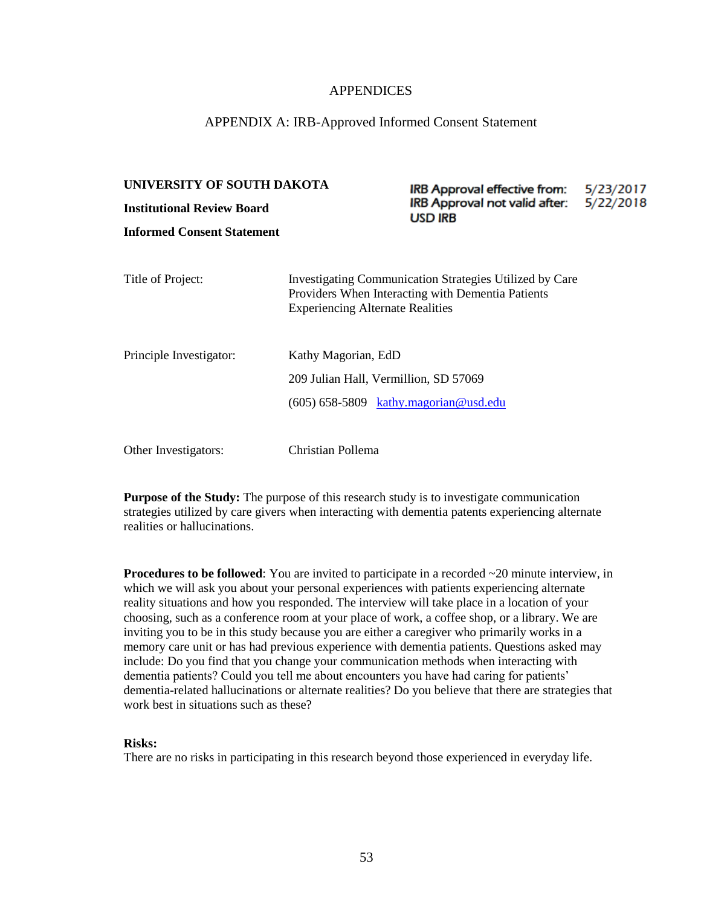# APPENDICES

## APPENDIX A: IRB-Approved Informed Consent Statement

# **UNIVERSITY OF SOUTH DAKOTA** IRB Approval effective from: 5/23/2017 IRB Approval not valid after: 5/22/2018 **Institutional Review Board USD IRB Informed Consent Statement** Title of Project: Investigating Communication Strategies Utilized by Care Providers When Interacting with Dementia Patients Experiencing Alternate Realities Principle Investigator: Kathy Magorian, EdD 209 Julian Hall, Vermillion, SD 57069 (605) 658-5809  $kathy.magorian@usd.edu$ Other Investigators: Christian Pollema

**Purpose of the Study:** The purpose of this research study is to investigate communication strategies utilized by care givers when interacting with dementia patents experiencing alternate realities or hallucinations.

**Procedures to be followed**: You are invited to participate in a recorded  $\sim$ 20 minute interview, in which we will ask you about your personal experiences with patients experiencing alternate reality situations and how you responded. The interview will take place in a location of your choosing, such as a conference room at your place of work, a coffee shop, or a library. We are inviting you to be in this study because you are either a caregiver who primarily works in a memory care unit or has had previous experience with dementia patients. Questions asked may include: Do you find that you change your communication methods when interacting with dementia patients? Could you tell me about encounters you have had caring for patients' dementia-related hallucinations or alternate realities? Do you believe that there are strategies that work best in situations such as these?

# **Risks:**

There are no risks in participating in this research beyond those experienced in everyday life.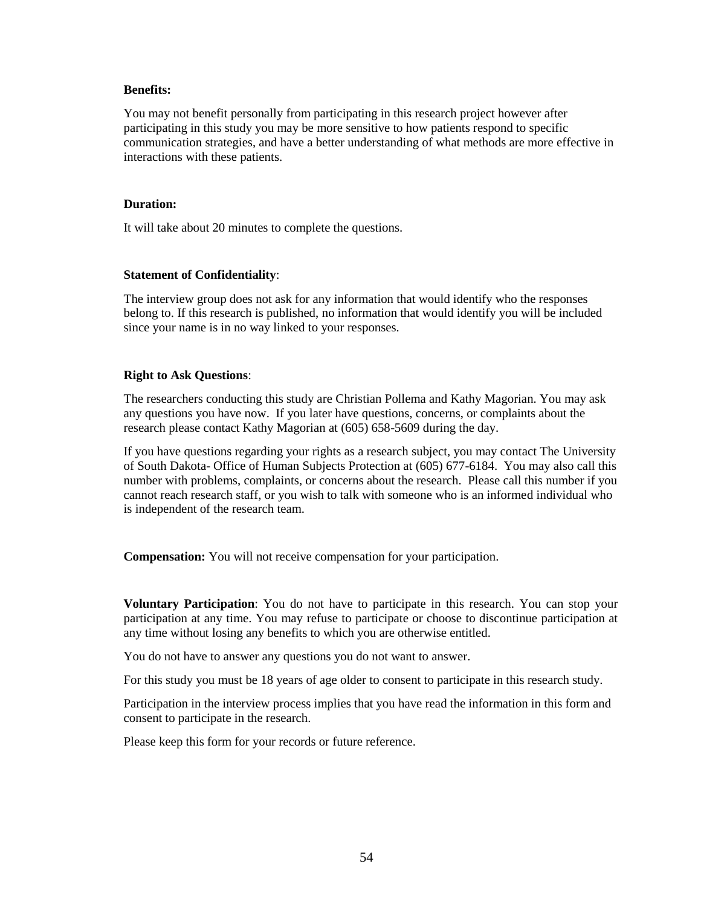#### **Benefits:**

You may not benefit personally from participating in this research project however after participating in this study you may be more sensitive to how patients respond to specific communication strategies, and have a better understanding of what methods are more effective in interactions with these patients.

#### **Duration:**

It will take about 20 minutes to complete the questions.

#### **Statement of Confidentiality**:

The interview group does not ask for any information that would identify who the responses belong to. If this research is published, no information that would identify you will be included since your name is in no way linked to your responses.

#### **Right to Ask Questions**:

The researchers conducting this study are Christian Pollema and Kathy Magorian. You may ask any questions you have now. If you later have questions, concerns, or complaints about the research please contact Kathy Magorian at (605) 658-5609 during the day.

If you have questions regarding your rights as a research subject, you may contact The University of South Dakota- Office of Human Subjects Protection at (605) 677-6184. You may also call this number with problems, complaints, or concerns about the research. Please call this number if you cannot reach research staff, or you wish to talk with someone who is an informed individual who is independent of the research team.

**Compensation:** You will not receive compensation for your participation.

**Voluntary Participation**: You do not have to participate in this research. You can stop your participation at any time. You may refuse to participate or choose to discontinue participation at any time without losing any benefits to which you are otherwise entitled.

You do not have to answer any questions you do not want to answer.

For this study you must be 18 years of age older to consent to participate in this research study.

Participation in the interview process implies that you have read the information in this form and consent to participate in the research.

Please keep this form for your records or future reference.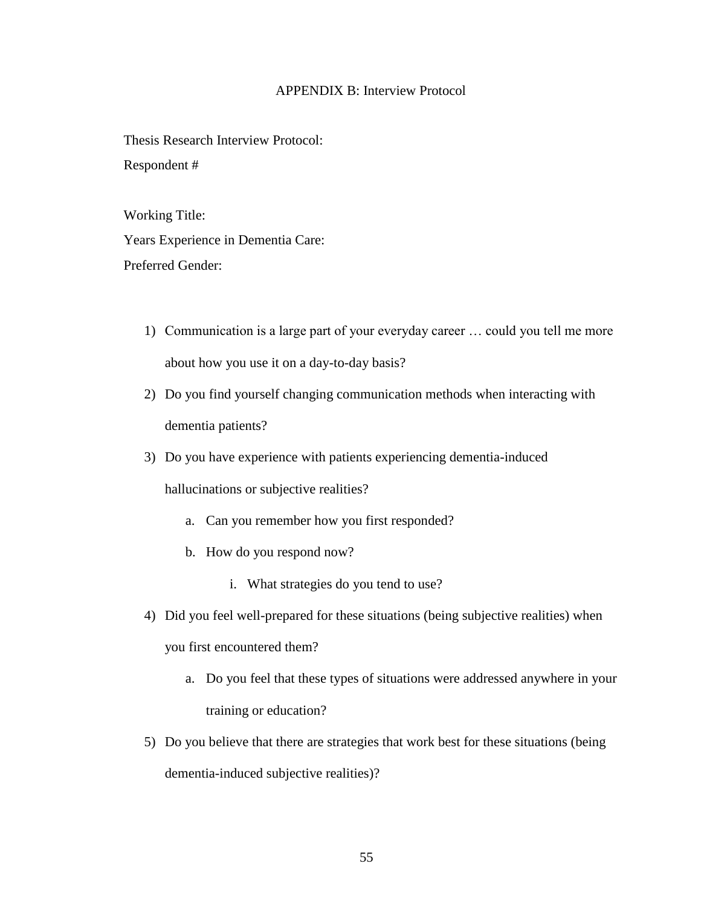# APPENDIX B: Interview Protocol

Thesis Research Interview Protocol: Respondent #

Working Title:

Years Experience in Dementia Care: Preferred Gender:

- 1) Communication is a large part of your everyday career … could you tell me more about how you use it on a day-to-day basis?
- 2) Do you find yourself changing communication methods when interacting with dementia patients?
- 3) Do you have experience with patients experiencing dementia-induced

hallucinations or subjective realities?

- a. Can you remember how you first responded?
- b. How do you respond now?
	- i. What strategies do you tend to use?
- 4) Did you feel well-prepared for these situations (being subjective realities) when you first encountered them?
	- a. Do you feel that these types of situations were addressed anywhere in your training or education?
- 5) Do you believe that there are strategies that work best for these situations (being dementia-induced subjective realities)?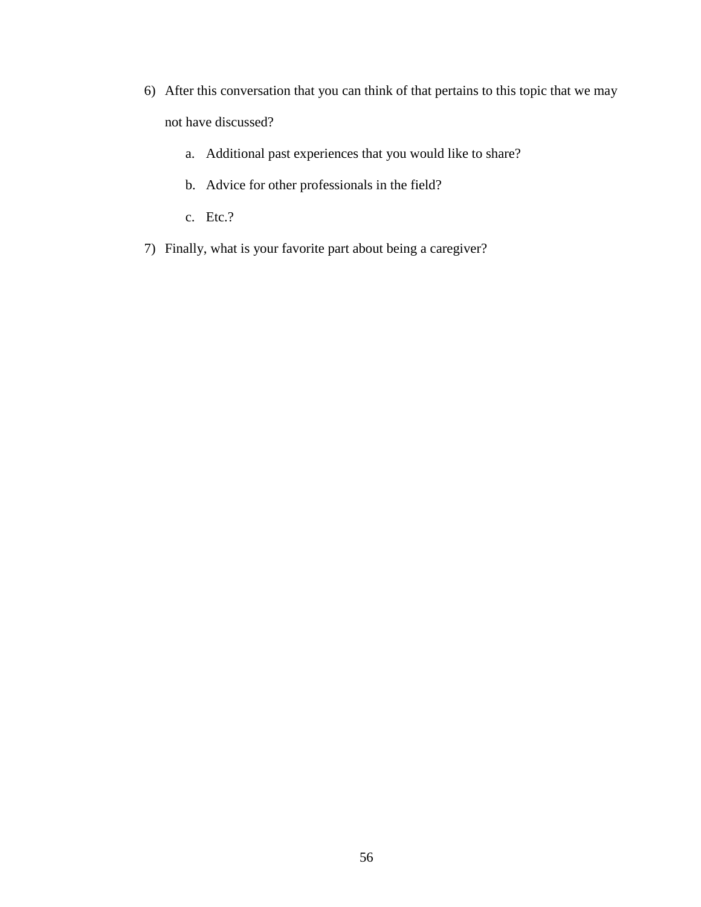- 6) After this conversation that you can think of that pertains to this topic that we may not have discussed?
	- a. Additional past experiences that you would like to share?
	- b. Advice for other professionals in the field?
	- c. Etc.?
- 7) Finally, what is your favorite part about being a caregiver?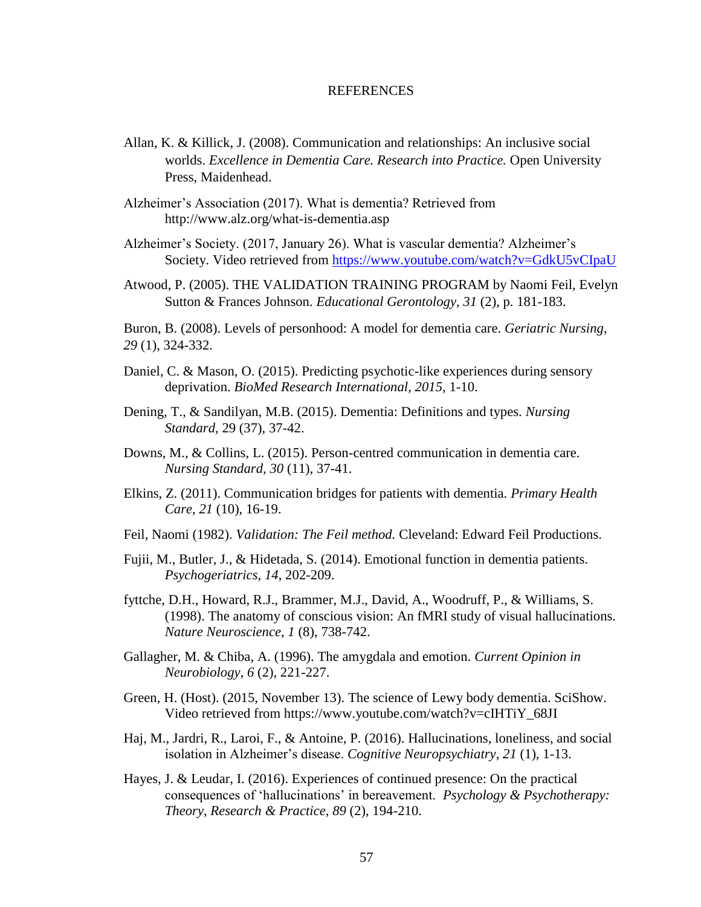### **REFERENCES**

- Allan, K. & Killick, J. (2008). Communication and relationships: An inclusive social worlds. *Excellence in Dementia Care. Research into Practice.* Open University Press, Maidenhead.
- Alzheimer's Association (2017). What is dementia? Retrieved from http://www.alz.org/what-is-dementia.asp
- Alzheimer's Society. (2017, January 26). What is vascular dementia? Alzheimer's Society. Video retrieved from<https://www.youtube.com/watch?v=GdkU5vCIpaU>
- Atwood, P. (2005). THE VALIDATION TRAINING PROGRAM by Naomi Feil, Evelyn Sutton & Frances Johnson. *Educational Gerontology, 31* (2), p. 181-183.

Buron, B. (2008). Levels of personhood: A model for dementia care. *Geriatric Nursing, 29* (1), 324-332.

- Daniel, C. & Mason, O. (2015). Predicting psychotic-like experiences during sensory deprivation. *BioMed Research International*, *2015*, 1-10.
- Dening, T., & Sandilyan, M.B. (2015). Dementia: Definitions and types. *Nursing Standard*, 29 (37), 37-42.
- Downs, M., & Collins, L. (2015). Person-centred communication in dementia care. *Nursing Standard, 30* (11), 37-41.
- Elkins, Z. (2011). Communication bridges for patients with dementia. *Primary Health Care*, *21* (10), 16-19.
- Feil, Naomi (1982). *Validation: The Feil method.* Cleveland: Edward Feil Productions.
- Fujii, M., Butler, J., & Hidetada, S. (2014). Emotional function in dementia patients. *Psychogeriatrics*, *14*, 202-209.
- fyttche, D.H., Howard, R.J., Brammer, M.J., David, A., Woodruff, P., & Williams, S. (1998). The anatomy of conscious vision: An fMRI study of visual hallucinations*. Nature Neuroscience*, *1* (8), 738-742.
- Gallagher, M. & Chiba, A. (1996). The amygdala and emotion. *Current Opinion in Neurobiology*, *6* (2), 221-227.
- Green, H. (Host). (2015, November 13). The science of Lewy body dementia. SciShow. Video retrieved from https://www.youtube.com/watch?v=cIHTiY\_68JI
- Haj, M., Jardri, R., Laroi, F., & Antoine, P. (2016). Hallucinations, loneliness, and social isolation in Alzheimer's disease. *Cognitive Neuropsychiatry*, *21* (1), 1-13.
- Hayes, J. & Leudar, I. (2016). Experiences of continued presence: On the practical consequences of 'hallucinations' in bereavement. *Psychology & Psychotherapy: Theory, Research & Practice*, *89* (2), 194-210.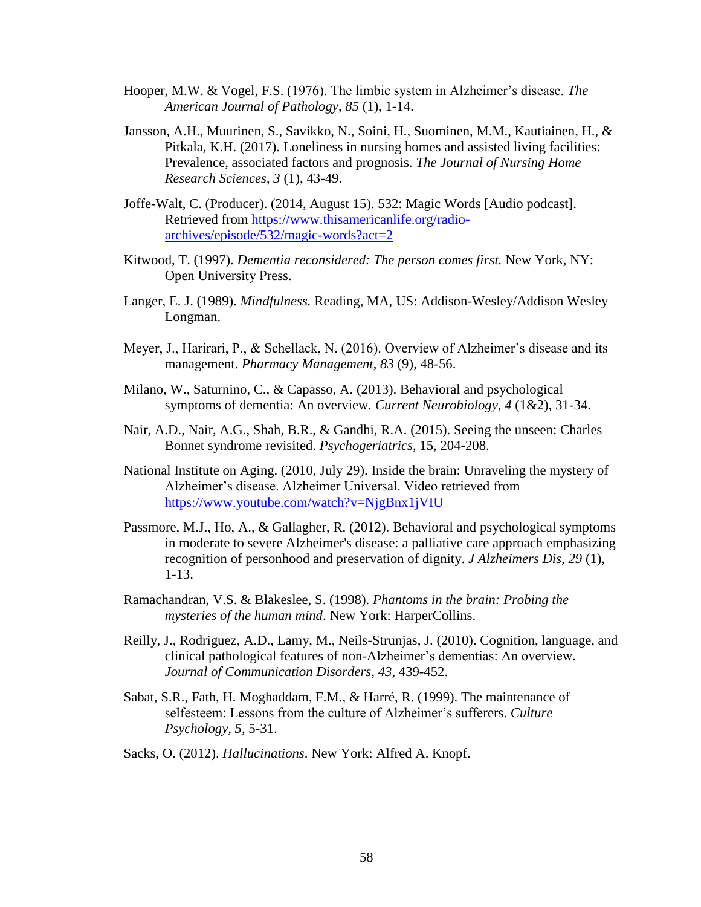- Hooper, M.W. & Vogel, F.S. (1976). The limbic system in Alzheimer's disease. *The American Journal of Pathology*, *85* (1), 1-14.
- Jansson, A.H., Muurinen, S., Savikko, N., Soini, H., Suominen, M.M., Kautiainen, H., & Pitkala, K.H. (2017). Loneliness in nursing homes and assisted living facilities: Prevalence, associated factors and prognosis. *The Journal of Nursing Home Research Sciences*, *3* (1), 43-49.
- Joffe-Walt, C. (Producer). (2014, August 15). 532: Magic Words [Audio podcast]. Retrieved from [https://www.thisamericanlife.org/radio](https://www.thisamericanlife.org/radio-archives/episode/532/magic-words?act=2)[archives/episode/532/magic-words?act=2](https://www.thisamericanlife.org/radio-archives/episode/532/magic-words?act=2)
- Kitwood, T. (1997). *Dementia reconsidered: The person comes first.* New York, NY: Open University Press.
- Langer, E. J. (1989). *Mindfulness.* Reading, MA, US: Addison-Wesley/Addison Wesley Longman.
- Meyer, J., Harirari, P., & Schellack, N. (2016). Overview of Alzheimer's disease and its management. *Pharmacy Management*, *83* (9), 48-56.
- Milano, W., Saturnino, C., & Capasso, A. (2013). Behavioral and psychological symptoms of dementia: An overview*. Current Neurobiology*, *4* (1&2), 31-34.
- Nair, A.D., Nair, A.G., Shah, B.R., & Gandhi, R.A. (2015). Seeing the unseen: Charles Bonnet syndrome revisited. *Psychogeriatrics*, 15, 204-208.
- National Institute on Aging. (2010, July 29). Inside the brain: Unraveling the mystery of Alzheimer's disease. Alzheimer Universal. Video retrieved from <https://www.youtube.com/watch?v=NjgBnx1jVIU>
- Passmore, M.J., Ho, A., & Gallagher, R. (2012). Behavioral and psychological symptoms in moderate to severe Alzheimer's disease: a palliative care approach emphasizing recognition of personhood and preservation of dignity. *J Alzheimers Dis, 29* (1), 1-13.
- Ramachandran, V.S. & Blakeslee, S. (1998). *Phantoms in the brain: Probing the mysteries of the human mind*. New York: HarperCollins.
- Reilly, J., Rodriguez, A.D., Lamy, M., Neils-Strunjas, J. (2010). Cognition, language, and clinical pathological features of non-Alzheimer's dementias: An overview*. Journal of Communication Disorders*, *43*, 439-452.
- Sabat, S.R., Fath, H. Moghaddam, F.M., & Harré, R. (1999). The maintenance of selfesteem: Lessons from the culture of Alzheimer's sufferers. *Culture Psychology, 5,* 5-31.
- Sacks, O. (2012). *Hallucinations*. New York: Alfred A. Knopf.